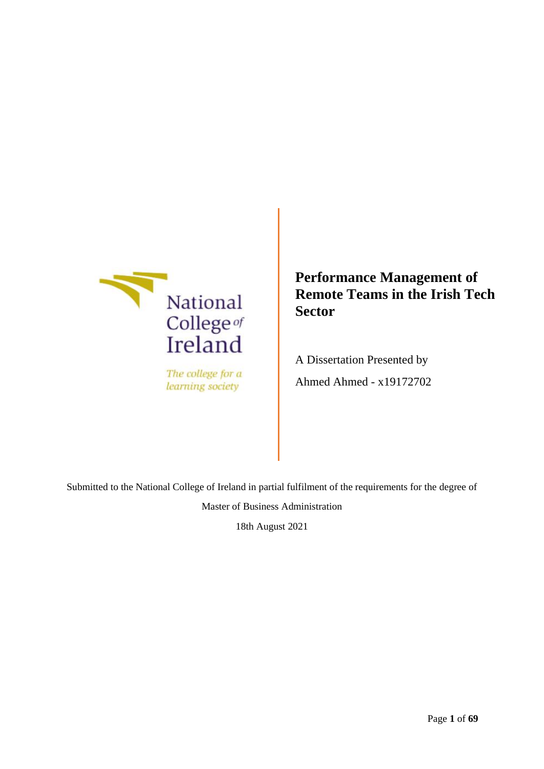

The college for a learning society

**Performance Management of Remote Teams in the Irish Tech Sector**

A Dissertation Presented by Ahmed Ahmed - x19172702

Submitted to the National College of Ireland in partial fulfilment of the requirements for the degree of

Master of Business Administration

18th August 2021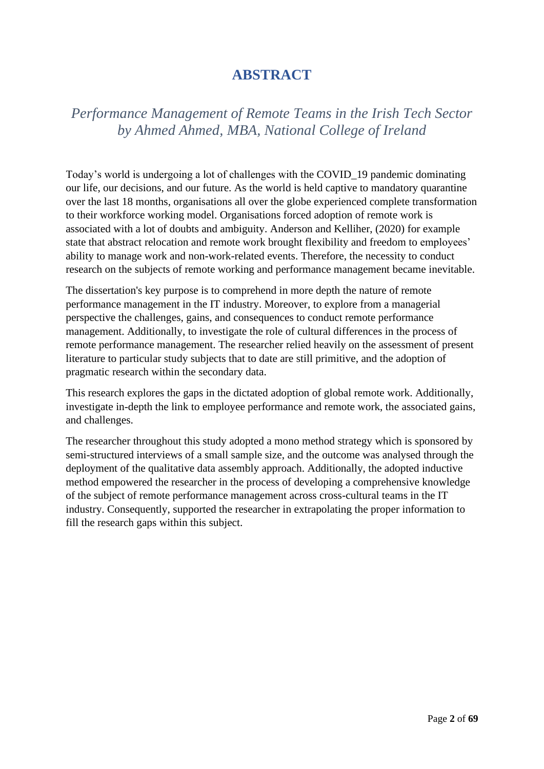# **ABSTRACT**

# <span id="page-1-0"></span>*Performance Management of Remote Teams in the Irish Tech Sector by Ahmed Ahmed, MBA, National College of Ireland*

Today's world is undergoing a lot of challenges with the COVID\_19 pandemic dominating our life, our decisions, and our future. As the world is held captive to mandatory quarantine over the last 18 months, organisations all over the globe experienced complete transformation to their workforce working model. Organisations forced adoption of remote work is associated with a lot of doubts and ambiguity. Anderson and Kelliher, (2020) for example state that abstract relocation and remote work brought flexibility and freedom to employees' ability to manage work and non-work-related events. Therefore, the necessity to conduct research on the subjects of remote working and performance management became inevitable.

The dissertation's key purpose is to comprehend in more depth the nature of remote performance management in the IT industry. Moreover, to explore from a managerial perspective the challenges, gains, and consequences to conduct remote performance management. Additionally, to investigate the role of cultural differences in the process of remote performance management. The researcher relied heavily on the assessment of present literature to particular study subjects that to date are still primitive, and the adoption of pragmatic research within the secondary data.

This research explores the gaps in the dictated adoption of global remote work. Additionally, investigate in-depth the link to employee performance and remote work, the associated gains, and challenges.

The researcher throughout this study adopted a mono method strategy which is sponsored by semi-structured interviews of a small sample size, and the outcome was analysed through the deployment of the qualitative data assembly approach. Additionally, the adopted inductive method empowered the researcher in the process of developing a comprehensive knowledge of the subject of remote performance management across cross-cultural teams in the IT industry. Consequently, supported the researcher in extrapolating the proper information to fill the research gaps within this subject.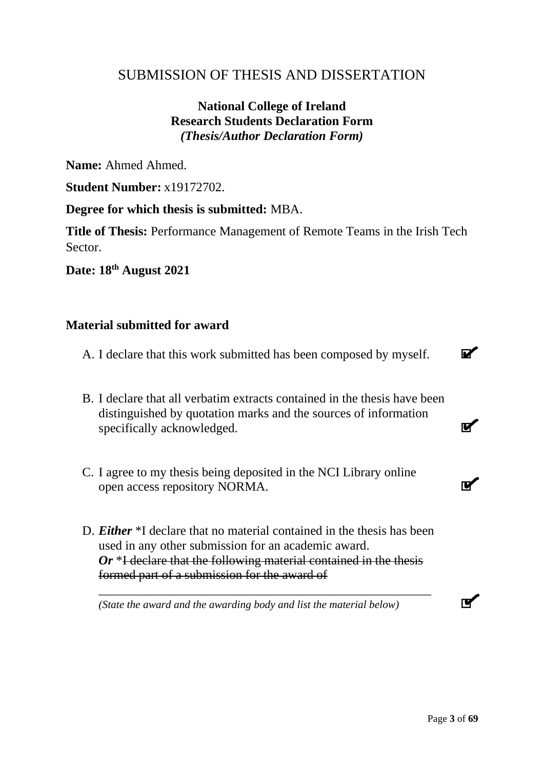# <span id="page-2-0"></span>SUBMISSION OF THESIS AND DISSERTATION

# **National College of Ireland Research Students Declaration Form** *(Thesis/Author Declaration Form)*

Name: Ahmed Ahmed.

**Student Number:** x19172702.

**Degree for which thesis is submitted:** MBA.

**Title of Thesis:** Performance Management of Remote Teams in the Irish Tech **Sector** 

**Date: 18th August 2021**

# **Material submitted for award**

- A. I declare that this work submitted has been composed by myself.
- B. I declare that all verbatim extracts contained in the thesis have been distinguished by quotation marks and the sources of information specifically acknowledged.
- C. I agree to my thesis being deposited in the NCI Library online open access repository NORMA.
- D. *Either* \*I declare that no material contained in the thesis has been used in any other submission for an academic award. *Or* \*I declare that the following material contained in the thesis formed part of a submission for the award of

*\_\_\_\_\_\_\_\_\_\_\_\_\_\_\_\_\_\_\_\_\_\_\_\_\_\_\_\_\_\_\_\_\_\_\_\_\_\_\_\_\_\_\_\_\_\_\_\_\_\_\_\_*

*(State the award and the awarding body and list the material below)*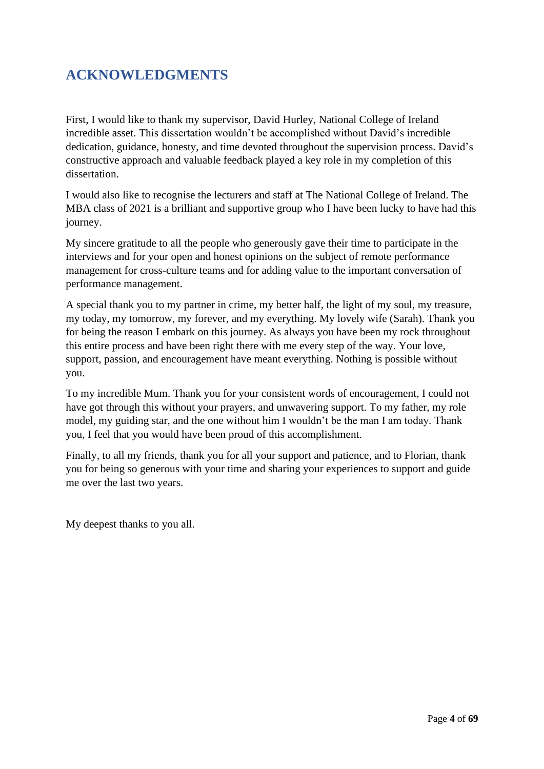# <span id="page-3-0"></span>**ACKNOWLEDGMENTS**

First, I would like to thank my supervisor, David Hurley, National College of Ireland incredible asset. This dissertation wouldn't be accomplished without David's incredible dedication, guidance, honesty, and time devoted throughout the supervision process. David's constructive approach and valuable feedback played a key role in my completion of this dissertation.

I would also like to recognise the lecturers and staff at The National College of Ireland. The MBA class of 2021 is a brilliant and supportive group who I have been lucky to have had this journey.

My sincere gratitude to all the people who generously gave their time to participate in the interviews and for your open and honest opinions on the subject of remote performance management for cross-culture teams and for adding value to the important conversation of performance management.

A special thank you to my partner in crime, my better half, the light of my soul, my treasure, my today, my tomorrow, my forever, and my everything. My lovely wife (Sarah). Thank you for being the reason I embark on this journey. As always you have been my rock throughout this entire process and have been right there with me every step of the way. Your love, support, passion, and encouragement have meant everything. Nothing is possible without you.

To my incredible Mum. Thank you for your consistent words of encouragement, I could not have got through this without your prayers, and unwavering support. To my father, my role model, my guiding star, and the one without him I wouldn't be the man I am today. Thank you, I feel that you would have been proud of this accomplishment.

Finally, to all my friends, thank you for all your support and patience, and to Florian, thank you for being so generous with your time and sharing your experiences to support and guide me over the last two years.

My deepest thanks to you all.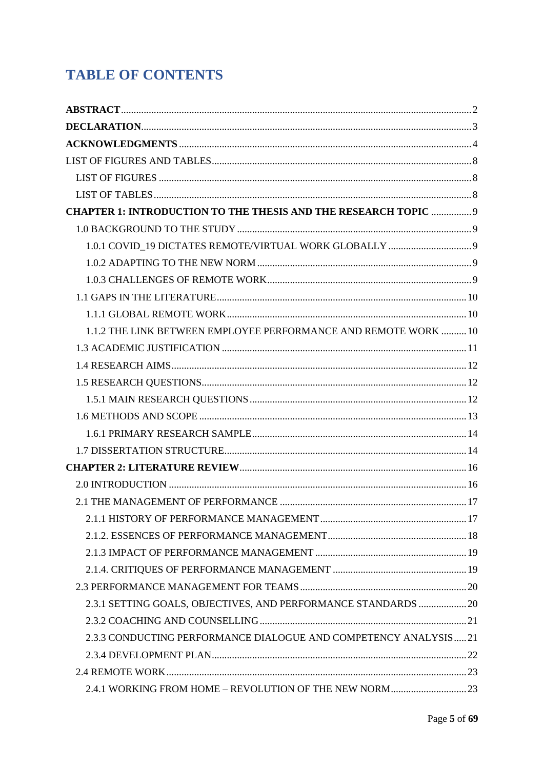# **TABLE OF CONTENTS**

| <b>CHAPTER 1: INTRODUCTION TO THE THESIS AND THE RESEARCH TOPIC  9</b> |  |
|------------------------------------------------------------------------|--|
|                                                                        |  |
|                                                                        |  |
|                                                                        |  |
|                                                                        |  |
|                                                                        |  |
|                                                                        |  |
| 1.1.2 THE LINK BETWEEN EMPLOYEE PERFORMANCE AND REMOTE WORK  10        |  |
|                                                                        |  |
|                                                                        |  |
|                                                                        |  |
|                                                                        |  |
|                                                                        |  |
|                                                                        |  |
|                                                                        |  |
|                                                                        |  |
|                                                                        |  |
|                                                                        |  |
|                                                                        |  |
|                                                                        |  |
|                                                                        |  |
|                                                                        |  |
|                                                                        |  |
| 2.3.1 SETTING GOALS, OBJECTIVES, AND PERFORMANCE STANDARDS  20         |  |
|                                                                        |  |
| 2.3.3 CONDUCTING PERFORMANCE DIALOGUE AND COMPETENCY ANALYSIS21        |  |
|                                                                        |  |
|                                                                        |  |
| 2.4.1 WORKING FROM HOME - REVOLUTION OF THE NEW NORM 23                |  |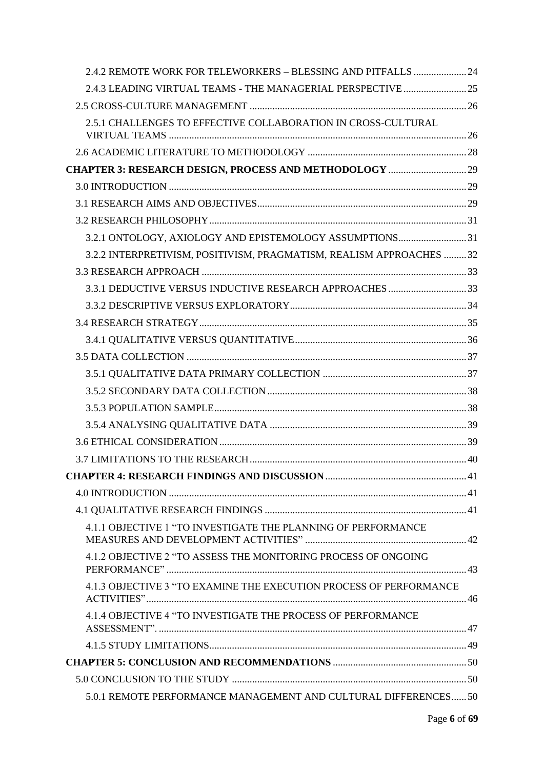| 2.4.2 REMOTE WORK FOR TELEWORKERS - BLESSING AND PITFALLS  24        |  |
|----------------------------------------------------------------------|--|
| 2.4.3 LEADING VIRTUAL TEAMS - THE MANAGERIAL PERSPECTIVE  25         |  |
|                                                                      |  |
| 2.5.1 CHALLENGES TO EFFECTIVE COLLABORATION IN CROSS-CULTURAL        |  |
|                                                                      |  |
|                                                                      |  |
|                                                                      |  |
|                                                                      |  |
|                                                                      |  |
|                                                                      |  |
| 3.2.1 ONTOLOGY, AXIOLOGY AND EPISTEMOLOGY ASSUMPTIONS 31             |  |
| 3.2.2 INTERPRETIVISM, POSITIVISM, PRAGMATISM, REALISM APPROACHES  32 |  |
|                                                                      |  |
|                                                                      |  |
|                                                                      |  |
|                                                                      |  |
|                                                                      |  |
|                                                                      |  |
|                                                                      |  |
|                                                                      |  |
|                                                                      |  |
|                                                                      |  |
|                                                                      |  |
|                                                                      |  |
|                                                                      |  |
|                                                                      |  |
|                                                                      |  |
| 4.1.1 OBJECTIVE 1 "TO INVESTIGATE THE PLANNING OF PERFORMANCE        |  |
| 4.1.2 OBJECTIVE 2 "TO ASSESS THE MONITORING PROCESS OF ONGOING       |  |
| 4.1.3 OBJECTIVE 3 "TO EXAMINE THE EXECUTION PROCESS OF PERFORMANCE   |  |
| 4.1.4 OBJECTIVE 4 "TO INVESTIGATE THE PROCESS OF PERFORMANCE         |  |
|                                                                      |  |
|                                                                      |  |
|                                                                      |  |
| 5.0.1 REMOTE PERFORMANCE MANAGEMENT AND CULTURAL DIFFERENCES 50      |  |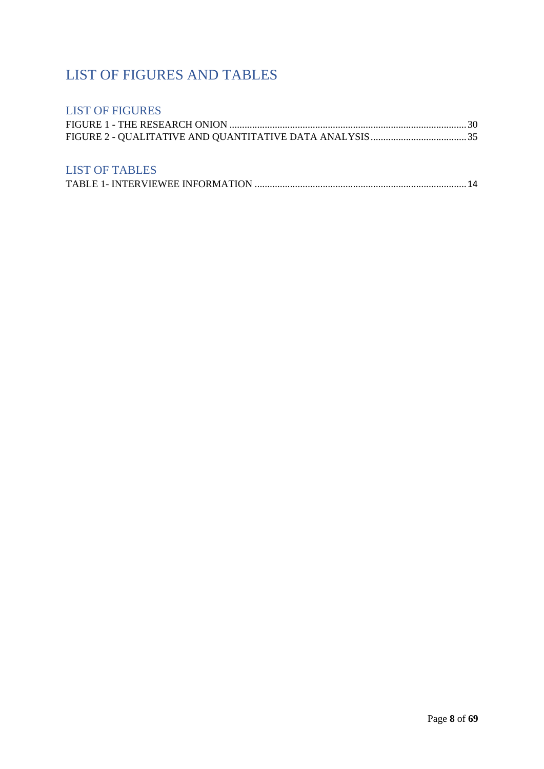# <span id="page-7-0"></span>LIST OF FIGURES AND TABLES

# <span id="page-7-1"></span>LIST OF FIGURES

# <span id="page-7-2"></span>LIST OF TABLES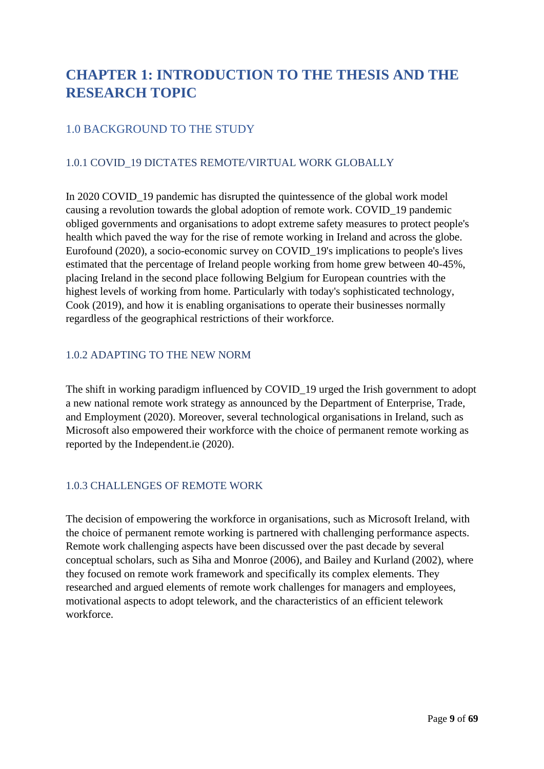# <span id="page-8-0"></span>**CHAPTER 1: INTRODUCTION TO THE THESIS AND THE RESEARCH TOPIC**

# <span id="page-8-1"></span>1.0 BACKGROUND TO THE STUDY

# <span id="page-8-2"></span>1.0.1 COVID\_19 DICTATES REMOTE/VIRTUAL WORK GLOBALLY

In 2020 COVID 19 pandemic has disrupted the quintessence of the global work model causing a revolution towards the global adoption of remote work. COVID\_19 pandemic obliged governments and organisations to adopt extreme safety measures to protect people's health which paved the way for the rise of remote working in Ireland and across the globe. Eurofound (2020), a socio-economic survey on COVID\_19's implications to people's lives estimated that the percentage of Ireland people working from home grew between 40-45%, placing Ireland in the second place following Belgium for European countries with the highest levels of working from home. Particularly with today's sophisticated technology, Cook (2019), and how it is enabling organisations to operate their businesses normally regardless of the geographical restrictions of their workforce.

### <span id="page-8-3"></span>1.0.2 ADAPTING TO THE NEW NORM

The shift in working paradigm influenced by COVID\_19 urged the Irish government to adopt a new national remote work strategy as announced by the Department of Enterprise, Trade, and Employment (2020). Moreover, several technological organisations in Ireland, such as Microsoft also empowered their workforce with the choice of permanent remote working as reported by the Independent.ie (2020).

### <span id="page-8-4"></span>1.0.3 CHALLENGES OF REMOTE WORK

The decision of empowering the workforce in organisations, such as Microsoft Ireland, with the choice of permanent remote working is partnered with challenging performance aspects. Remote work challenging aspects have been discussed over the past decade by several conceptual scholars, such as Siha and Monroe (2006), and Bailey and Kurland (2002), where they focused on remote work framework and specifically its complex elements. They researched and argued elements of remote work challenges for managers and employees, motivational aspects to adopt telework, and the characteristics of an efficient telework workforce.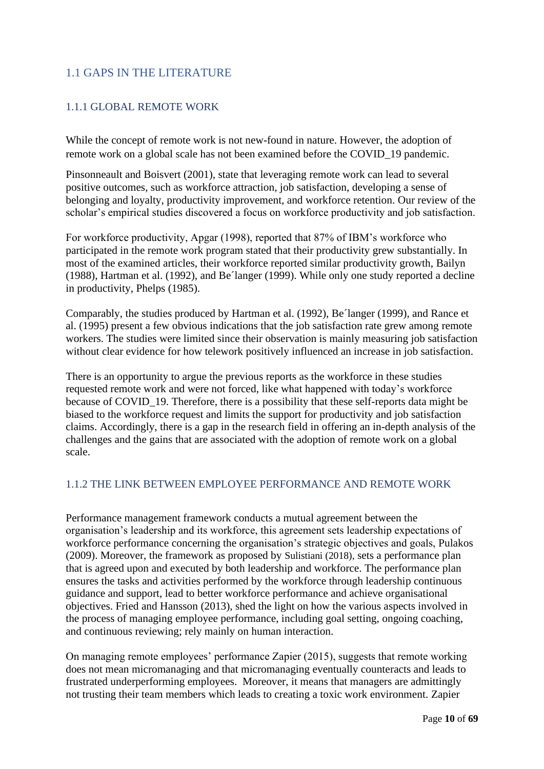# <span id="page-9-0"></span>1.1 GAPS IN THE LITERATURE

### <span id="page-9-1"></span>1.1.1 GLOBAL REMOTE WORK

While the concept of remote work is not new-found in nature. However, the adoption of remote work on a global scale has not been examined before the COVID\_19 pandemic.

Pinsonneault and Boisvert (2001), state that leveraging remote work can lead to several positive outcomes, such as workforce attraction, job satisfaction, developing a sense of belonging and loyalty, productivity improvement, and workforce retention. Our review of the scholar's empirical studies discovered a focus on workforce productivity and job satisfaction.

For workforce productivity, Apgar (1998), reported that 87% of IBM's workforce who participated in the remote work program stated that their productivity grew substantially. In most of the examined articles, their workforce reported similar productivity growth, Bailyn (1988), Hartman et al. (1992), and Be´langer (1999). While only one study reported a decline in productivity, Phelps (1985).

Comparably, the studies produced by Hartman et al. (1992), Be´langer (1999), and Rance et al. (1995) present a few obvious indications that the job satisfaction rate grew among remote workers. The studies were limited since their observation is mainly measuring job satisfaction without clear evidence for how telework positively influenced an increase in job satisfaction.

There is an opportunity to argue the previous reports as the workforce in these studies requested remote work and were not forced, like what happened with today's workforce because of COVID 19. Therefore, there is a possibility that these self-reports data might be biased to the workforce request and limits the support for productivity and job satisfaction claims. Accordingly, there is a gap in the research field in offering an in-depth analysis of the challenges and the gains that are associated with the adoption of remote work on a global scale.

### <span id="page-9-2"></span>1.1.2 THE LINK BETWEEN EMPLOYEE PERFORMANCE AND REMOTE WORK

Performance management framework conducts a mutual agreement between the organisation's leadership and its workforce, this agreement sets leadership expectations of workforce performance concerning the organisation's strategic objectives and goals, Pulakos (2009). Moreover, the framework as proposed by Sulistiani (2018), sets a performance plan that is agreed upon and executed by both leadership and workforce. The performance plan ensures the tasks and activities performed by the workforce through leadership continuous guidance and support, lead to better workforce performance and achieve organisational objectives. Fried and Hansson (2013), shed the light on how the various aspects involved in the process of managing employee performance, including goal setting, ongoing coaching, and continuous reviewing; rely mainly on human interaction.

On managing remote employees' performance Zapier (2015), suggests that remote working does not mean micromanaging and that micromanaging eventually counteracts and leads to frustrated underperforming employees. Moreover, it means that managers are admittingly not trusting their team members which leads to creating a toxic work environment. Zapier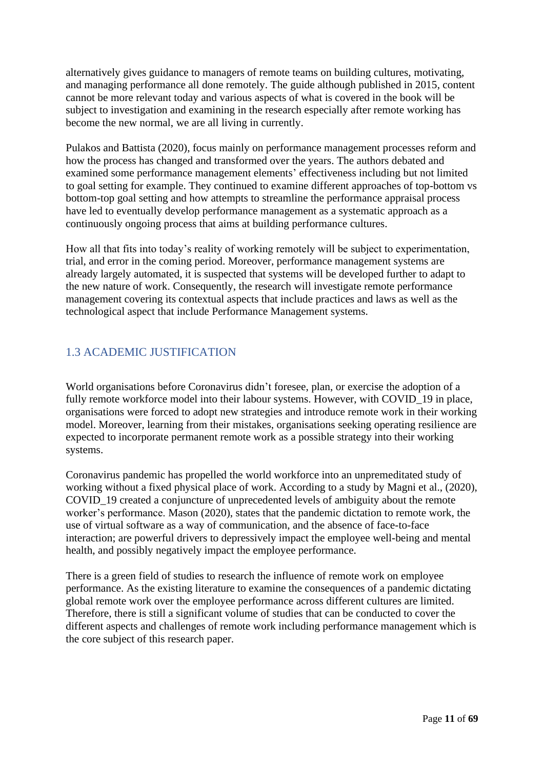alternatively gives guidance to managers of remote teams on building cultures, motivating, and managing performance all done remotely. The guide although published in 2015, content cannot be more relevant today and various aspects of what is covered in the book will be subject to investigation and examining in the research especially after remote working has become the new normal, we are all living in currently.

Pulakos and Battista (2020), focus mainly on performance management processes reform and how the process has changed and transformed over the years. The authors debated and examined some performance management elements' effectiveness including but not limited to goal setting for example. They continued to examine different approaches of top-bottom vs bottom-top goal setting and how attempts to streamline the performance appraisal process have led to eventually develop performance management as a systematic approach as a continuously ongoing process that aims at building performance cultures.

How all that fits into today's reality of working remotely will be subject to experimentation, trial, and error in the coming period. Moreover, performance management systems are already largely automated, it is suspected that systems will be developed further to adapt to the new nature of work. Consequently, the research will investigate remote performance management covering its contextual aspects that include practices and laws as well as the technological aspect that include Performance Management systems.

# <span id="page-10-0"></span>1.3 ACADEMIC JUSTIFICATION

World organisations before Coronavirus didn't foresee, plan, or exercise the adoption of a fully remote workforce model into their labour systems. However, with COVID 19 in place, organisations were forced to adopt new strategies and introduce remote work in their working model. Moreover, learning from their mistakes, organisations seeking operating resilience are expected to incorporate permanent remote work as a possible strategy into their working systems.

Coronavirus pandemic has propelled the world workforce into an unpremeditated study of working without a fixed physical place of work. According to a study by Magni et al., (2020), COVID\_19 created a conjuncture of unprecedented levels of ambiguity about the remote worker's performance. Mason (2020), states that the pandemic dictation to remote work, the use of virtual software as a way of communication, and the absence of face-to-face interaction; are powerful drivers to depressively impact the employee well-being and mental health, and possibly negatively impact the employee performance.

There is a green field of studies to research the influence of remote work on employee performance. As the existing literature to examine the consequences of a pandemic dictating global remote work over the employee performance across different cultures are limited. Therefore, there is still a significant volume of studies that can be conducted to cover the different aspects and challenges of remote work including performance management which is the core subject of this research paper.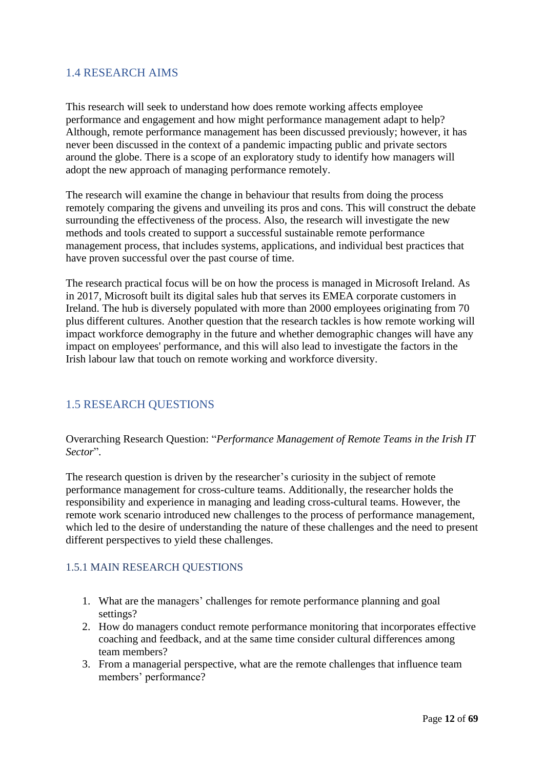# <span id="page-11-0"></span>1.4 RESEARCH AIMS

This research will seek to understand how does remote working affects employee performance and engagement and how might performance management adapt to help? Although, remote performance management has been discussed previously; however, it has never been discussed in the context of a pandemic impacting public and private sectors around the globe. There is a scope of an exploratory study to identify how managers will adopt the new approach of managing performance remotely.

The research will examine the change in behaviour that results from doing the process remotely comparing the givens and unveiling its pros and cons. This will construct the debate surrounding the effectiveness of the process. Also, the research will investigate the new methods and tools created to support a successful sustainable remote performance management process, that includes systems, applications, and individual best practices that have proven successful over the past course of time.

The research practical focus will be on how the process is managed in Microsoft Ireland. As in 2017, Microsoft built its digital sales hub that serves its EMEA corporate customers in Ireland. The hub is diversely populated with more than 2000 employees originating from 70 plus different cultures. Another question that the research tackles is how remote working will impact workforce demography in the future and whether demographic changes will have any impact on employees' performance, and this will also lead to investigate the factors in the Irish labour law that touch on remote working and workforce diversity.

# <span id="page-11-1"></span>1.5 RESEARCH QUESTIONS

Overarching Research Question: "*Performance Management of Remote Teams in the Irish IT Sector*".

The research question is driven by the researcher's curiosity in the subject of remote performance management for cross-culture teams. Additionally, the researcher holds the responsibility and experience in managing and leading cross-cultural teams. However, the remote work scenario introduced new challenges to the process of performance management, which led to the desire of understanding the nature of these challenges and the need to present different perspectives to yield these challenges.

### <span id="page-11-2"></span>1.5.1 MAIN RESEARCH QUESTIONS

- 1. What are the managers' challenges for remote performance planning and goal settings?
- 2. How do managers conduct remote performance monitoring that incorporates effective coaching and feedback, and at the same time consider cultural differences among team members?
- 3. From a managerial perspective, what are the remote challenges that influence team members' performance?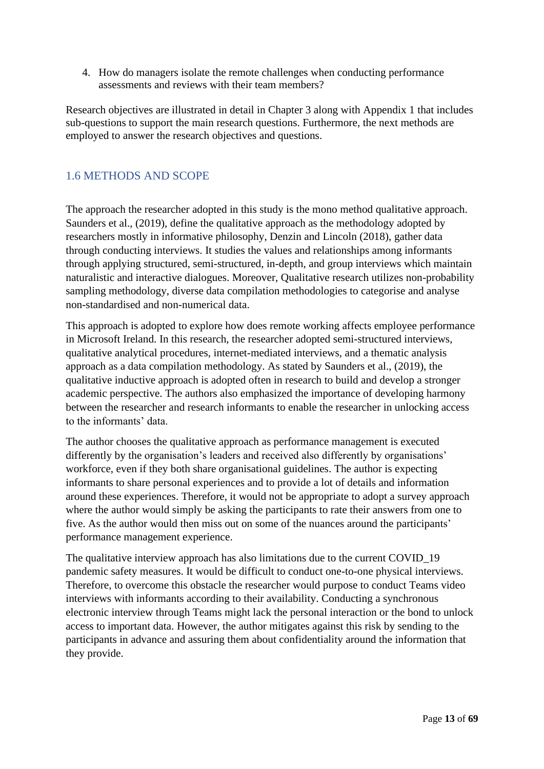4. How do managers isolate the remote challenges when conducting performance assessments and reviews with their team members?

Research objectives are illustrated in detail in Chapter 3 along with Appendix 1 that includes sub-questions to support the main research questions. Furthermore, the next methods are employed to answer the research objectives and questions.

# <span id="page-12-0"></span>1.6 METHODS AND SCOPE

The approach the researcher adopted in this study is the mono method qualitative approach. Saunders et al., (2019), define the qualitative approach as the methodology adopted by researchers mostly in informative philosophy, Denzin and Lincoln (2018), gather data through conducting interviews. It studies the values and relationships among informants through applying structured, semi-structured, in-depth, and group interviews which maintain naturalistic and interactive dialogues. Moreover, Qualitative research utilizes non-probability sampling methodology, diverse data compilation methodologies to categorise and analyse non-standardised and non-numerical data.

This approach is adopted to explore how does remote working affects employee performance in Microsoft Ireland. In this research, the researcher adopted semi-structured interviews, qualitative analytical procedures, internet-mediated interviews, and a thematic analysis approach as a data compilation methodology. As stated by Saunders et al., (2019), the qualitative inductive approach is adopted often in research to build and develop a stronger academic perspective. The authors also emphasized the importance of developing harmony between the researcher and research informants to enable the researcher in unlocking access to the informants' data.

The author chooses the qualitative approach as performance management is executed differently by the organisation's leaders and received also differently by organisations' workforce, even if they both share organisational guidelines. The author is expecting informants to share personal experiences and to provide a lot of details and information around these experiences. Therefore, it would not be appropriate to adopt a survey approach where the author would simply be asking the participants to rate their answers from one to five. As the author would then miss out on some of the nuances around the participants' performance management experience.

The qualitative interview approach has also limitations due to the current COVID\_19 pandemic safety measures. It would be difficult to conduct one-to-one physical interviews. Therefore, to overcome this obstacle the researcher would purpose to conduct Teams video interviews with informants according to their availability. Conducting a synchronous electronic interview through Teams might lack the personal interaction or the bond to unlock access to important data. However, the author mitigates against this risk by sending to the participants in advance and assuring them about confidentiality around the information that they provide.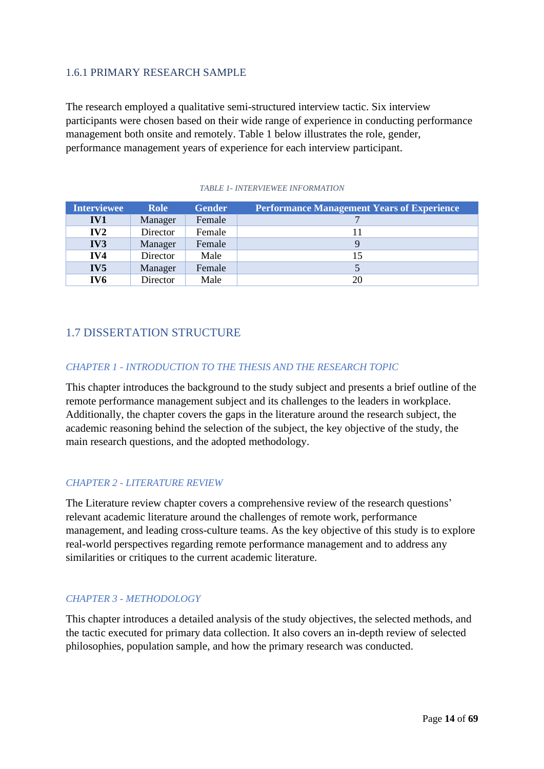### <span id="page-13-0"></span>1.6.1 PRIMARY RESEARCH SAMPLE

The research employed a qualitative semi-structured interview tactic. Six interview participants were chosen based on their wide range of experience in conducting performance management both onsite and remotely. Table 1 below illustrates the role, gender, performance management years of experience for each interview participant.

<span id="page-13-2"></span>

| <b>Interviewee</b> | <b>Role</b> | <b>Gender</b> | <b>Performance Management Years of Experience</b> |
|--------------------|-------------|---------------|---------------------------------------------------|
| IV1                | Manager     | Female        |                                                   |
| IV2                | Director    | Female        |                                                   |
| IV <sub>3</sub>    | Manager     | Female        |                                                   |
| IV4                | Director    | Male          | 15                                                |
| IV <sub>5</sub>    | Manager     | Female        |                                                   |
| IV6                | Director    | Male          | 20                                                |

#### *TABLE 1- INTERVIEWEE INFORMATION*

# <span id="page-13-1"></span>1.7 DISSERTATION STRUCTURE

### *CHAPTER 1 - INTRODUCTION TO THE THESIS AND THE RESEARCH TOPIC*

This chapter introduces the background to the study subject and presents a brief outline of the remote performance management subject and its challenges to the leaders in workplace. Additionally, the chapter covers the gaps in the literature around the research subject, the academic reasoning behind the selection of the subject, the key objective of the study, the main research questions, and the adopted methodology.

### *CHAPTER 2 - LITERATURE REVIEW*

The Literature review chapter covers a comprehensive review of the research questions' relevant academic literature around the challenges of remote work, performance management, and leading cross-culture teams. As the key objective of this study is to explore real-world perspectives regarding remote performance management and to address any similarities or critiques to the current academic literature.

### *CHAPTER 3 - METHODOLOGY*

This chapter introduces a detailed analysis of the study objectives, the selected methods, and the tactic executed for primary data collection. It also covers an in-depth review of selected philosophies, population sample, and how the primary research was conducted.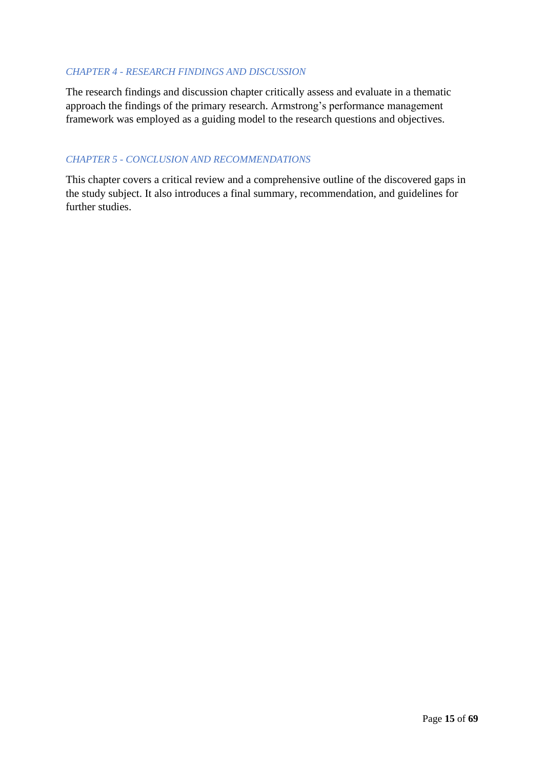### *CHAPTER 4 - RESEARCH FINDINGS AND DISCUSSION*

The research findings and discussion chapter critically assess and evaluate in a thematic approach the findings of the primary research. Armstrong's performance management framework was employed as a guiding model to the research questions and objectives.

### *CHAPTER 5 - CONCLUSION AND RECOMMENDATIONS*

This chapter covers a critical review and a comprehensive outline of the discovered gaps in the study subject. It also introduces a final summary, recommendation, and guidelines for further studies.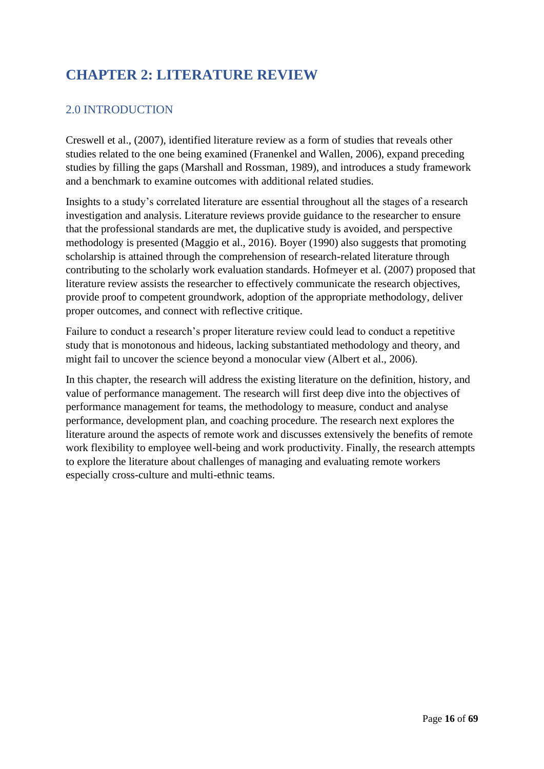# <span id="page-15-0"></span>**CHAPTER 2: LITERATURE REVIEW**

# <span id="page-15-1"></span>2.0 INTRODUCTION

Creswell et al., (2007), identified literature review as a form of studies that reveals other studies related to the one being examined (Franenkel and Wallen, 2006), expand preceding studies by filling the gaps [\(Marsh](http://158.132.155.107/posh97/private/Dissertation_resources/Use_of_literature.html#Marshall01)all and Rossman, 1989), and introduces a study framework and a benchmark to examine outcomes with additional related studies.

Insights to a study's correlated literature are essential throughout all the stages of a research investigation and analysis. Literature reviews provide guidance to the researcher to ensure that the professional standards are met, the duplicative study is avoided, and perspective methodology is presented (Maggio et al., 2016). Boyer (1990) also suggests that promoting scholarship is attained through the comprehension of research-related literature through contributing to the scholarly work evaluation standards. Hofmeyer et al. (2007) proposed that literature review assists the researcher to effectively communicate the research objectives, provide proof to competent groundwork, adoption of the appropriate methodology, deliver proper outcomes, and connect with reflective critique.

Failure to conduct a research's proper literature review could lead to conduct a repetitive study that is monotonous and hideous, lacking substantiated methodology and theory, and might fail to uncover the science beyond a monocular view (Albert et al., 2006).

In this chapter, the research will address the existing literature on the definition, history, and value of performance management. The research will first deep dive into the objectives of performance management for teams, the methodology to measure, conduct and analyse performance, development plan, and coaching procedure. The research next explores the literature around the aspects of remote work and discusses extensively the benefits of remote work flexibility to employee well-being and work productivity. Finally, the research attempts to explore the literature about challenges of managing and evaluating remote workers especially cross-culture and multi-ethnic teams.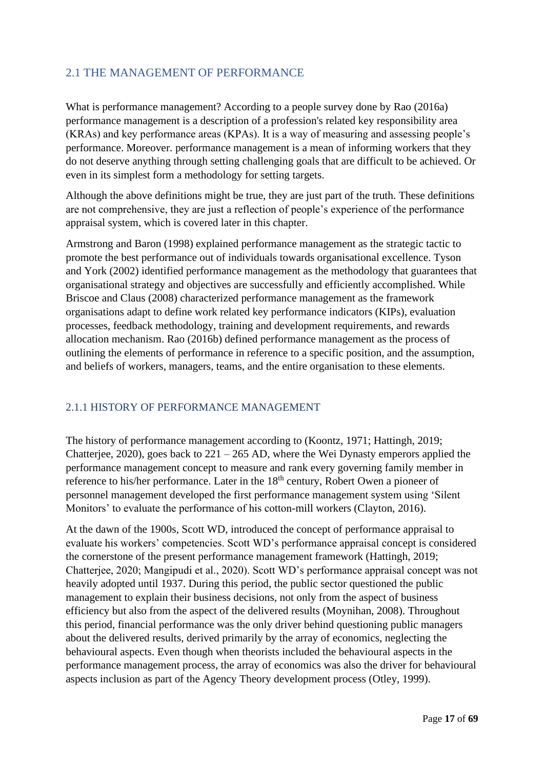# <span id="page-16-0"></span>2.1 THE MANAGEMENT OF PERFORMANCE

What is performance management? According to a people survey done by Rao (2016a) performance management is a description of a profession's related key responsibility area (KRAs) and key performance areas (KPAs). It is a way of measuring and assessing people's performance. Moreover. performance management is a mean of informing workers that they do not deserve anything through setting challenging goals that are difficult to be achieved. Or even in its simplest form a methodology for setting targets.

Although the above definitions might be true, they are just part of the truth. These definitions are not comprehensive, they are just a reflection of people's experience of the performance appraisal system, which is covered later in this chapter.

Armstrong and Baron (1998) explained performance management as the strategic tactic to promote the best performance out of individuals towards organisational excellence. Tyson and York (2002) identified performance management as the methodology that guarantees that organisational strategy and objectives are successfully and efficiently accomplished. While Briscoe and Claus (2008) characterized performance management as the framework organisations adapt to define work related key performance indicators (KIPs), evaluation processes, feedback methodology, training and development requirements, and rewards allocation mechanism. Rao (2016b) defined performance management as the process of outlining the elements of performance in reference to a specific position, and the assumption, and beliefs of workers, managers, teams, and the entire organisation to these elements.

### <span id="page-16-1"></span>2.1.1 HISTORY OF PERFORMANCE MANAGEMENT

The history of performance management according to (Koontz, 1971; Hattingh, 2019; Chatterjee, 2020), goes back to  $221 - 265$  AD, where the Wei Dynasty emperors applied the performance management concept to measure and rank every governing family member in reference to his/her performance. Later in the 18<sup>th</sup> century, Robert Owen a pioneer of personnel management developed the first performance management system using 'Silent Monitors' to evaluate the performance of his cotton-mill workers (Clayton, 2016).

At the dawn of the 1900s, Scott WD, introduced the concept of performance appraisal to evaluate his workers' competencies. Scott WD's performance appraisal concept is considered the cornerstone of the present performance management framework (Hattingh, 2019; Chatterjee, 2020; Mangipudi et al., 2020). Scott WD's performance appraisal concept was not heavily adopted until 1937. During this period, the public sector questioned the public management to explain their business decisions, not only from the aspect of business efficiency but also from the aspect of the delivered results (Moynihan, 2008). Throughout this period, financial performance was the only driver behind questioning public managers about the delivered results, derived primarily by the array of economics, neglecting the behavioural aspects. Even though when theorists included the behavioural aspects in the performance management process, the array of economics was also the driver for behavioural aspects inclusion as part of the Agency Theory development process (Otley, 1999).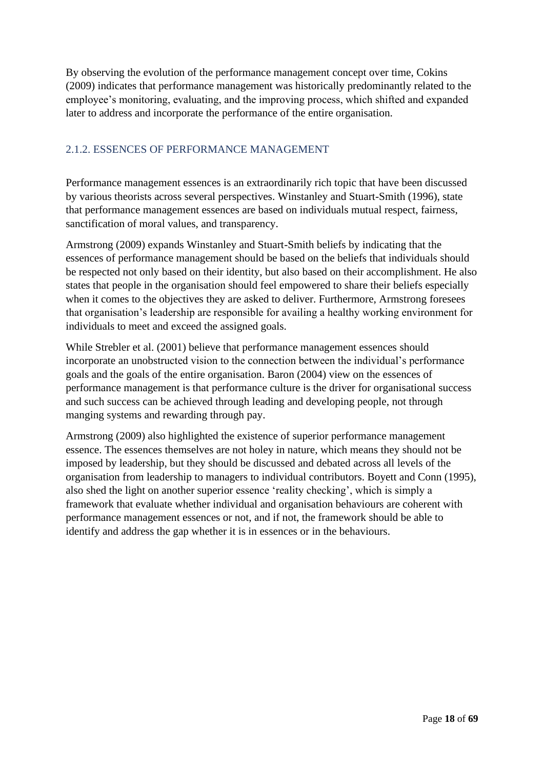By observing the evolution of the performance management concept over time, Cokins (2009) indicates that performance management was historically predominantly related to the employee's monitoring, evaluating, and the improving process, which shifted and expanded later to address and incorporate the performance of the entire organisation.

### <span id="page-17-0"></span>2.1.2. ESSENCES OF PERFORMANCE MANAGEMENT

Performance management essences is an extraordinarily rich topic that have been discussed by various theorists across several perspectives. Winstanley and Stuart-Smith (1996), state that performance management essences are based on individuals mutual respect, fairness, sanctification of moral values, and transparency.

Armstrong (2009) expands Winstanley and Stuart-Smith beliefs by indicating that the essences of performance management should be based on the beliefs that individuals should be respected not only based on their identity, but also based on their accomplishment. He also states that people in the organisation should feel empowered to share their beliefs especially when it comes to the objectives they are asked to deliver. Furthermore, Armstrong foresees that organisation's leadership are responsible for availing a healthy working environment for individuals to meet and exceed the assigned goals.

While Strebler et al. (2001) believe that performance management essences should incorporate an unobstructed vision to the connection between the individual's performance goals and the goals of the entire organisation. Baron (2004) view on the essences of performance management is that performance culture is the driver for organisational success and such success can be achieved through leading and developing people, not through manging systems and rewarding through pay.

Armstrong (2009) also highlighted the existence of superior performance management essence. The essences themselves are not holey in nature, which means they should not be imposed by leadership, but they should be discussed and debated across all levels of the organisation from leadership to managers to individual contributors. Boyett and Conn (1995), also shed the light on another superior essence 'reality checking', which is simply a framework that evaluate whether individual and organisation behaviours are coherent with performance management essences or not, and if not, the framework should be able to identify and address the gap whether it is in essences or in the behaviours.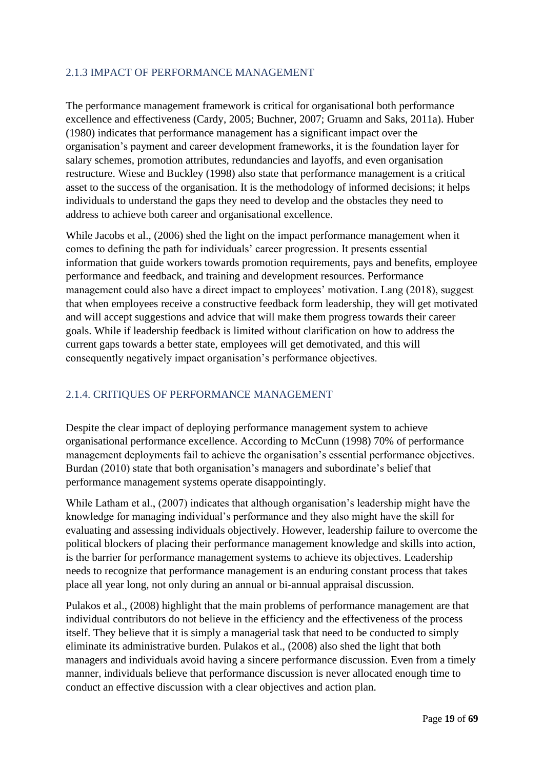## <span id="page-18-0"></span>2.1.3 IMPACT OF PERFORMANCE MANAGEMENT

The performance management framework is critical for organisational both performance excellence and effectiveness (Cardy, 2005; Buchner, 2007; Gruamn and Saks, 2011a). Huber (1980) indicates that performance management has a significant impact over the organisation's payment and career development frameworks, it is the foundation layer for salary schemes, promotion attributes, redundancies and layoffs, and even organisation restructure. Wiese and Buckley (1998) also state that performance management is a critical asset to the success of the organisation. It is the methodology of informed decisions; it helps individuals to understand the gaps they need to develop and the obstacles they need to address to achieve both career and organisational excellence.

While Jacobs et al., (2006) shed the light on the impact performance management when it comes to defining the path for individuals' career progression. It presents essential information that guide workers towards promotion requirements, pays and benefits, employee performance and feedback, and training and development resources. Performance management could also have a direct impact to employees' motivation. Lang (2018), suggest that when employees receive a constructive feedback form leadership, they will get motivated and will accept suggestions and advice that will make them progress towards their career goals. While if leadership feedback is limited without clarification on how to address the current gaps towards a better state, employees will get demotivated, and this will consequently negatively impact organisation's performance objectives.

# <span id="page-18-1"></span>2.1.4. CRITIQUES OF PERFORMANCE MANAGEMENT

Despite the clear impact of deploying performance management system to achieve organisational performance excellence. According to McCunn (1998) 70% of performance management deployments fail to achieve the organisation's essential performance objectives. Burdan (2010) state that both organisation's managers and subordinate's belief that performance management systems operate disappointingly.

While Latham et al., (2007) indicates that although organisation's leadership might have the knowledge for managing individual's performance and they also might have the skill for evaluating and assessing individuals objectively. However, leadership failure to overcome the political blockers of placing their performance management knowledge and skills into action, is the barrier for performance management systems to achieve its objectives. Leadership needs to recognize that performance management is an enduring constant process that takes place all year long, not only during an annual or bi-annual appraisal discussion.

Pulakos et al., (2008) highlight that the main problems of performance management are that individual contributors do not believe in the efficiency and the effectiveness of the process itself. They believe that it is simply a managerial task that need to be conducted to simply eliminate its administrative burden. Pulakos et al., (2008) also shed the light that both managers and individuals avoid having a sincere performance discussion. Even from a timely manner, individuals believe that performance discussion is never allocated enough time to conduct an effective discussion with a clear objectives and action plan.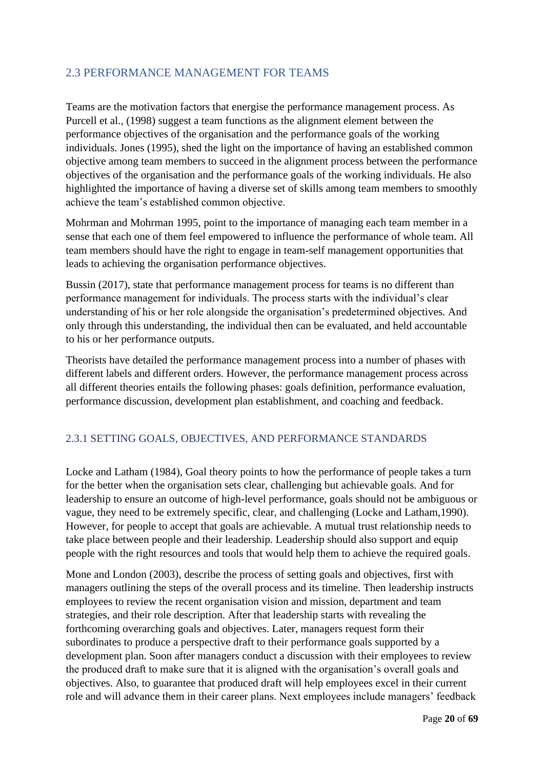# <span id="page-19-0"></span>2.3 PERFORMANCE MANAGEMENT FOR TEAMS

Teams are the motivation factors that energise the performance management process. As Purcell et al., (1998) suggest a team functions as the alignment element between the performance objectives of the organisation and the performance goals of the working individuals. Jones (1995), shed the light on the importance of having an established common objective among team members to succeed in the alignment process between the performance objectives of the organisation and the performance goals of the working individuals. He also highlighted the importance of having a diverse set of skills among team members to smoothly achieve the team's established common objective.

Mohrman and Mohrman 1995, point to the importance of managing each team member in a sense that each one of them feel empowered to influence the performance of whole team. All team members should have the right to engage in team-self management opportunities that leads to achieving the organisation performance objectives.

Bussin (2017), state that performance management process for teams is no different than performance management for individuals. The process starts with the individual's clear understanding of his or her role alongside the organisation's predetermined objectives. And only through this understanding, the individual then can be evaluated, and held accountable to his or her performance outputs.

Theorists have detailed the performance management process into a number of phases with different labels and different orders. However, the performance management process across all different theories entails the following phases: goals definition, performance evaluation, performance discussion, development plan establishment, and coaching and feedback.

### <span id="page-19-1"></span>2.3.1 SETTING GOALS, OBJECTIVES, AND PERFORMANCE STANDARDS

Locke and Latham (1984), Goal theory points to how the performance of people takes a turn for the better when the organisation sets clear, challenging but achievable goals. And for leadership to ensure an outcome of high-level performance, goals should not be ambiguous or vague, they need to be extremely specific, clear, and challenging (Locke and Latham,1990). However, for people to accept that goals are achievable. A mutual trust relationship needs to take place between people and their leadership. Leadership should also support and equip people with the right resources and tools that would help them to achieve the required goals.

Mone and London (2003), describe the process of setting goals and objectives, first with managers outlining the steps of the overall process and its timeline. Then leadership instructs employees to review the recent organisation vision and mission, department and team strategies, and their role description. After that leadership starts with revealing the forthcoming overarching goals and objectives. Later, managers request form their subordinates to produce a perspective draft to their performance goals supported by a development plan. Soon after managers conduct a discussion with their employees to review the produced draft to make sure that it is aligned with the organisation's overall goals and objectives. Also, to guarantee that produced draft will help employees excel in their current role and will advance them in their career plans. Next employees include managers' feedback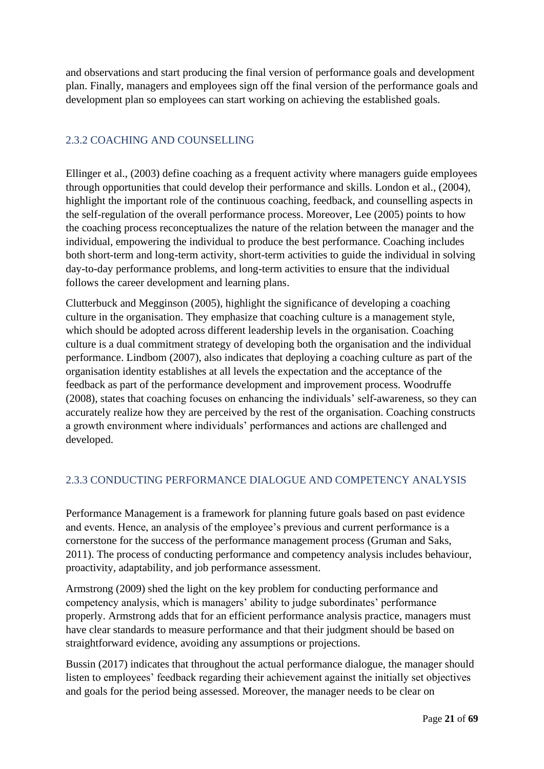and observations and start producing the final version of performance goals and development plan. Finally, managers and employees sign off the final version of the performance goals and development plan so employees can start working on achieving the established goals.

## <span id="page-20-0"></span>2.3.2 COACHING AND COUNSELLING

Ellinger et al., (2003) define coaching as a frequent activity where managers guide employees through opportunities that could develop their performance and skills. London et al., (2004), highlight the important role of the continuous coaching, feedback, and counselling aspects in the self-regulation of the overall performance process. Moreover, Lee (2005) points to how the coaching process reconceptualizes the nature of the relation between the manager and the individual, empowering the individual to produce the best performance. Coaching includes both short-term and long-term activity, short-term activities to guide the individual in solving day-to-day performance problems, and long-term activities to ensure that the individual follows the career development and learning plans.

Clutterbuck and Megginson (2005), highlight the significance of developing a coaching culture in the organisation. They emphasize that coaching culture is a management style, which should be adopted across different leadership levels in the organisation. Coaching culture is a dual commitment strategy of developing both the organisation and the individual performance. Lindbom (2007), also indicates that deploying a coaching culture as part of the organisation identity establishes at all levels the expectation and the acceptance of the feedback as part of the performance development and improvement process. Woodruffe (2008), states that coaching focuses on enhancing the individuals' self-awareness, so they can accurately realize how they are perceived by the rest of the organisation. Coaching constructs a growth environment where individuals' performances and actions are challenged and developed.

# <span id="page-20-1"></span>2.3.3 CONDUCTING PERFORMANCE DIALOGUE AND COMPETENCY ANALYSIS

Performance Management is a framework for planning future goals based on past evidence and events. Hence, an analysis of the employee's previous and current performance is a cornerstone for the success of the performance management process (Gruman and Saks, 2011). The process of conducting performance and competency analysis includes behaviour, proactivity, adaptability, and job performance assessment.

Armstrong (2009) shed the light on the key problem for conducting performance and competency analysis, which is managers' ability to judge subordinates' performance properly. Armstrong adds that for an efficient performance analysis practice, managers must have clear standards to measure performance and that their judgment should be based on straightforward evidence, avoiding any assumptions or projections.

Bussin (2017) indicates that throughout the actual performance dialogue, the manager should listen to employees' feedback regarding their achievement against the initially set objectives and goals for the period being assessed. Moreover, the manager needs to be clear on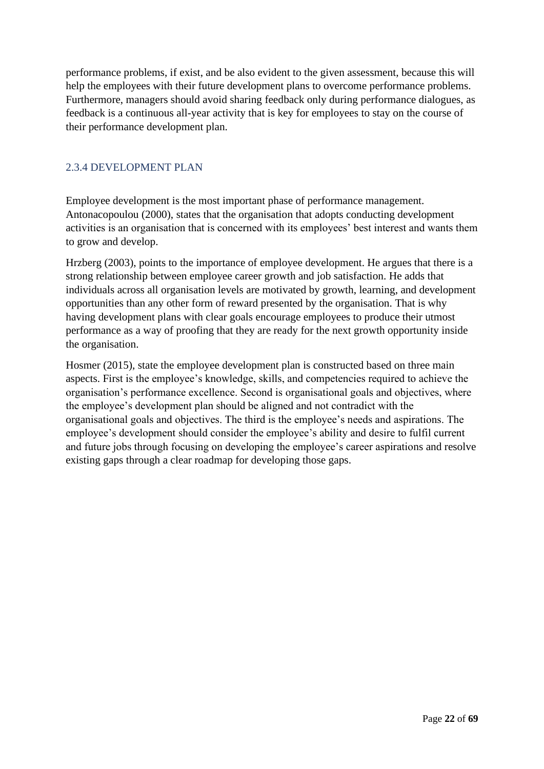performance problems, if exist, and be also evident to the given assessment, because this will help the employees with their future development plans to overcome performance problems. Furthermore, managers should avoid sharing feedback only during performance dialogues, as feedback is a continuous all-year activity that is key for employees to stay on the course of their performance development plan.

### <span id="page-21-0"></span>2.3.4 DEVELOPMENT PLAN

Employee development is the most important phase of performance management. Antonacopoulou (2000), states that the organisation that adopts conducting development activities is an organisation that is concerned with its employees' best interest and wants them to grow and develop.

Hrzberg (2003), points to the importance of employee development. He argues that there is a strong relationship between employee career growth and job satisfaction. He adds that individuals across all organisation levels are motivated by growth, learning, and development opportunities than any other form of reward presented by the organisation. That is why having development plans with clear goals encourage employees to produce their utmost performance as a way of proofing that they are ready for the next growth opportunity inside the organisation.

Hosmer (2015), state the employee development plan is constructed based on three main aspects. First is the employee's knowledge, skills, and competencies required to achieve the organisation's performance excellence. Second is organisational goals and objectives, where the employee's development plan should be aligned and not contradict with the organisational goals and objectives. The third is the employee's needs and aspirations. The employee's development should consider the employee's ability and desire to fulfil current and future jobs through focusing on developing the employee's career aspirations and resolve existing gaps through a clear roadmap for developing those gaps.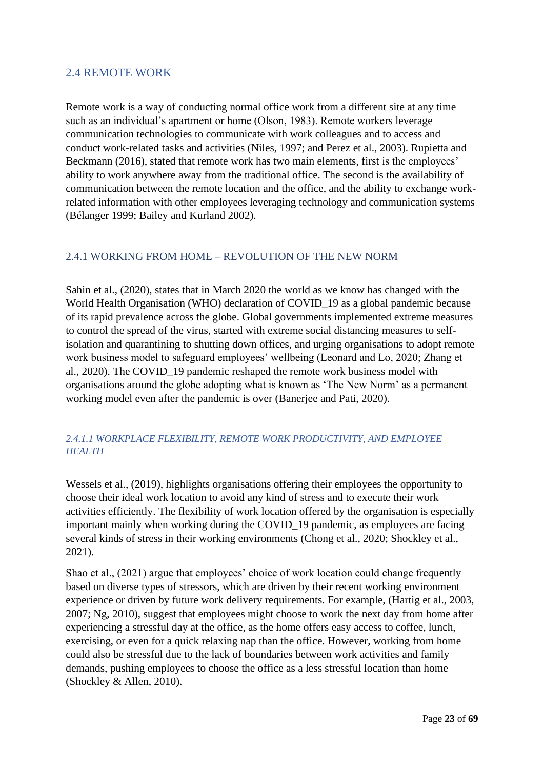# <span id="page-22-0"></span>2.4 REMOTE WORK

Remote work is a way of conducting normal office work from a different site at any time such as an individual's apartment or home (Olson, 1983). Remote workers leverage communication technologies to communicate with work colleagues and to access and conduct work-related tasks and activities (Niles, 1997; and Perez et al., 2003). Rupietta and Beckmann (2016), stated that remote work has two main elements, first is the employees' ability to work anywhere away from the traditional office. The second is the availability of communication between the remote location and the office, and the ability to exchange workrelated information with other employees leveraging technology and communication systems (Bélanger 1999; Bailey and Kurland 2002).

### <span id="page-22-1"></span>2.4.1 WORKING FROM HOME – REVOLUTION OF THE NEW NORM

Sahin et al., (2020), states that in March 2020 the world as we know has changed with the World Health Organisation (WHO) declaration of COVID\_19 as a global pandemic because of its rapid prevalence across the globe. Global governments implemented extreme measures to control the spread of the virus, started with extreme social distancing measures to selfisolation and quarantining to shutting down offices, and urging organisations to adopt remote work business model to safeguard employees' wellbeing (Leonard and Lo, 2020; Zhang et al., 2020). The COVID\_19 pandemic reshaped the remote work business model with organisations around the globe adopting what is known as 'The New Norm' as a permanent working model even after the pandemic is over (Banerjee and Pati, 2020).

### *2.4.1.1 WORKPLACE FLEXIBILITY, REMOTE WORK PRODUCTIVITY, AND EMPLOYEE HEALTH*

Wessels et al., (2019), highlights organisations offering their employees the opportunity to choose their ideal work location to avoid any kind of stress and to execute their work activities efficiently. The flexibility of work location offered by the organisation is especially important mainly when working during the COVID\_19 pandemic, as employees are facing several kinds of stress in their working environments (Chong et al., 2020; Shockley et al., 2021).

Shao et al., (2021) argue that employees' choice of work location could change frequently based on diverse types of stressors, which are driven by their recent working environment experience or driven by future work delivery requirements. For example, (Hartig et al., 2003, 2007; Ng, 2010), suggest that employees might choose to work the next day from home after experiencing a stressful day at the office, as the home offers easy access to coffee, lunch, exercising, or even for a quick relaxing nap than the office. However, working from home could also be stressful due to the lack of boundaries between work activities and family demands, pushing employees to choose the office as a less stressful location than home (Shockley & Allen, 2010).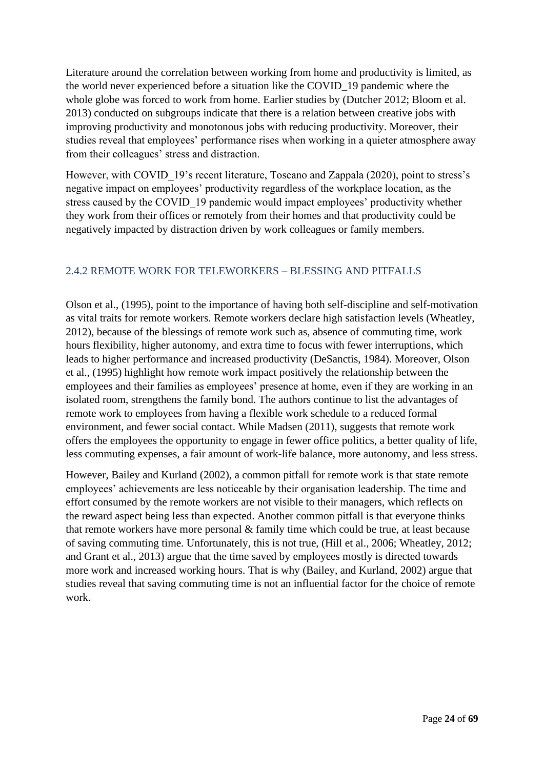Literature around the correlation between working from home and productivity is limited, as the world never experienced before a situation like the COVID\_19 pandemic where the whole globe was forced to work from home. Earlier studies by (Dutcher 2012; Bloom et al. 2013) conducted on subgroups indicate that there is a relation between creative jobs with improving productivity and monotonous jobs with reducing productivity. Moreover, their studies reveal that employees' performance rises when working in a quieter atmosphere away from their colleagues' stress and distraction.

However, with COVID 19's recent literature, Toscano and Zappala (2020), point to stress's negative impact on employees' productivity regardless of the workplace location, as the stress caused by the COVID 19 pandemic would impact employees' productivity whether they work from their offices or remotely from their homes and that productivity could be negatively impacted by distraction driven by work colleagues or family members.

### <span id="page-23-0"></span>2.4.2 REMOTE WORK FOR TELEWORKERS – BLESSING AND PITFALLS

Olson et al., (1995), point to the importance of having both self-discipline and self-motivation as vital traits for remote workers. Remote workers declare high satisfaction levels (Wheatley, 2012), because of the blessings of remote work such as, absence of commuting time, work hours flexibility, higher autonomy, and extra time to focus with fewer interruptions, which leads to higher performance and increased productivity (DeSanctis, 1984). Moreover, Olson et al., (1995) highlight how remote work impact positively the relationship between the employees and their families as employees' presence at home, even if they are working in an isolated room, strengthens the family bond. The authors continue to list the advantages of remote work to employees from having a flexible work schedule to a reduced formal environment, and fewer social contact. While Madsen (2011), suggests that remote work offers the employees the opportunity to engage in fewer office politics, a better quality of life, less commuting expenses, a fair amount of work-life balance, more autonomy, and less stress.

However, Bailey and Kurland (2002), a common pitfall for remote work is that state remote employees' achievements are less noticeable by their organisation leadership. The time and effort consumed by the remote workers are not visible to their managers, which reflects on the reward aspect being less than expected. Another common pitfall is that everyone thinks that remote workers have more personal & family time which could be true, at least because of saving commuting time. Unfortunately, this is not true, (Hill et al., 2006; Wheatley, 2012; and Grant et al., 2013) argue that the time saved by employees mostly is directed towards more work and increased working hours. That is why (Bailey, and Kurland, 2002) argue that studies reveal that saving commuting time is not an influential factor for the choice of remote work.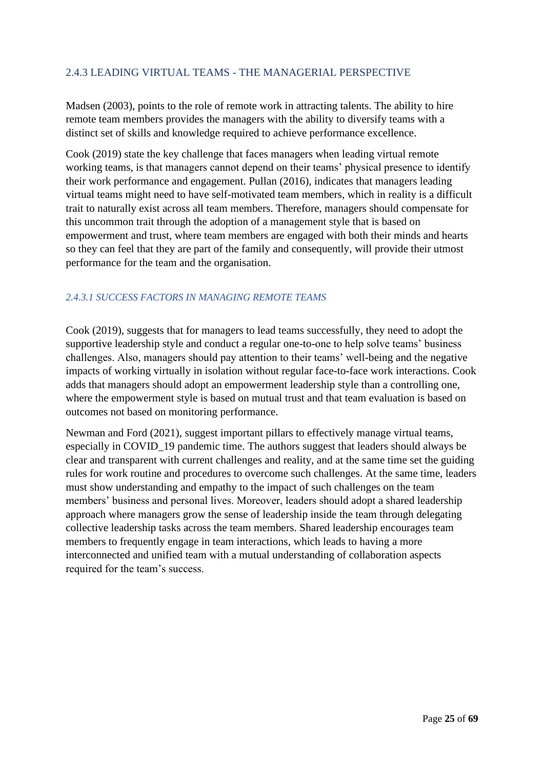## <span id="page-24-0"></span>2.4.3 LEADING VIRTUAL TEAMS - THE MANAGERIAL PERSPECTIVE

Madsen (2003), points to the role of remote work in attracting talents. The ability to hire remote team members provides the managers with the ability to diversify teams with a distinct set of skills and knowledge required to achieve performance excellence.

Cook (2019) state the key challenge that faces managers when leading virtual remote working teams, is that managers cannot depend on their teams' physical presence to identify their work performance and engagement. Pullan (2016), indicates that managers leading virtual teams might need to have self-motivated team members, which in reality is a difficult trait to naturally exist across all team members. Therefore, managers should compensate for this uncommon trait through the adoption of a management style that is based on empowerment and trust, where team members are engaged with both their minds and hearts so they can feel that they are part of the family and consequently, will provide their utmost performance for the team and the organisation.

### *2.4.3.1 SUCCESS FACTORS IN MANAGING REMOTE TEAMS*

Cook (2019), suggests that for managers to lead teams successfully, they need to adopt the supportive leadership style and conduct a regular one-to-one to help solve teams' business challenges. Also, managers should pay attention to their teams' well-being and the negative impacts of working virtually in isolation without regular face-to-face work interactions. Cook adds that managers should adopt an empowerment leadership style than a controlling one, where the empowerment style is based on mutual trust and that team evaluation is based on outcomes not based on monitoring performance.

Newman and Ford (2021), suggest important pillars to effectively manage virtual teams, especially in COVID\_19 pandemic time. The authors suggest that leaders should always be clear and transparent with current challenges and reality, and at the same time set the guiding rules for work routine and procedures to overcome such challenges. At the same time, leaders must show understanding and empathy to the impact of such challenges on the team members' business and personal lives. Moreover, leaders should adopt a shared leadership approach where managers grow the sense of leadership inside the team through delegating collective leadership tasks across the team members. Shared leadership encourages team members to frequently engage in team interactions, which leads to having a more interconnected and unified team with a mutual understanding of collaboration aspects required for the team's success.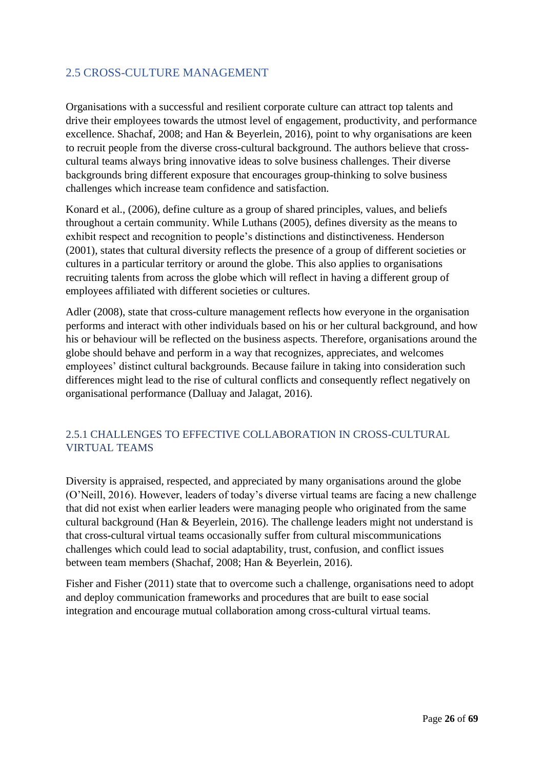# <span id="page-25-0"></span>2.5 CROSS-CULTURE MANAGEMENT

Organisations with a successful and resilient corporate culture can attract top talents and drive their employees towards the utmost level of engagement, productivity, and performance excellence. Shachaf, 2008; and Han & Beyerlein, 2016), point to why organisations are keen to recruit people from the diverse cross-cultural background. The authors believe that crosscultural teams always bring innovative ideas to solve business challenges. Their diverse backgrounds bring different exposure that encourages group-thinking to solve business challenges which increase team confidence and satisfaction.

Konard et al., (2006), define culture as a group of shared principles, values, and beliefs throughout a certain community. While Luthans (2005), defines diversity as the means to exhibit respect and recognition to people's distinctions and distinctiveness. Henderson (2001), states that cultural diversity reflects the presence of a group of different societies or cultures in a particular territory or around the globe. This also applies to organisations recruiting talents from across the globe which will reflect in having a different group of employees affiliated with different societies or cultures.

Adler (2008), state that cross-culture management reflects how everyone in the organisation performs and interact with other individuals based on his or her cultural background, and how his or behaviour will be reflected on the business aspects. Therefore, organisations around the globe should behave and perform in a way that recognizes, appreciates, and welcomes employees' distinct cultural backgrounds. Because failure in taking into consideration such differences might lead to the rise of cultural conflicts and consequently reflect negatively on organisational performance (Dalluay and Jalagat, 2016).

## <span id="page-25-1"></span>2.5.1 CHALLENGES TO EFFECTIVE COLLABORATION IN CROSS-CULTURAL VIRTUAL TEAMS

Diversity is appraised, respected, and appreciated by many organisations around the globe (O'Neill, 2016). However, leaders of today's diverse virtual teams are facing a new challenge that did not exist when earlier leaders were managing people who originated from the same cultural background (Han & Beyerlein, 2016). The challenge leaders might not understand is that cross-cultural virtual teams occasionally suffer from cultural miscommunications challenges which could lead to social adaptability, trust, confusion, and conflict issues between team members (Shachaf, 2008; Han & Beyerlein, 2016).

Fisher and Fisher (2011) state that to overcome such a challenge, organisations need to adopt and deploy communication frameworks and procedures that are built to ease social integration and encourage mutual collaboration among cross-cultural virtual teams.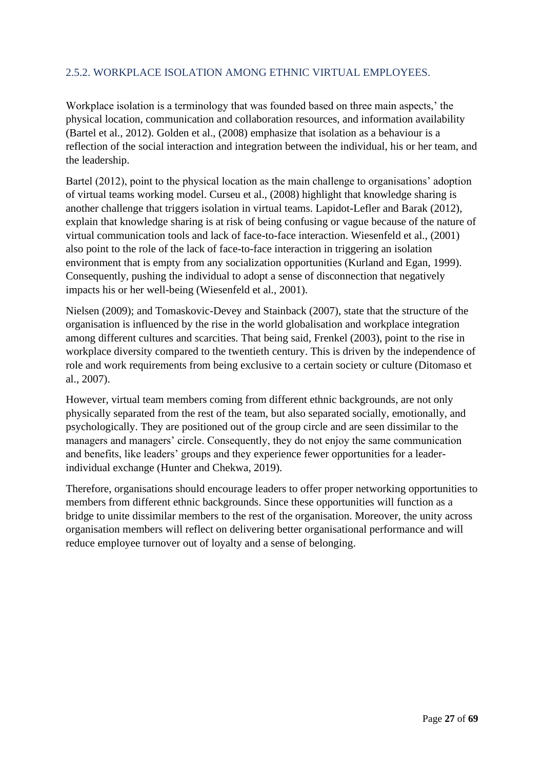## 2.5.2. WORKPLACE ISOLATION AMONG ETHNIC VIRTUAL EMPLOYEES.

Workplace isolation is a terminology that was founded based on three main aspects,' the physical location, communication and collaboration resources, and information availability (Bartel et al., 2012). Golden et al., (2008) emphasize that isolation as a behaviour is a reflection of the social interaction and integration between the individual, his or her team, and the leadership.

Bartel (2012), point to the physical location as the main challenge to organisations' adoption of virtual teams working model. Curseu et al., (2008) highlight that knowledge sharing is another challenge that triggers isolation in virtual teams. Lapidot-Lefler and Barak (2012), explain that knowledge sharing is at risk of being confusing or vague because of the nature of virtual communication tools and lack of face-to-face interaction. Wiesenfeld et al., (2001) also point to the role of the lack of face-to-face interaction in triggering an isolation environment that is empty from any socialization opportunities (Kurland and Egan, 1999). Consequently, pushing the individual to adopt a sense of disconnection that negatively impacts his or her well-being (Wiesenfeld et al., 2001).

Nielsen (2009); and Tomaskovic-Devey and Stainback (2007), state that the structure of the organisation is influenced by the rise in the world globalisation and workplace integration among different cultures and scarcities. That being said, Frenkel (2003), point to the rise in workplace diversity compared to the twentieth century. This is driven by the independence of role and work requirements from being exclusive to a certain society or culture (Ditomaso et al., 2007).

However, virtual team members coming from different ethnic backgrounds, are not only physically separated from the rest of the team, but also separated socially, emotionally, and psychologically. They are positioned out of the group circle and are seen dissimilar to the managers and managers' circle. Consequently, they do not enjoy the same communication and benefits, like leaders' groups and they experience fewer opportunities for a leaderindividual exchange [\(Hunter](https://www.researchgate.net/scientific-contributions/Debra-Hunter-2177930934?_sg%5B0%5D=zbwLw85uW5-h3QaXo1z5laEikqwZYSheriUR7w9oDS5u9L3Mfk_Zwg2uI1etsve0WNd1KHw.duWKPq9cy5szznEIe6Bpt2LB7al0btHopzmWfSR_XjwOEuBLfXrwa0jfhNmRWSYV4WjsAtdwvChB9Vi2KhmK_A&_sg%5B1%5D=NjrZCKU21GwjgZQ8rlZJj5cUvnUeOKKRtZeh2e9NNQ4JJacxWdMlW5Nqswb4cSGi0sLs9rw.J4Ga178IpN0YD6mxZja0mDkgiYMizHuzoc9PLEeCLO2_nqBX6fVhCRER9mTFqiJYZeLsA_x0JWTyslm07UACOw) and [Chekwa,](https://www.researchgate.net/scientific-contributions/Charles-Chekwa-2177963757?_sg%5B0%5D=zbwLw85uW5-h3QaXo1z5laEikqwZYSheriUR7w9oDS5u9L3Mfk_Zwg2uI1etsve0WNd1KHw.duWKPq9cy5szznEIe6Bpt2LB7al0btHopzmWfSR_XjwOEuBLfXrwa0jfhNmRWSYV4WjsAtdwvChB9Vi2KhmK_A&_sg%5B1%5D=NjrZCKU21GwjgZQ8rlZJj5cUvnUeOKKRtZeh2e9NNQ4JJacxWdMlW5Nqswb4cSGi0sLs9rw.J4Ga178IpN0YD6mxZja0mDkgiYMizHuzoc9PLEeCLO2_nqBX6fVhCRER9mTFqiJYZeLsA_x0JWTyslm07UACOw) 2019).

Therefore, organisations should encourage leaders to offer proper networking opportunities to members from different ethnic backgrounds. Since these opportunities will function as a bridge to unite dissimilar members to the rest of the organisation. Moreover, the unity across organisation members will reflect on delivering better organisational performance and will reduce employee turnover out of loyalty and a sense of belonging.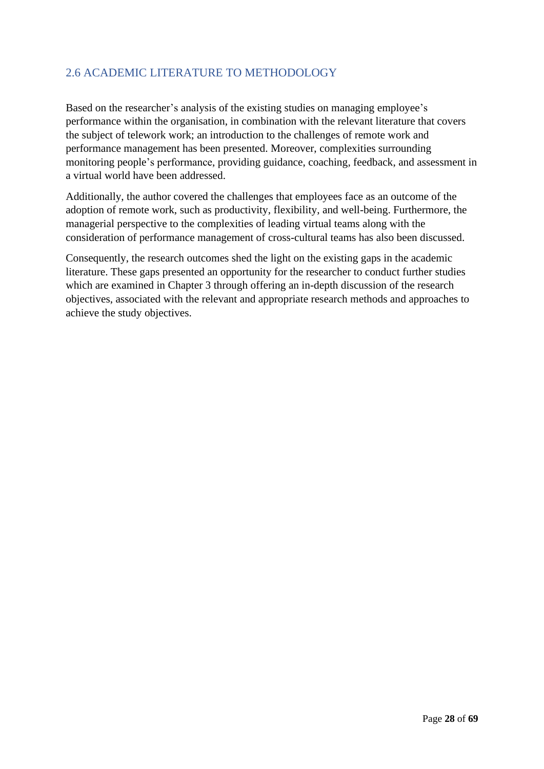# <span id="page-27-0"></span>2.6 ACADEMIC LITERATURE TO METHODOLOGY

Based on the researcher's analysis of the existing studies on managing employee's performance within the organisation, in combination with the relevant literature that covers the subject of telework work; an introduction to the challenges of remote work and performance management has been presented. Moreover, complexities surrounding monitoring people's performance, providing guidance, coaching, feedback, and assessment in a virtual world have been addressed.

Additionally, the author covered the challenges that employees face as an outcome of the adoption of remote work, such as productivity, flexibility, and well-being. Furthermore, the managerial perspective to the complexities of leading virtual teams along with the consideration of performance management of cross-cultural teams has also been discussed.

Consequently, the research outcomes shed the light on the existing gaps in the academic literature. These gaps presented an opportunity for the researcher to conduct further studies which are examined in Chapter 3 through offering an in-depth discussion of the research objectives, associated with the relevant and appropriate research methods and approaches to achieve the study objectives.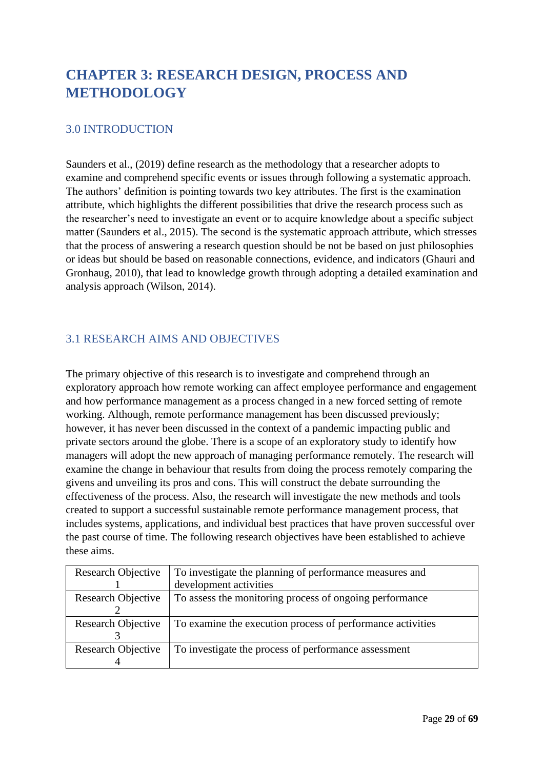# <span id="page-28-0"></span>**CHAPTER 3: RESEARCH DESIGN, PROCESS AND METHODOLOGY**

## <span id="page-28-1"></span>3.0 INTRODUCTION

Saunders et al., (2019) define research as the methodology that a researcher adopts to examine and comprehend specific events or issues through following a systematic approach. The authors' definition is pointing towards two key attributes. The first is the examination attribute, which highlights the different possibilities that drive the research process such as the researcher's need to investigate an event or to acquire knowledge about a specific subject matter (Saunders et al., 2015). The second is the systematic approach attribute, which stresses that the process of answering a research question should be not be based on just philosophies or ideas but should be based on reasonable connections, evidence, and indicators (Ghauri and Gronhaug, 2010), that lead to knowledge growth through adopting a detailed examination and analysis approach (Wilson, 2014).

# <span id="page-28-2"></span>3.1 RESEARCH AIMS AND OBJECTIVES

The primary objective of this research is to investigate and comprehend through an exploratory approach how remote working can affect employee performance and engagement and how performance management as a process changed in a new forced setting of remote working. Although, remote performance management has been discussed previously; however, it has never been discussed in the context of a pandemic impacting public and private sectors around the globe. There is a scope of an exploratory study to identify how managers will adopt the new approach of managing performance remotely. The research will examine the change in behaviour that results from doing the process remotely comparing the givens and unveiling its pros and cons. This will construct the debate surrounding the effectiveness of the process. Also, the research will investigate the new methods and tools created to support a successful sustainable remote performance management process, that includes systems, applications, and individual best practices that have proven successful over the past course of time. The following research objectives have been established to achieve these aims.

| Research Objective | To investigate the planning of performance measures and    |
|--------------------|------------------------------------------------------------|
|                    | development activities                                     |
| Research Objective | To assess the monitoring process of ongoing performance    |
|                    |                                                            |
| Research Objective | To examine the execution process of performance activities |
|                    |                                                            |
| Research Objective | To investigate the process of performance assessment       |
|                    |                                                            |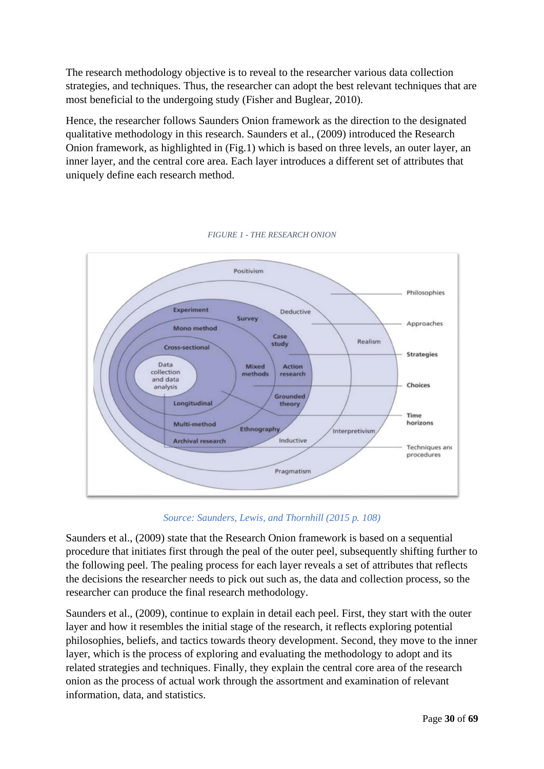The research methodology objective is to reveal to the researcher various data collection strategies, and techniques. Thus, the researcher can adopt the best relevant techniques that are most beneficial to the undergoing study (Fisher and Buglear, 2010).

Hence, the researcher follows Saunders Onion framework as the direction to the designated qualitative methodology in this research. Saunders et al., (2009) introduced the Research Onion framework, as highlighted in (Fig.1) which is based on three levels, an outer layer, an inner layer, and the central core area. Each layer introduces a different set of attributes that uniquely define each research method.

<span id="page-29-0"></span>

*FIGURE 1 - THE RESEARCH ONION*

### *Source: Saunders, Lewis, and Thornhill (2015 p. 108)*

Saunders et al., (2009) state that the Research Onion framework is based on a sequential procedure that initiates first through the peal of the outer peel, subsequently shifting further to the following peel. The pealing process for each layer reveals a set of attributes that reflects the decisions the researcher needs to pick out such as, the data and collection process, so the researcher can produce the final research methodology.

Saunders et al., (2009), continue to explain in detail each peel. First, they start with the outer layer and how it resembles the initial stage of the research, it reflects exploring potential philosophies, beliefs, and tactics towards theory development. Second, they move to the inner layer, which is the process of exploring and evaluating the methodology to adopt and its related strategies and techniques. Finally, they explain the central core area of the research onion as the process of actual work through the assortment and examination of relevant information, data, and statistics.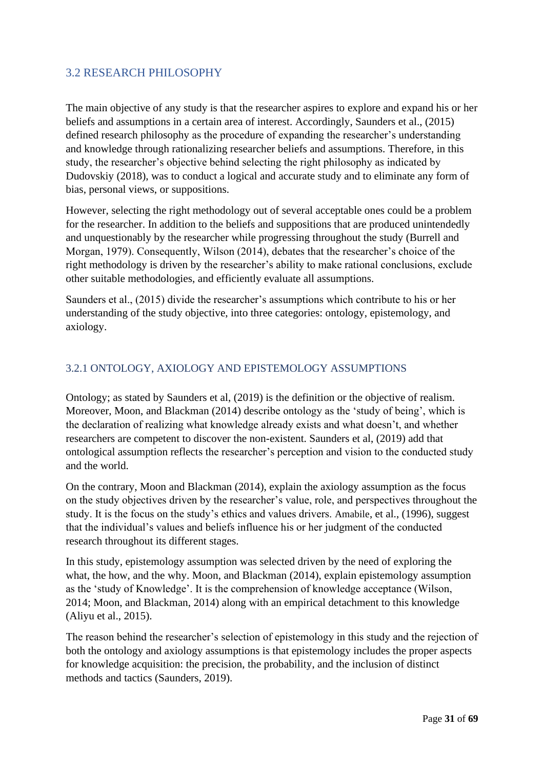# <span id="page-30-0"></span>3.2 RESEARCH PHILOSOPHY

The main objective of any study is that the researcher aspires to explore and expand his or her beliefs and assumptions in a certain area of interest. Accordingly, Saunders et al., (2015) defined research philosophy as the procedure of expanding the researcher's understanding and knowledge through rationalizing researcher beliefs and assumptions. Therefore, in this study, the researcher's objective behind selecting the right philosophy as indicated by Dudovskiy (2018), was to conduct a logical and accurate study and to eliminate any form of bias, personal views, or suppositions.

However, selecting the right methodology out of several acceptable ones could be a problem for the researcher. In addition to the beliefs and suppositions that are produced unintendedly and unquestionably by the researcher while progressing throughout the study (Burrell and Morgan, 1979). Consequently, Wilson (2014), debates that the researcher's choice of the right methodology is driven by the researcher's ability to make rational conclusions, exclude other suitable methodologies, and efficiently evaluate all assumptions.

Saunders et al., (2015) divide the researcher's assumptions which contribute to his or her understanding of the study objective, into three categories: ontology, epistemology, and axiology.

### <span id="page-30-1"></span>3.2.1 ONTOLOGY, AXIOLOGY AND EPISTEMOLOGY ASSUMPTIONS

Ontology; as stated by Saunders et al, (2019) is the definition or the objective of realism. Moreover, Moon, and Blackman (2014) describe ontology as the 'study of being', which is the declaration of realizing what knowledge already exists and what doesn't, and whether researchers are competent to discover the non-existent. Saunders et al, (2019) add that ontological assumption reflects the researcher's perception and vision to the conducted study and the world.

On the contrary, Moon and Blackman (2014), explain the axiology assumption as the focus on the study objectives driven by the researcher's value, role, and perspectives throughout the study. It is the focus on the study's ethics and values drivers. Amabile, et al., (1996), suggest that the individual's values and beliefs influence his or her judgment of the conducted research throughout its different stages.

In this study, epistemology assumption was selected driven by the need of exploring the what, the how, and the why. Moon, and Blackman (2014), explain epistemology assumption as the 'study of Knowledge'. It is the comprehension of knowledge acceptance (Wilson, 2014; Moon, and Blackman, 2014) along with an empirical detachment to this knowledge (Aliyu et al., 2015).

The reason behind the researcher's selection of epistemology in this study and the rejection of both the ontology and axiology assumptions is that epistemology includes the proper aspects for knowledge acquisition: the precision, the probability, and the inclusion of distinct methods and tactics (Saunders, 2019).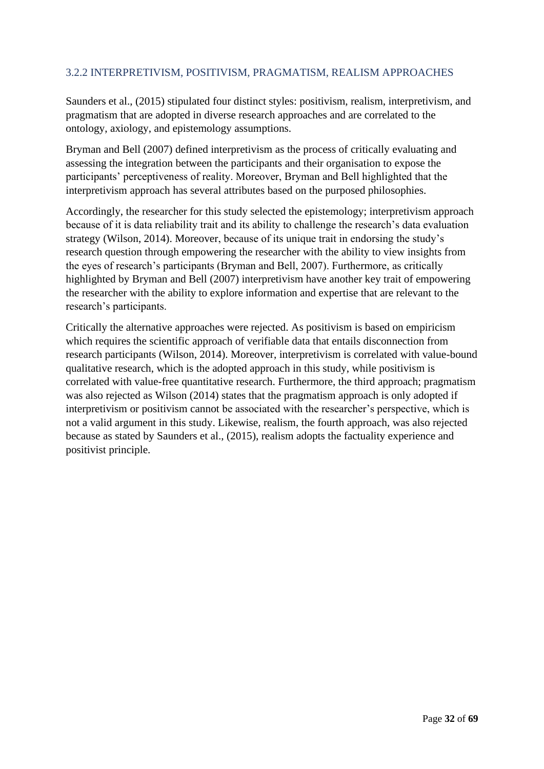## <span id="page-31-0"></span>3.2.2 INTERPRETIVISM, POSITIVISM, PRAGMATISM, REALISM APPROACHES

Saunders et al., (2015) stipulated four distinct styles: positivism, realism, interpretivism, and pragmatism that are adopted in diverse research approaches and are correlated to the ontology, axiology, and epistemology assumptions.

Bryman and Bell (2007) defined interpretivism as the process of critically evaluating and assessing the integration between the participants and their organisation to expose the participants' perceptiveness of reality. Moreover, Bryman and Bell highlighted that the interpretivism approach has several attributes based on the purposed philosophies.

Accordingly, the researcher for this study selected the epistemology; interpretivism approach because of it is data reliability trait and its ability to challenge the research's data evaluation strategy (Wilson, 2014). Moreover, because of its unique trait in endorsing the study's research question through empowering the researcher with the ability to view insights from the eyes of research's participants (Bryman and Bell, 2007). Furthermore, as critically highlighted by Bryman and Bell (2007) interpretivism have another key trait of empowering the researcher with the ability to explore information and expertise that are relevant to the research's participants.

Critically the alternative approaches were rejected. As positivism is based on empiricism which requires the scientific approach of verifiable data that entails disconnection from research participants (Wilson, 2014). Moreover, interpretivism is correlated with value-bound qualitative research, which is the adopted approach in this study, while positivism is correlated with value-free quantitative research. Furthermore, the third approach; pragmatism was also rejected as Wilson (2014) states that the pragmatism approach is only adopted if interpretivism or positivism cannot be associated with the researcher's perspective, which is not a valid argument in this study. Likewise, realism, the fourth approach, was also rejected because as stated by Saunders et al., (2015), realism adopts the factuality experience and positivist principle.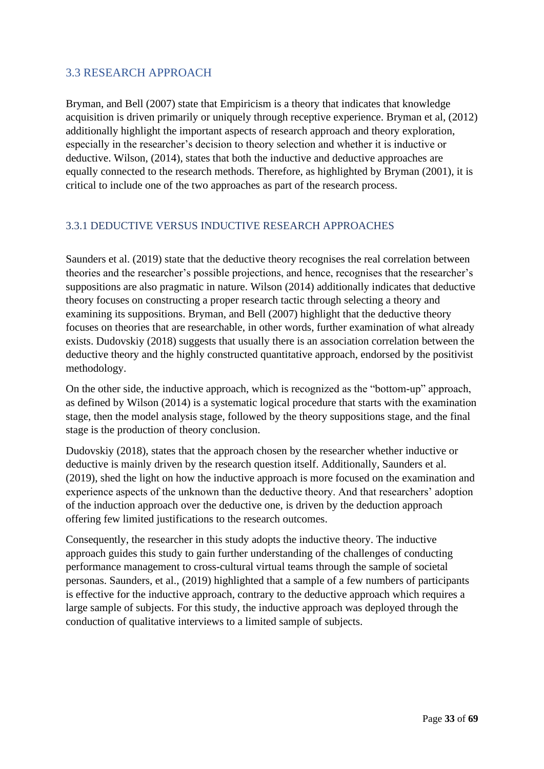# <span id="page-32-0"></span>3.3 RESEARCH APPROACH

Bryman, and Bell (2007) state that Empiricism is a theory that indicates that knowledge acquisition is driven primarily or uniquely through receptive experience. Bryman et al, (2012) additionally highlight the important aspects of research approach and theory exploration, especially in the researcher's decision to theory selection and whether it is inductive or deductive. Wilson, (2014), states that both the inductive and deductive approaches are equally connected to the research methods. Therefore, as highlighted by Bryman (2001), it is critical to include one of the two approaches as part of the research process.

### <span id="page-32-1"></span>3.3.1 DEDUCTIVE VERSUS INDUCTIVE RESEARCH APPROACHES

Saunders et al. (2019) state that the deductive theory recognises the real correlation between theories and the researcher's possible projections, and hence, recognises that the researcher's suppositions are also pragmatic in nature. Wilson (2014) additionally indicates that deductive theory focuses on constructing a proper research tactic through selecting a theory and examining its suppositions. Bryman, and Bell (2007) highlight that the deductive theory focuses on theories that are researchable, in other words, further examination of what already exists. Dudovskiy (2018) suggests that usually there is an association correlation between the deductive theory and the highly constructed quantitative approach, endorsed by the positivist methodology.

On the other side, the inductive approach, which is recognized as the "bottom-up" approach, as defined by Wilson (2014) is a systematic logical procedure that starts with the examination stage, then the model analysis stage, followed by the theory suppositions stage, and the final stage is the production of theory conclusion.

Dudovskiy (2018), states that the approach chosen by the researcher whether inductive or deductive is mainly driven by the research question itself. Additionally, Saunders et al. (2019), shed the light on how the inductive approach is more focused on the examination and experience aspects of the unknown than the deductive theory. And that researchers' adoption of the induction approach over the deductive one, is driven by the deduction approach offering few limited justifications to the research outcomes.

Consequently, the researcher in this study adopts the inductive theory. The inductive approach guides this study to gain further understanding of the challenges of conducting performance management to cross-cultural virtual teams through the sample of societal personas. Saunders, et al., (2019) highlighted that a sample of a few numbers of participants is effective for the inductive approach, contrary to the deductive approach which requires a large sample of subjects. For this study, the inductive approach was deployed through the conduction of qualitative interviews to a limited sample of subjects.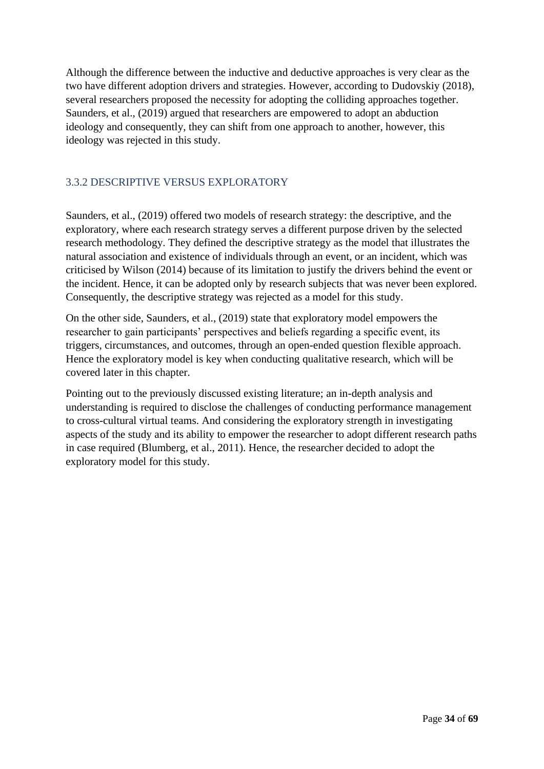Although the difference between the inductive and deductive approaches is very clear as the two have different adoption drivers and strategies. However, according to Dudovskiy (2018), several researchers proposed the necessity for adopting the colliding approaches together. Saunders, et al., (2019) argued that researchers are empowered to adopt an abduction ideology and consequently, they can shift from one approach to another, however, this ideology was rejected in this study.

### <span id="page-33-0"></span>3.3.2 DESCRIPTIVE VERSUS EXPLORATORY

Saunders, et al., (2019) offered two models of research strategy: the descriptive, and the exploratory, where each research strategy serves a different purpose driven by the selected research methodology. They defined the descriptive strategy as the model that illustrates the natural association and existence of individuals through an event, or an incident, which was criticised by Wilson (2014) because of its limitation to justify the drivers behind the event or the incident. Hence, it can be adopted only by research subjects that was never been explored. Consequently, the descriptive strategy was rejected as a model for this study.

On the other side, Saunders, et al., (2019) state that exploratory model empowers the researcher to gain participants' perspectives and beliefs regarding a specific event, its triggers, circumstances, and outcomes, through an open-ended question flexible approach. Hence the exploratory model is key when conducting qualitative research, which will be covered later in this chapter.

Pointing out to the previously discussed existing literature; an in-depth analysis and understanding is required to disclose the challenges of conducting performance management to cross-cultural virtual teams. And considering the exploratory strength in investigating aspects of the study and its ability to empower the researcher to adopt different research paths in case required (Blumberg, et al., 2011). Hence, the researcher decided to adopt the exploratory model for this study.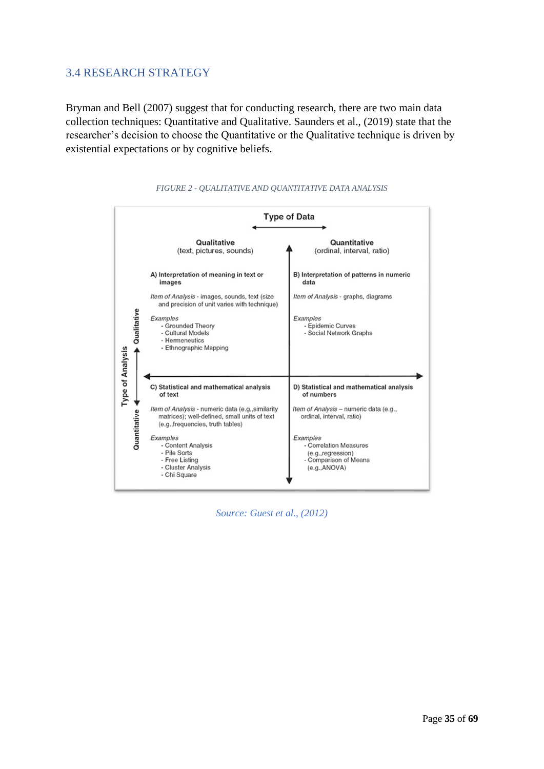# <span id="page-34-0"></span>3.4 RESEARCH STRATEGY

Bryman and Bell (2007) suggest that for conducting research, there are two main data collection techniques: Quantitative and Qualitative. Saunders et al., (2019) state that the researcher's decision to choose the Quantitative or the Qualitative technique is driven by existential expectations or by cognitive beliefs.

<span id="page-34-1"></span>



*Source: Guest et al., (2012)*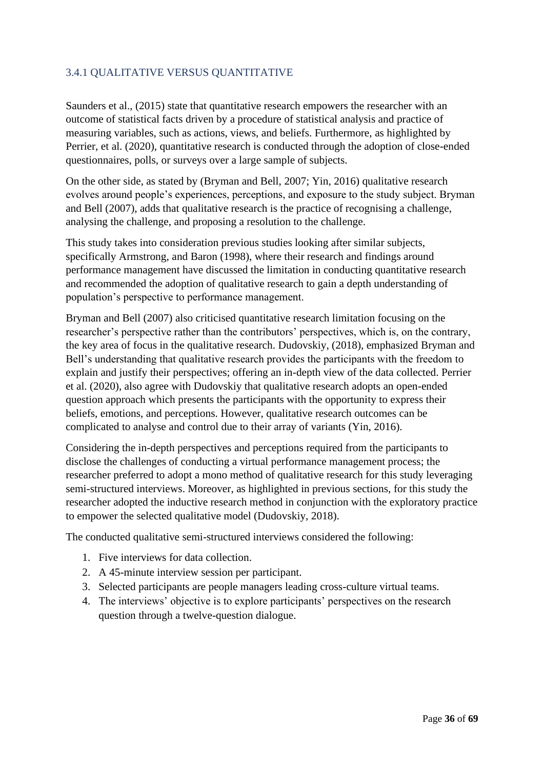# <span id="page-35-0"></span>3.4.1 QUALITATIVE VERSUS QUANTITATIVE

Saunders et al., (2015) state that quantitative research empowers the researcher with an outcome of statistical facts driven by a procedure of statistical analysis and practice of measuring variables, such as actions, views, and beliefs. Furthermore, as highlighted by Perrier, et al. (2020), quantitative research is conducted through the adoption of close-ended questionnaires, polls, or surveys over a large sample of subjects.

On the other side, as stated by (Bryman and Bell, 2007; Yin, 2016) qualitative research evolves around people's experiences, perceptions, and exposure to the study subject. Bryman and Bell (2007), adds that qualitative research is the practice of recognising a challenge, analysing the challenge, and proposing a resolution to the challenge.

This study takes into consideration previous studies looking after similar subjects, specifically Armstrong, and Baron (1998), where their research and findings around performance management have discussed the limitation in conducting quantitative research and recommended the adoption of qualitative research to gain a depth understanding of population's perspective to performance management.

Bryman and Bell (2007) also criticised quantitative research limitation focusing on the researcher's perspective rather than the contributors' perspectives, which is, on the contrary, the key area of focus in the qualitative research. Dudovskiy, (2018), emphasized Bryman and Bell's understanding that qualitative research provides the participants with the freedom to explain and justify their perspectives; offering an in-depth view of the data collected. Perrier et al. (2020), also agree with Dudovskiy that qualitative research adopts an open-ended question approach which presents the participants with the opportunity to express their beliefs, emotions, and perceptions. However, qualitative research outcomes can be complicated to analyse and control due to their array of variants (Yin, 2016).

Considering the in-depth perspectives and perceptions required from the participants to disclose the challenges of conducting a virtual performance management process; the researcher preferred to adopt a mono method of qualitative research for this study leveraging semi-structured interviews. Moreover, as highlighted in previous sections, for this study the researcher adopted the inductive research method in conjunction with the exploratory practice to empower the selected qualitative model (Dudovskiy, 2018).

The conducted qualitative semi-structured interviews considered the following:

- 1. Five interviews for data collection.
- 2. A 45-minute interview session per participant.
- 3. Selected participants are people managers leading cross-culture virtual teams.
- 4. The interviews' objective is to explore participants' perspectives on the research question through a twelve-question dialogue.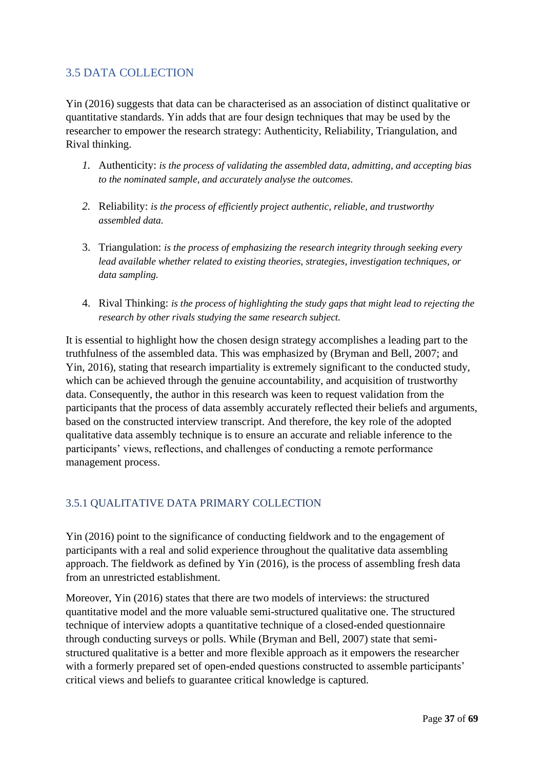# <span id="page-36-0"></span>3.5 DATA COLLECTION

Yin (2016) suggests that data can be characterised as an association of distinct qualitative or quantitative standards. Yin adds that are four design techniques that may be used by the researcher to empower the research strategy: Authenticity, Reliability, Triangulation, and Rival thinking.

- *1.* Authenticity: *is the process of validating the assembled data, admitting, and accepting bias to the nominated sample, and accurately analyse the outcomes.*
- *2.* Reliability: *is the process of efficiently project authentic, reliable, and trustworthy assembled data.*
- 3. Triangulation: *is the process of emphasizing the research integrity through seeking every lead available whether related to existing theories, strategies, investigation techniques, or data sampling.*
- 4. Rival Thinking: *is the process of highlighting the study gaps that might lead to rejecting the research by other rivals studying the same research subject.*

It is essential to highlight how the chosen design strategy accomplishes a leading part to the truthfulness of the assembled data. This was emphasized by (Bryman and Bell, 2007; and Yin, 2016), stating that research impartiality is extremely significant to the conducted study, which can be achieved through the genuine accountability, and acquisition of trustworthy data. Consequently, the author in this research was keen to request validation from the participants that the process of data assembly accurately reflected their beliefs and arguments, based on the constructed interview transcript. And therefore, the key role of the adopted qualitative data assembly technique is to ensure an accurate and reliable inference to the participants' views, reflections, and challenges of conducting a remote performance management process.

### <span id="page-36-1"></span>3.5.1 QUALITATIVE DATA PRIMARY COLLECTION

Yin (2016) point to the significance of conducting fieldwork and to the engagement of participants with a real and solid experience throughout the qualitative data assembling approach. The fieldwork as defined by Yin (2016), is the process of assembling fresh data from an unrestricted establishment.

Moreover, Yin (2016) states that there are two models of interviews: the structured quantitative model and the more valuable semi-structured qualitative one. The structured technique of interview adopts a quantitative technique of a closed-ended questionnaire through conducting surveys or polls. While (Bryman and Bell, 2007) state that semistructured qualitative is a better and more flexible approach as it empowers the researcher with a formerly prepared set of open-ended questions constructed to assemble participants' critical views and beliefs to guarantee critical knowledge is captured.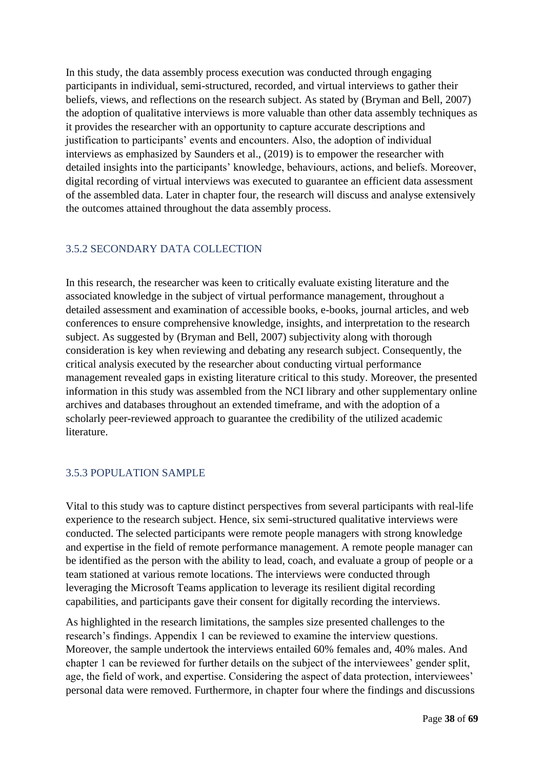In this study, the data assembly process execution was conducted through engaging participants in individual, semi-structured, recorded, and virtual interviews to gather their beliefs, views, and reflections on the research subject. As stated by (Bryman and Bell, 2007) the adoption of qualitative interviews is more valuable than other data assembly techniques as it provides the researcher with an opportunity to capture accurate descriptions and justification to participants' events and encounters. Also, the adoption of individual interviews as emphasized by Saunders et al., (2019) is to empower the researcher with detailed insights into the participants' knowledge, behaviours, actions, and beliefs. Moreover, digital recording of virtual interviews was executed to guarantee an efficient data assessment of the assembled data. Later in chapter four, the research will discuss and analyse extensively the outcomes attained throughout the data assembly process.

### <span id="page-37-0"></span>3.5.2 SECONDARY DATA COLLECTION

In this research, the researcher was keen to critically evaluate existing literature and the associated knowledge in the subject of virtual performance management, throughout a detailed assessment and examination of accessible books, e-books, journal articles, and web conferences to ensure comprehensive knowledge, insights, and interpretation to the research subject. As suggested by (Bryman and Bell, 2007) subjectivity along with thorough consideration is key when reviewing and debating any research subject. Consequently, the critical analysis executed by the researcher about conducting virtual performance management revealed gaps in existing literature critical to this study. Moreover, the presented information in this study was assembled from the NCI library and other supplementary online archives and databases throughout an extended timeframe, and with the adoption of a scholarly peer-reviewed approach to guarantee the credibility of the utilized academic literature.

### <span id="page-37-1"></span>3.5.3 POPULATION SAMPLE

Vital to this study was to capture distinct perspectives from several participants with real-life experience to the research subject. Hence, six semi-structured qualitative interviews were conducted. The selected participants were remote people managers with strong knowledge and expertise in the field of remote performance management. A remote people manager can be identified as the person with the ability to lead, coach, and evaluate a group of people or a team stationed at various remote locations. The interviews were conducted through leveraging the Microsoft Teams application to leverage its resilient digital recording capabilities, and participants gave their consent for digitally recording the interviews.

As highlighted in the research limitations, the samples size presented challenges to the research's findings. Appendix 1 can be reviewed to examine the interview questions. Moreover, the sample undertook the interviews entailed 60% females and, 40% males. And chapter 1 can be reviewed for further details on the subject of the interviewees' gender split, age, the field of work, and expertise. Considering the aspect of data protection, interviewees' personal data were removed. Furthermore, in chapter four where the findings and discussions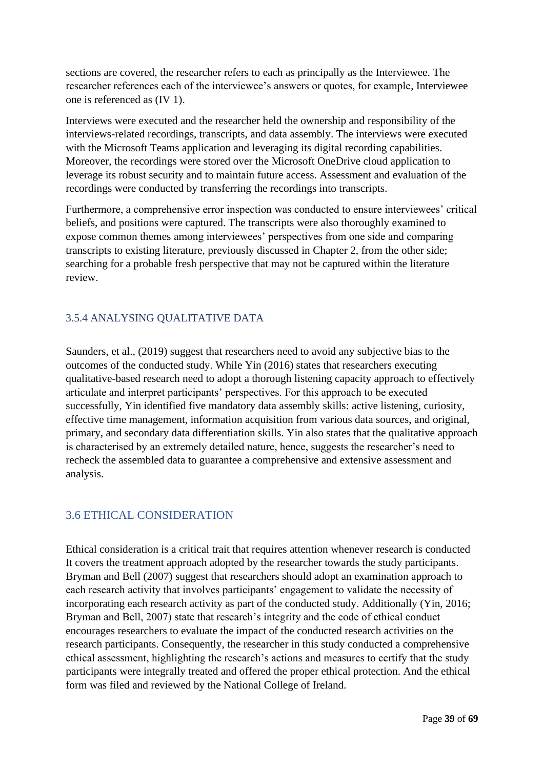sections are covered, the researcher refers to each as principally as the Interviewee. The researcher references each of the interviewee's answers or quotes, for example, Interviewee one is referenced as (IV 1).

Interviews were executed and the researcher held the ownership and responsibility of the interviews-related recordings, transcripts, and data assembly. The interviews were executed with the Microsoft Teams application and leveraging its digital recording capabilities. Moreover, the recordings were stored over the Microsoft OneDrive cloud application to leverage its robust security and to maintain future access. Assessment and evaluation of the recordings were conducted by transferring the recordings into transcripts.

Furthermore, a comprehensive error inspection was conducted to ensure interviewees' critical beliefs, and positions were captured. The transcripts were also thoroughly examined to expose common themes among interviewees' perspectives from one side and comparing transcripts to existing literature, previously discussed in Chapter 2, from the other side; searching for a probable fresh perspective that may not be captured within the literature review.

## <span id="page-38-0"></span>3.5.4 ANALYSING QUALITATIVE DATA

Saunders, et al., (2019) suggest that researchers need to avoid any subjective bias to the outcomes of the conducted study. While Yin (2016) states that researchers executing qualitative-based research need to adopt a thorough listening capacity approach to effectively articulate and interpret participants' perspectives. For this approach to be executed successfully, Yin identified five mandatory data assembly skills: active listening, curiosity, effective time management, information acquisition from various data sources, and original, primary, and secondary data differentiation skills. Yin also states that the qualitative approach is characterised by an extremely detailed nature, hence, suggests the researcher's need to recheck the assembled data to guarantee a comprehensive and extensive assessment and analysis.

# <span id="page-38-1"></span>3.6 ETHICAL CONSIDERATION

Ethical consideration is a critical trait that requires attention whenever research is conducted It covers the treatment approach adopted by the researcher towards the study participants. Bryman and Bell (2007) suggest that researchers should adopt an examination approach to each research activity that involves participants' engagement to validate the necessity of incorporating each research activity as part of the conducted study. Additionally (Yin, 2016; Bryman and Bell, 2007) state that research's integrity and the code of ethical conduct encourages researchers to evaluate the impact of the conducted research activities on the research participants. Consequently, the researcher in this study conducted a comprehensive ethical assessment, highlighting the research's actions and measures to certify that the study participants were integrally treated and offered the proper ethical protection. And the ethical form was filed and reviewed by the National College of Ireland.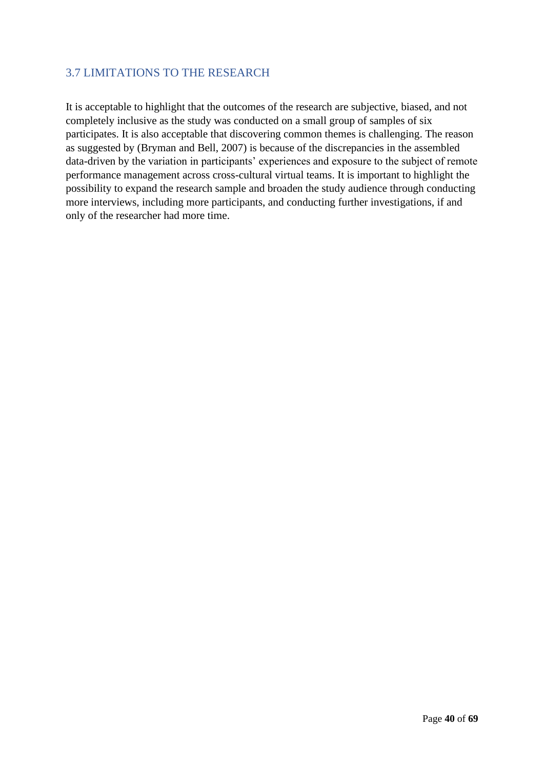# <span id="page-39-0"></span>3.7 LIMITATIONS TO THE RESEARCH

It is acceptable to highlight that the outcomes of the research are subjective, biased, and not completely inclusive as the study was conducted on a small group of samples of six participates. It is also acceptable that discovering common themes is challenging. The reason as suggested by (Bryman and Bell, 2007) is because of the discrepancies in the assembled data-driven by the variation in participants' experiences and exposure to the subject of remote performance management across cross-cultural virtual teams. It is important to highlight the possibility to expand the research sample and broaden the study audience through conducting more interviews, including more participants, and conducting further investigations, if and only of the researcher had more time.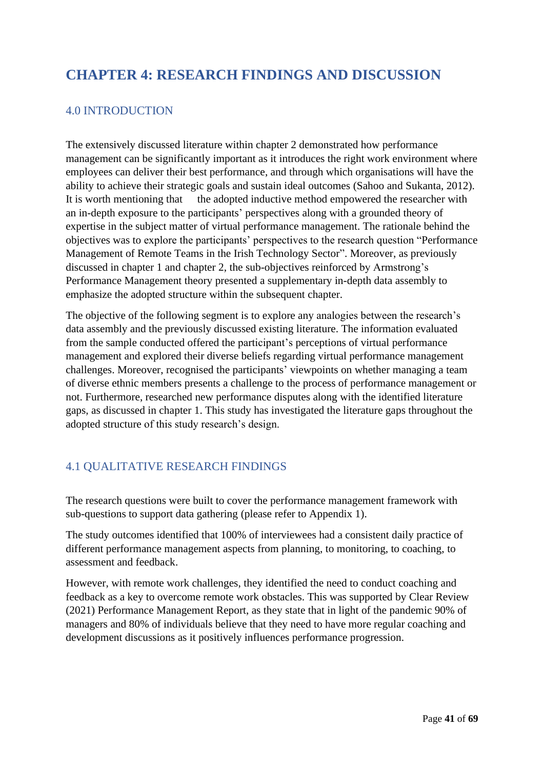# <span id="page-40-0"></span>**CHAPTER 4: RESEARCH FINDINGS AND DISCUSSION**

# <span id="page-40-1"></span>4.0 INTRODUCTION

The extensively discussed literature within chapter 2 demonstrated how performance management can be significantly important as it introduces the right work environment where employees can deliver their best performance, and through which organisations will have the ability to achieve their strategic goals and sustain ideal outcomes (Sahoo and Sukanta, 2012). It is worth mentioning that the adopted inductive method empowered the researcher with an in-depth exposure to the participants' perspectives along with a grounded theory of expertise in the subject matter of virtual performance management. The rationale behind the objectives was to explore the participants' perspectives to the research question "Performance Management of Remote Teams in the Irish Technology Sector". Moreover, as previously discussed in chapter 1 and chapter 2, the sub-objectives reinforced by Armstrong's Performance Management theory presented a supplementary in-depth data assembly to emphasize the adopted structure within the subsequent chapter.

The objective of the following segment is to explore any analogies between the research's data assembly and the previously discussed existing literature. The information evaluated from the sample conducted offered the participant's perceptions of virtual performance management and explored their diverse beliefs regarding virtual performance management challenges. Moreover, recognised the participants' viewpoints on whether managing a team of diverse ethnic members presents a challenge to the process of performance management or not. Furthermore, researched new performance disputes along with the identified literature gaps, as discussed in chapter 1. This study has investigated the literature gaps throughout the adopted structure of this study research's design.

# <span id="page-40-2"></span>4.1 QUALITATIVE RESEARCH FINDINGS

The research questions were built to cover the performance management framework with sub-questions to support data gathering (please refer to Appendix 1).

The study outcomes identified that 100% of interviewees had a consistent daily practice of different performance management aspects from planning, to monitoring, to coaching, to assessment and feedback.

However, with remote work challenges, they identified the need to conduct coaching and feedback as a key to overcome remote work obstacles. This was supported by Clear Review (2021) Performance Management Report, as they state that in light of the pandemic 90% of managers and 80% of individuals believe that they need to have more regular coaching and development discussions as it positively influences performance progression.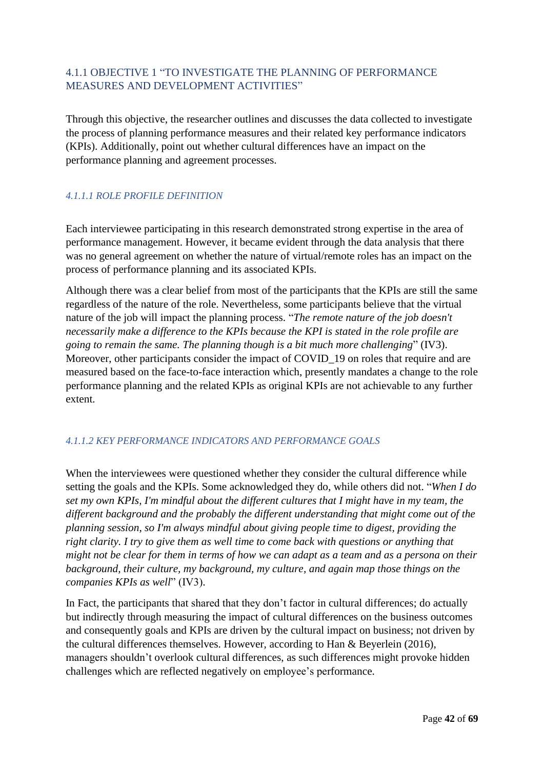## <span id="page-41-0"></span>4.1.1 OBJECTIVE 1 "TO INVESTIGATE THE PLANNING OF PERFORMANCE MEASURES AND DEVELOPMENT ACTIVITIES"

Through this objective, the researcher outlines and discusses the data collected to investigate the process of planning performance measures and their related key performance indicators (KPIs). Additionally, point out whether cultural differences have an impact on the performance planning and agreement processes.

## *4.1.1.1 ROLE PROFILE DEFINITION*

Each interviewee participating in this research demonstrated strong expertise in the area of performance management. However, it became evident through the data analysis that there was no general agreement on whether the nature of virtual/remote roles has an impact on the process of performance planning and its associated KPIs.

Although there was a clear belief from most of the participants that the KPIs are still the same regardless of the nature of the role. Nevertheless, some participants believe that the virtual nature of the job will impact the planning process. "*The remote nature of the job doesn't necessarily make a difference to the KPIs because the KPI is stated in the role profile are going to remain the same. The planning though is a bit much more challenging*" (IV3). Moreover, other participants consider the impact of COVID 19 on roles that require and are measured based on the face-to-face interaction which, presently mandates a change to the role performance planning and the related KPIs as original KPIs are not achievable to any further extent.

### *4.1.1.2 KEY PERFORMANCE INDICATORS AND PERFORMANCE GOALS*

When the interviewees were questioned whether they consider the cultural difference while setting the goals and the KPIs. Some acknowledged they do, while others did not. "*When I do set my own KPIs, I'm mindful about the different cultures that I might have in my team, the different background and the probably the different understanding that might come out of the planning session, so I'm always mindful about giving people time to digest, providing the right clarity. I try to give them as well time to come back with questions or anything that might not be clear for them in terms of how we can adapt as a team and as a persona on their background, their culture, my background, my culture, and again map those things on the companies KPIs as well*" (IV3).

In Fact, the participants that shared that they don't factor in cultural differences; do actually but indirectly through measuring the impact of cultural differences on the business outcomes and consequently goals and KPIs are driven by the cultural impact on business; not driven by the cultural differences themselves. However, according to Han & Beyerlein (2016), managers shouldn't overlook cultural differences, as such differences might provoke hidden challenges which are reflected negatively on employee's performance.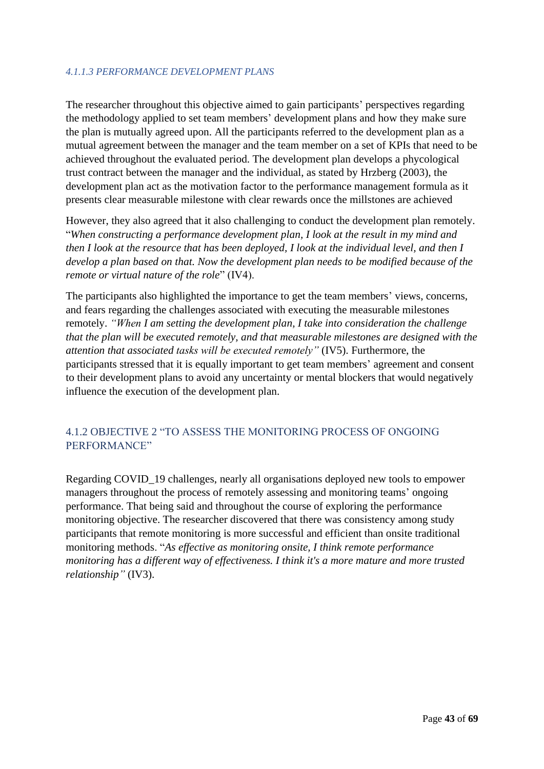#### *4.1.1.3 PERFORMANCE DEVELOPMENT PLANS*

The researcher throughout this objective aimed to gain participants' perspectives regarding the methodology applied to set team members' development plans and how they make sure the plan is mutually agreed upon. All the participants referred to the development plan as a mutual agreement between the manager and the team member on a set of KPIs that need to be achieved throughout the evaluated period. The development plan develops a phycological trust contract between the manager and the individual, as stated by Hrzberg (2003), the development plan act as the motivation factor to the performance management formula as it presents clear measurable milestone with clear rewards once the millstones are achieved

However, they also agreed that it also challenging to conduct the development plan remotely. "*When constructing a performance development plan, I look at the result in my mind and then I look at the resource that has been deployed, I look at the individual level, and then I develop a plan based on that. Now the development plan needs to be modified because of the remote or virtual nature of the role*" (IV4).

The participants also highlighted the importance to get the team members' views, concerns, and fears regarding the challenges associated with executing the measurable milestones remotely. *"When I am setting the development plan, I take into consideration the challenge that the plan will be executed remotely, and that measurable milestones are designed with the attention that associated tasks will be executed remotely"* (IV5). Furthermore, the participants stressed that it is equally important to get team members' agreement and consent to their development plans to avoid any uncertainty or mental blockers that would negatively influence the execution of the development plan.

## <span id="page-42-0"></span>4.1.2 OBJECTIVE 2 "TO ASSESS THE MONITORING PROCESS OF ONGOING PERFORMANCE"

Regarding COVID\_19 challenges, nearly all organisations deployed new tools to empower managers throughout the process of remotely assessing and monitoring teams' ongoing performance. That being said and throughout the course of exploring the performance monitoring objective. The researcher discovered that there was consistency among study participants that remote monitoring is more successful and efficient than onsite traditional monitoring methods. "*As effective as monitoring onsite, I think remote performance monitoring has a different way of effectiveness. I think it's a more mature and more trusted relationship"* (IV3).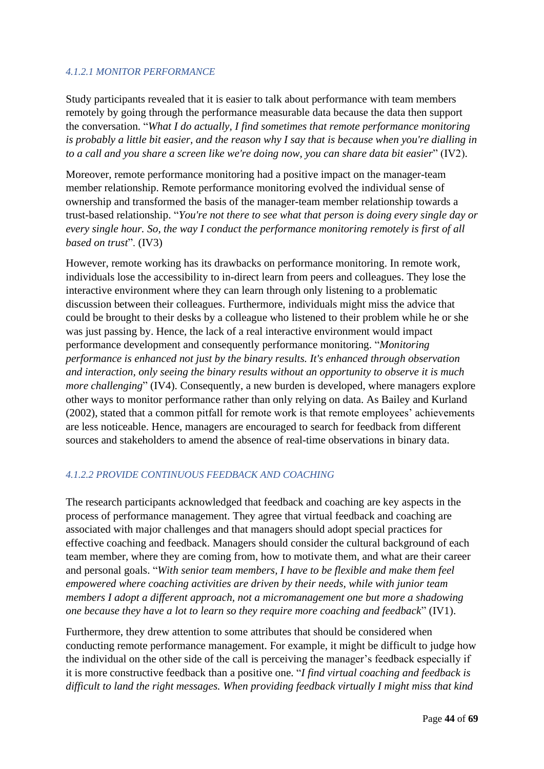### *4.1.2.1 MONITOR PERFORMANCE*

Study participants revealed that it is easier to talk about performance with team members remotely by going through the performance measurable data because the data then support the conversation. "*What I do actually, I find sometimes that remote performance monitoring is probably a little bit easier, and the reason why I say that is because when you're dialling in to a call and you share a screen like we're doing now, you can share data bit easier*" (IV2).

Moreover, remote performance monitoring had a positive impact on the manager-team member relationship. Remote performance monitoring evolved the individual sense of ownership and transformed the basis of the manager-team member relationship towards a trust-based relationship. "*You're not there to see what that person is doing every single day or every single hour. So, the way I conduct the performance monitoring remotely is first of all based on trust*". (IV3)

However, remote working has its drawbacks on performance monitoring. In remote work, individuals lose the accessibility to in-direct learn from peers and colleagues. They lose the interactive environment where they can learn through only listening to a problematic discussion between their colleagues. Furthermore, individuals might miss the advice that could be brought to their desks by a colleague who listened to their problem while he or she was just passing by. Hence, the lack of a real interactive environment would impact performance development and consequently performance monitoring. "*Monitoring performance is enhanced not just by the binary results. It's enhanced through observation and interaction, only seeing the binary results without an opportunity to observe it is much more challenging*" (IV4). Consequently, a new burden is developed, where managers explore other ways to monitor performance rather than only relying on data. As Bailey and Kurland (2002), stated that a common pitfall for remote work is that remote employees' achievements are less noticeable. Hence, managers are encouraged to search for feedback from different sources and stakeholders to amend the absence of real-time observations in binary data.

### *4.1.2.2 PROVIDE CONTINUOUS FEEDBACK AND COACHING*

The research participants acknowledged that feedback and coaching are key aspects in the process of performance management. They agree that virtual feedback and coaching are associated with major challenges and that managers should adopt special practices for effective coaching and feedback. Managers should consider the cultural background of each team member, where they are coming from, how to motivate them, and what are their career and personal goals. "*With senior team members, I have to be flexible and make them feel empowered where coaching activities are driven by their needs, while with junior team members I adopt a different approach, not a micromanagement one but more a shadowing one because they have a lot to learn so they require more coaching and feedback*" (IV1).

Furthermore, they drew attention to some attributes that should be considered when conducting remote performance management. For example, it might be difficult to judge how the individual on the other side of the call is perceiving the manager's feedback especially if it is more constructive feedback than a positive one. "*I find virtual coaching and feedback is difficult to land the right messages. When providing feedback virtually I might miss that kind*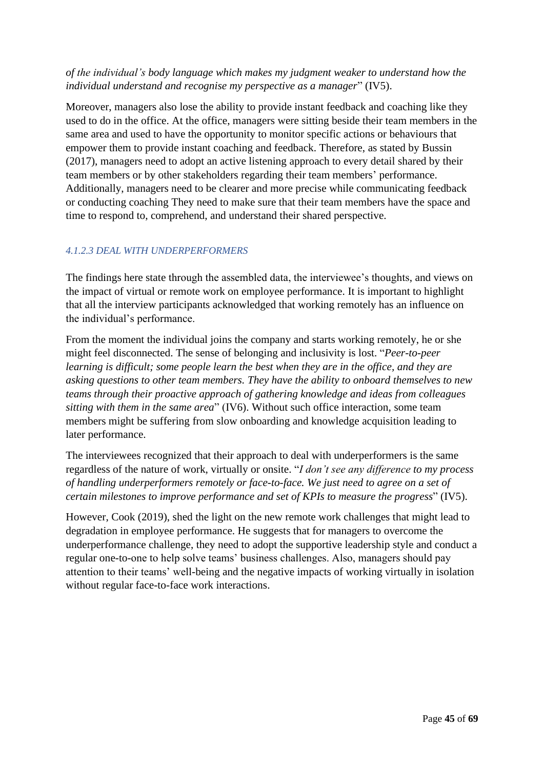### *of the individual's body language which makes my judgment weaker to understand how the individual understand and recognise my perspective as a manager*" (IV5).

Moreover, managers also lose the ability to provide instant feedback and coaching like they used to do in the office. At the office, managers were sitting beside their team members in the same area and used to have the opportunity to monitor specific actions or behaviours that empower them to provide instant coaching and feedback. Therefore, as stated by Bussin (2017), managers need to adopt an active listening approach to every detail shared by their team members or by other stakeholders regarding their team members' performance. Additionally, managers need to be clearer and more precise while communicating feedback or conducting coaching They need to make sure that their team members have the space and time to respond to, comprehend, and understand their shared perspective.

### *4.1.2.3 DEAL WITH UNDERPERFORMERS*

The findings here state through the assembled data, the interviewee's thoughts, and views on the impact of virtual or remote work on employee performance. It is important to highlight that all the interview participants acknowledged that working remotely has an influence on the individual's performance.

From the moment the individual joins the company and starts working remotely, he or she might feel disconnected. The sense of belonging and inclusivity is lost. "*Peer-to-peer learning is difficult; some people learn the best when they are in the office, and they are asking questions to other team members. They have the ability to onboard themselves to new teams through their proactive approach of gathering knowledge and ideas from colleagues sitting with them in the same area*" (IV6). Without such office interaction, some team members might be suffering from slow onboarding and knowledge acquisition leading to later performance.

The interviewees recognized that their approach to deal with underperformers is the same regardless of the nature of work, virtually or onsite. "*I don't see any difference to my process of handling underperformers remotely or face-to-face. We just need to agree on a set of certain milestones to improve performance and set of KPIs to measure the progress*" (IV5).

However, Cook (2019), shed the light on the new remote work challenges that might lead to degradation in employee performance. He suggests that for managers to overcome the underperformance challenge, they need to adopt the supportive leadership style and conduct a regular one-to-one to help solve teams' business challenges. Also, managers should pay attention to their teams' well-being and the negative impacts of working virtually in isolation without regular face-to-face work interactions.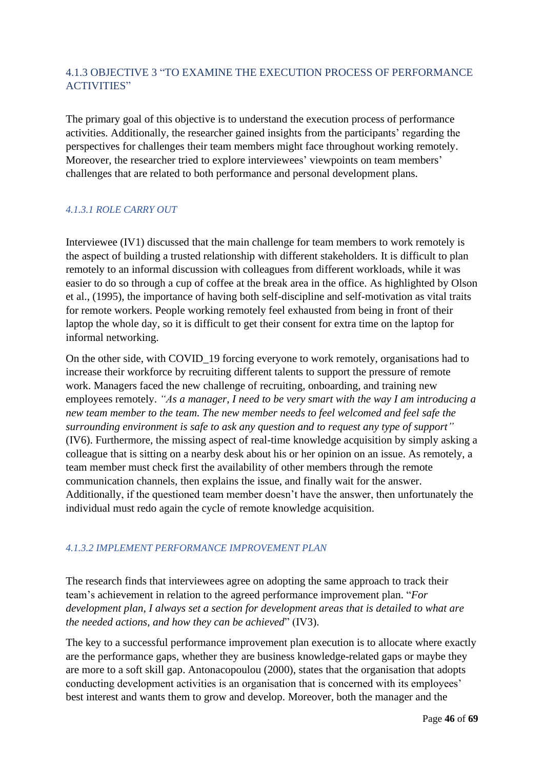# <span id="page-45-0"></span>4.1.3 OBJECTIVE 3 "TO EXAMINE THE EXECUTION PROCESS OF PERFORMANCE ACTIVITIES"

The primary goal of this objective is to understand the execution process of performance activities. Additionally, the researcher gained insights from the participants' regarding the perspectives for challenges their team members might face throughout working remotely. Moreover, the researcher tried to explore interviewees' viewpoints on team members' challenges that are related to both performance and personal development plans.

### *4.1.3.1 ROLE CARRY OUT*

Interviewee (IV1) discussed that the main challenge for team members to work remotely is the aspect of building a trusted relationship with different stakeholders. It is difficult to plan remotely to an informal discussion with colleagues from different workloads, while it was easier to do so through a cup of coffee at the break area in the office. As highlighted by Olson et al., (1995), the importance of having both self-discipline and self-motivation as vital traits for remote workers. People working remotely feel exhausted from being in front of their laptop the whole day, so it is difficult to get their consent for extra time on the laptop for informal networking.

On the other side, with COVID\_19 forcing everyone to work remotely, organisations had to increase their workforce by recruiting different talents to support the pressure of remote work. Managers faced the new challenge of recruiting, onboarding, and training new employees remotely. *"As a manager, I need to be very smart with the way I am introducing a new team member to the team. The new member needs to feel welcomed and feel safe the surrounding environment is safe to ask any question and to request any type of support"* (IV6). Furthermore, the missing aspect of real-time knowledge acquisition by simply asking a colleague that is sitting on a nearby desk about his or her opinion on an issue. As remotely, a team member must check first the availability of other members through the remote communication channels, then explains the issue, and finally wait for the answer. Additionally, if the questioned team member doesn't have the answer, then unfortunately the individual must redo again the cycle of remote knowledge acquisition.

### *4.1.3.2 IMPLEMENT PERFORMANCE IMPROVEMENT PLAN*

The research finds that interviewees agree on adopting the same approach to track their team's achievement in relation to the agreed performance improvement plan. "*For development plan, I always set a section for development areas that is detailed to what are the needed actions, and how they can be achieved*" (IV3).

The key to a successful performance improvement plan execution is to allocate where exactly are the performance gaps, whether they are business knowledge-related gaps or maybe they are more to a soft skill gap. Antonacopoulou (2000), states that the organisation that adopts conducting development activities is an organisation that is concerned with its employees' best interest and wants them to grow and develop. Moreover, both the manager and the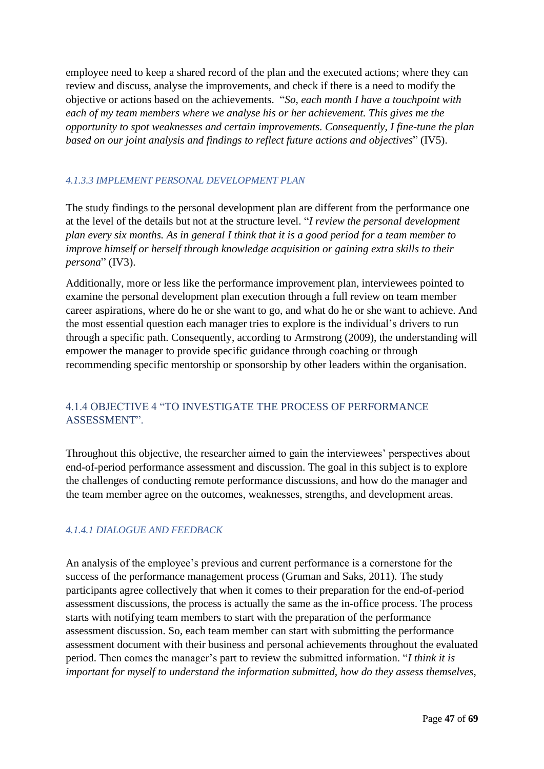employee need to keep a shared record of the plan and the executed actions; where they can review and discuss, analyse the improvements, and check if there is a need to modify the objective or actions based on the achievements. "*So, each month I have a touchpoint with each of my team members where we analyse his or her achievement. This gives me the opportunity to spot weaknesses and certain improvements. Consequently, I fine-tune the plan based on our joint analysis and findings to reflect future actions and objectives*" (IV5).

### *4.1.3.3 IMPLEMENT PERSONAL DEVELOPMENT PLAN*

The study findings to the personal development plan are different from the performance one at the level of the details but not at the structure level. "*I review the personal development plan every six months. As in general I think that it is a good period for a team member to improve himself or herself through knowledge acquisition or gaining extra skills to their persona*" (IV3).

Additionally, more or less like the performance improvement plan, interviewees pointed to examine the personal development plan execution through a full review on team member career aspirations, where do he or she want to go, and what do he or she want to achieve. And the most essential question each manager tries to explore is the individual's drivers to run through a specific path. Consequently, according to Armstrong (2009), the understanding will empower the manager to provide specific guidance through coaching or through recommending specific mentorship or sponsorship by other leaders within the organisation.

## <span id="page-46-0"></span>4.1.4 OBJECTIVE 4 "TO INVESTIGATE THE PROCESS OF PERFORMANCE ASSESSMENT".

Throughout this objective, the researcher aimed to gain the interviewees' perspectives about end-of-period performance assessment and discussion. The goal in this subject is to explore the challenges of conducting remote performance discussions, and how do the manager and the team member agree on the outcomes, weaknesses, strengths, and development areas.

### *4.1.4.1 DIALOGUE AND FEEDBACK*

An analysis of the employee's previous and current performance is a cornerstone for the success of the performance management process (Gruman and Saks, 2011). The study participants agree collectively that when it comes to their preparation for the end-of-period assessment discussions, the process is actually the same as the in-office process. The process starts with notifying team members to start with the preparation of the performance assessment discussion. So, each team member can start with submitting the performance assessment document with their business and personal achievements throughout the evaluated period. Then comes the manager's part to review the submitted information. "*I think it is important for myself to understand the information submitted, how do they assess themselves,*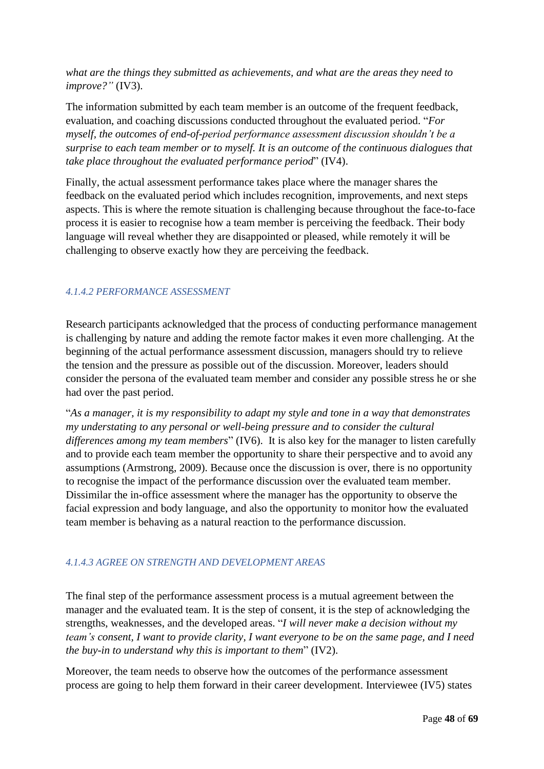*what are the things they submitted as achievements, and what are the areas they need to improve?"* (IV3).

The information submitted by each team member is an outcome of the frequent feedback, evaluation, and coaching discussions conducted throughout the evaluated period. "*For myself, the outcomes of end-of-period performance assessment discussion shouldn't be a surprise to each team member or to myself. It is an outcome of the continuous dialogues that take place throughout the evaluated performance period*" (IV4).

Finally, the actual assessment performance takes place where the manager shares the feedback on the evaluated period which includes recognition, improvements, and next steps aspects. This is where the remote situation is challenging because throughout the face-to-face process it is easier to recognise how a team member is perceiving the feedback. Their body language will reveal whether they are disappointed or pleased, while remotely it will be challenging to observe exactly how they are perceiving the feedback.

### *4.1.4.2 PERFORMANCE ASSESSMENT*

Research participants acknowledged that the process of conducting performance management is challenging by nature and adding the remote factor makes it even more challenging. At the beginning of the actual performance assessment discussion, managers should try to relieve the tension and the pressure as possible out of the discussion. Moreover, leaders should consider the persona of the evaluated team member and consider any possible stress he or she had over the past period.

"*As a manager, it is my responsibility to adapt my style and tone in a way that demonstrates my understating to any personal or well-being pressure and to consider the cultural differences among my team members*" (IV6). It is also key for the manager to listen carefully and to provide each team member the opportunity to share their perspective and to avoid any assumptions (Armstrong, 2009). Because once the discussion is over, there is no opportunity to recognise the impact of the performance discussion over the evaluated team member. Dissimilar the in-office assessment where the manager has the opportunity to observe the facial expression and body language, and also the opportunity to monitor how the evaluated team member is behaving as a natural reaction to the performance discussion.

### *4.1.4.3 AGREE ON STRENGTH AND DEVELOPMENT AREAS*

The final step of the performance assessment process is a mutual agreement between the manager and the evaluated team. It is the step of consent, it is the step of acknowledging the strengths, weaknesses, and the developed areas. "*I will never make a decision without my team's consent, I want to provide clarity, I want everyone to be on the same page, and I need the buy-in to understand why this is important to them*" (IV2).

Moreover, the team needs to observe how the outcomes of the performance assessment process are going to help them forward in their career development. Interviewee (IV5) states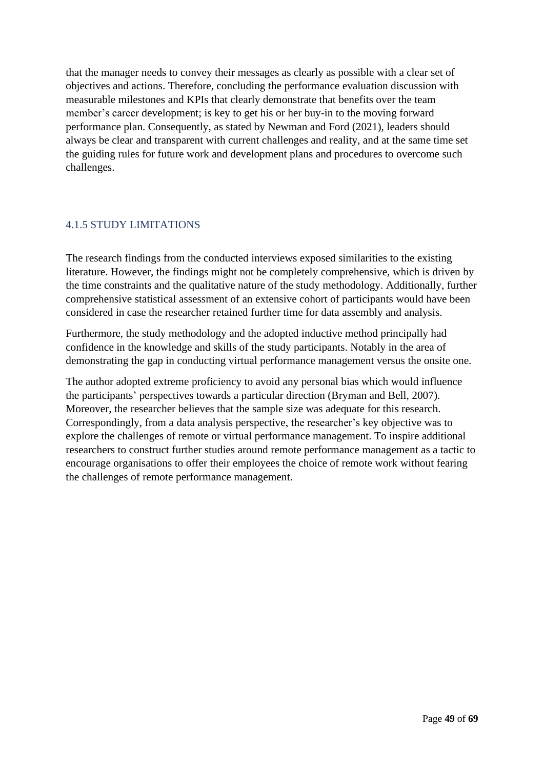that the manager needs to convey their messages as clearly as possible with a clear set of objectives and actions. Therefore, concluding the performance evaluation discussion with measurable milestones and KPIs that clearly demonstrate that benefits over the team member's career development; is key to get his or her buy-in to the moving forward performance plan. Consequently, as stated by Newman and Ford (2021), leaders should always be clear and transparent with current challenges and reality, and at the same time set the guiding rules for future work and development plans and procedures to overcome such challenges.

### <span id="page-48-0"></span>4.1.5 STUDY LIMITATIONS

The research findings from the conducted interviews exposed similarities to the existing literature. However, the findings might not be completely comprehensive, which is driven by the time constraints and the qualitative nature of the study methodology. Additionally, further comprehensive statistical assessment of an extensive cohort of participants would have been considered in case the researcher retained further time for data assembly and analysis.

Furthermore, the study methodology and the adopted inductive method principally had confidence in the knowledge and skills of the study participants. Notably in the area of demonstrating the gap in conducting virtual performance management versus the onsite one.

The author adopted extreme proficiency to avoid any personal bias which would influence the participants' perspectives towards a particular direction (Bryman and Bell, 2007). Moreover, the researcher believes that the sample size was adequate for this research. Correspondingly, from a data analysis perspective, the researcher's key objective was to explore the challenges of remote or virtual performance management. To inspire additional researchers to construct further studies around remote performance management as a tactic to encourage organisations to offer their employees the choice of remote work without fearing the challenges of remote performance management.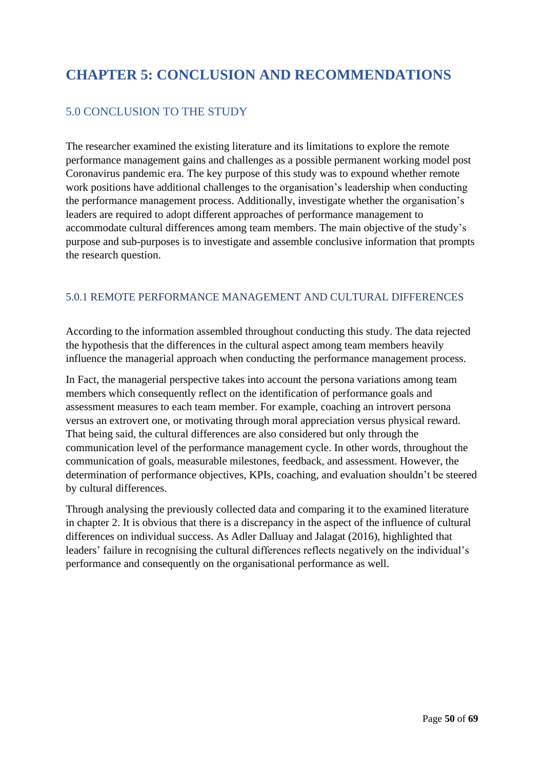# <span id="page-49-0"></span>**CHAPTER 5: CONCLUSION AND RECOMMENDATIONS**

# <span id="page-49-1"></span>5.0 CONCLUSION TO THE STUDY

The researcher examined the existing literature and its limitations to explore the remote performance management gains and challenges as a possible permanent working model post Coronavirus pandemic era. The key purpose of this study was to expound whether remote work positions have additional challenges to the organisation's leadership when conducting the performance management process. Additionally, investigate whether the organisation's leaders are required to adopt different approaches of performance management to accommodate cultural differences among team members. The main objective of the study's purpose and sub-purposes is to investigate and assemble conclusive information that prompts the research question.

### <span id="page-49-2"></span>5.0.1 REMOTE PERFORMANCE MANAGEMENT AND CULTURAL DIFFERENCES

According to the information assembled throughout conducting this study. The data rejected the hypothesis that the differences in the cultural aspect among team members heavily influence the managerial approach when conducting the performance management process.

In Fact, the managerial perspective takes into account the persona variations among team members which consequently reflect on the identification of performance goals and assessment measures to each team member. For example, coaching an introvert persona versus an extrovert one, or motivating through moral appreciation versus physical reward. That being said, the cultural differences are also considered but only through the communication level of the performance management cycle. In other words, throughout the communication of goals, measurable milestones, feedback, and assessment. However, the determination of performance objectives, KPIs, coaching, and evaluation shouldn't be steered by cultural differences.

Through analysing the previously collected data and comparing it to the examined literature in chapter 2. It is obvious that there is a discrepancy in the aspect of the influence of cultural differences on individual success. As Adler Dalluay and Jalagat (2016), highlighted that leaders' failure in recognising the cultural differences reflects negatively on the individual's performance and consequently on the organisational performance as well.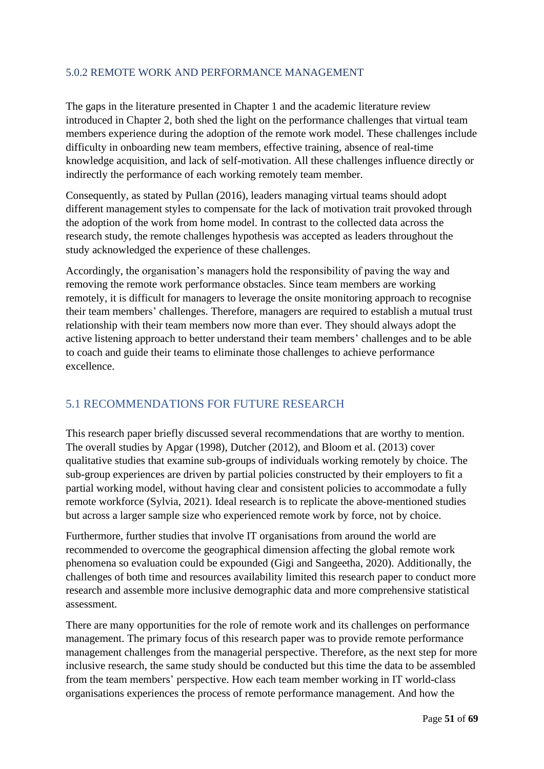## <span id="page-50-0"></span>5.0.2 REMOTE WORK AND PERFORMANCE MANAGEMENT

The gaps in the literature presented in Chapter 1 and the academic literature review introduced in Chapter 2, both shed the light on the performance challenges that virtual team members experience during the adoption of the remote work model. These challenges include difficulty in onboarding new team members, effective training, absence of real-time knowledge acquisition, and lack of self-motivation. All these challenges influence directly or indirectly the performance of each working remotely team member.

Consequently, as stated by Pullan (2016), leaders managing virtual teams should adopt different management styles to compensate for the lack of motivation trait provoked through the adoption of the work from home model. In contrast to the collected data across the research study, the remote challenges hypothesis was accepted as leaders throughout the study acknowledged the experience of these challenges.

Accordingly, the organisation's managers hold the responsibility of paving the way and removing the remote work performance obstacles. Since team members are working remotely, it is difficult for managers to leverage the onsite monitoring approach to recognise their team members' challenges. Therefore, managers are required to establish a mutual trust relationship with their team members now more than ever. They should always adopt the active listening approach to better understand their team members' challenges and to be able to coach and guide their teams to eliminate those challenges to achieve performance excellence.

# <span id="page-50-1"></span>5.1 RECOMMENDATIONS FOR FUTURE RESEARCH

This research paper briefly discussed several recommendations that are worthy to mention. The overall studies by Apgar (1998), Dutcher (2012), and Bloom et al. (2013) cover qualitative studies that examine sub-groups of individuals working remotely by choice. The sub-group experiences are driven by partial policies constructed by their employers to fit a partial working model, without having clear and consistent policies to accommodate a fully remote workforce (Sylvia, 2021). Ideal research is to replicate the above-mentioned studies but across a larger sample size who experienced remote work by force, not by choice.

Furthermore, further studies that involve IT organisations from around the world are recommended to overcome the geographical dimension affecting the global remote work phenomena so evaluation could be expounded (Gigi and Sangeetha, 2020). Additionally, the challenges of both time and resources availability limited this research paper to conduct more research and assemble more inclusive demographic data and more comprehensive statistical assessment.

There are many opportunities for the role of remote work and its challenges on performance management. The primary focus of this research paper was to provide remote performance management challenges from the managerial perspective. Therefore, as the next step for more inclusive research, the same study should be conducted but this time the data to be assembled from the team members' perspective. How each team member working in IT world-class organisations experiences the process of remote performance management. And how the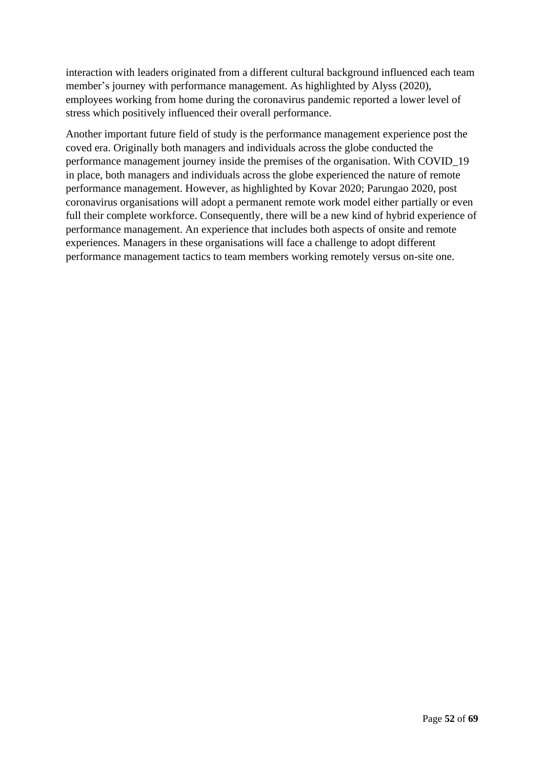interaction with leaders originated from a different cultural background influenced each team member's journey with performance management. As highlighted by Alyss (2020), employees working from home during the coronavirus pandemic reported a lower level of stress which positively influenced their overall performance.

Another important future field of study is the performance management experience post the coved era. Originally both managers and individuals across the globe conducted the performance management journey inside the premises of the organisation. With COVID\_19 in place, both managers and individuals across the globe experienced the nature of remote performance management. However, as highlighted by Kovar 2020; Parungao 2020, post coronavirus organisations will adopt a permanent remote work model either partially or even full their complete workforce. Consequently, there will be a new kind of hybrid experience of performance management. An experience that includes both aspects of onsite and remote experiences. Managers in these organisations will face a challenge to adopt different performance management tactics to team members working remotely versus on-site one.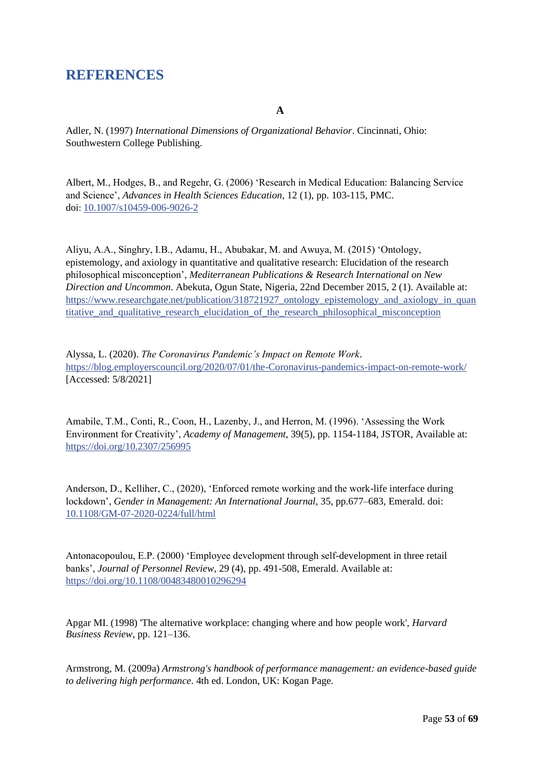# <span id="page-52-0"></span>**REFERENCES**

**A**

Adler, N. (1997) *International Dimensions of Organizational Behavior*. Cincinnati, Ohio: Southwestern College Publishing.

Albert, M., Hodges, B., and Regehr, G. (2006) 'Research in Medical Education: Balancing Service and Science', *Advances in Health Sciences Education*, 12 (1), pp. 103-115, PMC. doi: [10.1007/s10459-006-9026-2](https://dx.doi.org/10.1007%2Fs10459-006-9026-2)

Aliyu, A.A., Singhry, I.B., Adamu, H., Abubakar, M. and Awuya, M. (2015) 'Ontology, epistemology, and axiology in quantitative and qualitative research: Elucidation of the research philosophical misconception', *Mediterranean Publications & Research International on New Direction and Uncommon*. Abekuta, Ogun State, Nigeria, 22nd December 2015, 2 (1). Available at: [https://www.researchgate.net/publication/318721927\\_ontology\\_epistemology\\_and\\_axiology\\_in\\_quan](https://www.researchgate.net/publication/318721927_ONTOLOGY_EPISTEMOLOGY_AND_AXIOLOGY_IN_QUANTITATIVE_AND_QUALITATIVE_RESEARCH_ELUCIDATION_OF_THE_RESEARCH_PHILOSOPHICAL_MISCONCEPTION) [titative\\_and\\_qualitative\\_research\\_elucidation\\_of\\_the\\_research\\_philosophical\\_misconception](https://www.researchgate.net/publication/318721927_ONTOLOGY_EPISTEMOLOGY_AND_AXIOLOGY_IN_QUANTITATIVE_AND_QUALITATIVE_RESEARCH_ELUCIDATION_OF_THE_RESEARCH_PHILOSOPHICAL_MISCONCEPTION)

Alyssa, L. (2020). *The Coronavirus Pandemic's Impact on Remote Work*. <https://blog.employerscouncil.org/2020/07/01/the-Coronavirus-pandemics-impact-on-remote-work/> [Accessed: 5/8/2021]

Amabile, T.M., Conti, R., Coon, H., Lazenby, J., and Herron, M. (1996). 'Assessing the Work Environment for Creativity', *Academy of Management*, 39(5), pp. 1154-1184, JSTOR, Available at: <https://doi.org/10.2307/256995>

Anderson, D., Kelliher, C., (2020), 'Enforced remote working and the work-life interface during lockdown', *Gender in Management: An International Journal*, 35, pp.677–683, Emerald. doi: 10.1108/GM-07-2020-0224/full/html

Antonacopoulou, E.P. (2000) 'Employee development through self-development in three retail banks', *Journal of Personnel Review*, 29 (4), pp. 491-508, Emerald. Available at: <https://doi.org/10.1108/00483480010296294>

Apgar MI. (1998) 'The alternative workplace: changing where and how people work', *Harvard Business Review*, pp. 121–136.

Armstrong, M. (2009a) *Armstrong's handbook of performance management: an evidence-based guide to delivering high performance*. 4th ed. London, UK: Kogan Page.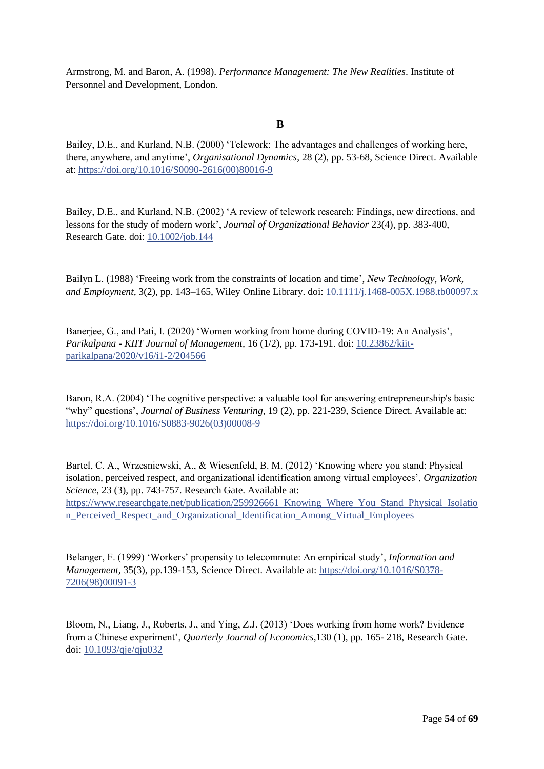Armstrong, M. and Baron, A. (1998). *Performance Management: The New Realities*. Institute of Personnel and Development, London.

#### **B**

Bailey, D.E., and Kurland, N.B. (2000) 'Telework: The advantages and challenges of working here, there, anywhere, and anytime', *Organisational Dynamics*, 28 (2), pp. 53-68, Science Direct. Available at[: https://doi.org/10.1016/S0090-2616\(00\)80016-9](https://doi.org/10.1016/S0090-2616(00)80016-9)

Bailey, D.E., and Kurland, N.B. (2002) 'A review of telework research: Findings, new directions, and lessons for the study of modern work', *Journal of Organizational Behavior* 23(4), pp. 383-400, Research Gate. doi: [10.1002/job.144](http://dx.doi.org/10.1002/job.144)

Bailyn L. (1988) 'Freeing work from the constraints of location and time', *New Technology, Work, and Employment*, 3(2), pp. 143–165, Wiley Online Library. doi[: 10.1111/j.1468-005X.1988.tb00097.x](http://dx.doi.org/10.1111/j.1468-005X.1988.tb00097.x)

Banerjee, G., and Pati, I. (2020) 'Women working from home during COVID-19: An Analysis', *Parikalpana - KIIT Journal of Management,* 16 (1/2), pp. 173-191. doi: 10.23862/kiitparikalpana/2020/v16/i1-2/204566

Baron, R.A. (2004) 'The cognitive perspective: a valuable tool for answering entrepreneurship's basic "why" questions', *Journal of Business Venturing*, 19 (2), pp. 221-239, Science Direct. Available at: [https://doi.org/10.1016/S0883-9026\(03\)00008-9](https://doi.org/10.1016/S0883-9026(03)00008-9)

Bartel, C. A., Wrzesniewski, A., & Wiesenfeld, B. M. (2012) 'Knowing where you stand: Physical isolation, perceived respect, and organizational identification among virtual employees', *Organization Science*, 23 (3), pp. 743-757. Research Gate. Available at: [https://www.researchgate.net/publication/259926661\\_Knowing\\_Where\\_You\\_Stand\\_Physical\\_Isolatio](https://www.researchgate.net/publication/259926661_Knowing_Where_You_Stand_Physical_Isolation_Perceived_Respect_and_Organizational_Identification_Among_Virtual_Employees) [n\\_Perceived\\_Respect\\_and\\_Organizational\\_Identification\\_Among\\_Virtual\\_Employees](https://www.researchgate.net/publication/259926661_Knowing_Where_You_Stand_Physical_Isolation_Perceived_Respect_and_Organizational_Identification_Among_Virtual_Employees)

Belanger, F. (1999) 'Workers' propensity to telecommute: An empirical study', *Information and Management,* 35(3), pp.139-153, Science Direct. Available at: [https://doi.org/10.1016/S0378-](https://doi.org/10.1016/S0378-7206(98)00091-3) [7206\(98\)00091-3](https://doi.org/10.1016/S0378-7206(98)00091-3)

Bloom, N., Liang, J., Roberts, J., and Ying, Z.J. (2013) 'Does working from home work? Evidence from a Chinese experiment', *Quarterly Journal of Economics,*130 (1), pp. 165- 218, Research Gate. doi: [10.1093/qje/qju032](http://dx.doi.org/10.1093/qje/qju032)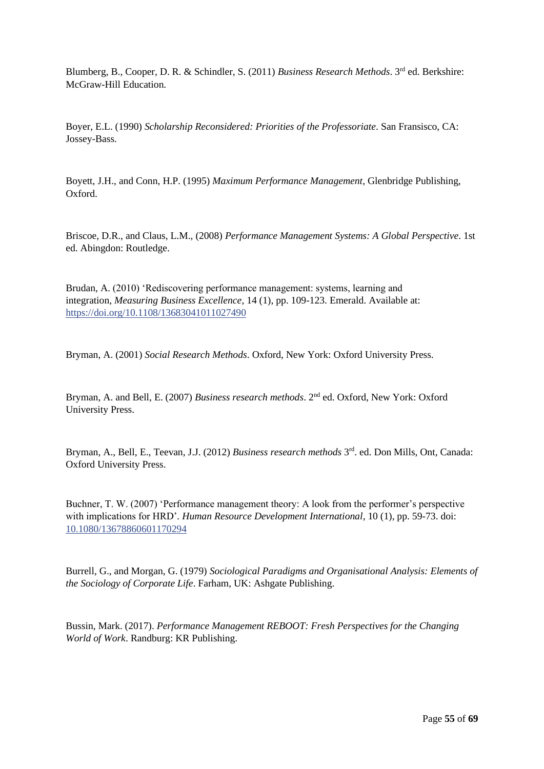Blumberg, B., Cooper, D. R. & Schindler, S. (2011) *Business Research Methods*. 3rd ed. Berkshire: McGraw-Hill Education.

Boyer, E.L. (1990) *Scholarship Reconsidered: Priorities of the Professoriate*. San Fransisco, CA: Jossey-Bass.

Boyett, J.H., and Conn, H.P. (1995) *Maximum Performance Management*, Glenbridge Publishing, Oxford.

Briscoe, D.R., and Claus, L.M., (2008) *Performance Management Systems: A Global Perspective*. 1st ed. Abingdon: Routledge.

[Brudan, A.](https://www.emerald.com/insight/search?q=Aurel%20Brudan) (2010) 'Rediscovering performance management: systems, learning and integration, *[Measuring Business Excellence](https://www.emerald.com/insight/publication/issn/1368-3047)*, 14 (1), pp. 109-123. Emerald. Available at: <https://doi.org/10.1108/13683041011027490>

Bryman, A. (2001) *Social Research Methods*. Oxford, New York: Oxford University Press.

Bryman, A. and Bell, E. (2007) *Business research methods*. 2nd ed. Oxford, New York: Oxford University Press.

Bryman, A., Bell, E., Teevan, J.J. (2012) *Business research methods* 3<sup>rd</sup>. ed. Don Mills, Ont, Canada: Oxford University Press.

Buchner, T. W. (2007) 'Performance management theory: A look from the performer's perspective with implications for HRD'*. Human Resource Development International*, 10 (1), pp. 59-73. doi: 10.1080/13678860601170294

Burrell, G., and Morgan, G. (1979) *Sociological Paradigms and Organisational Analysis: Elements of the Sociology of Corporate Life*. Farham, UK: Ashgate Publishing.

Bussin, Mark. (2017). *Performance Management REBOOT: Fresh Perspectives for the Changing World of Work*. Randburg: KR Publishing.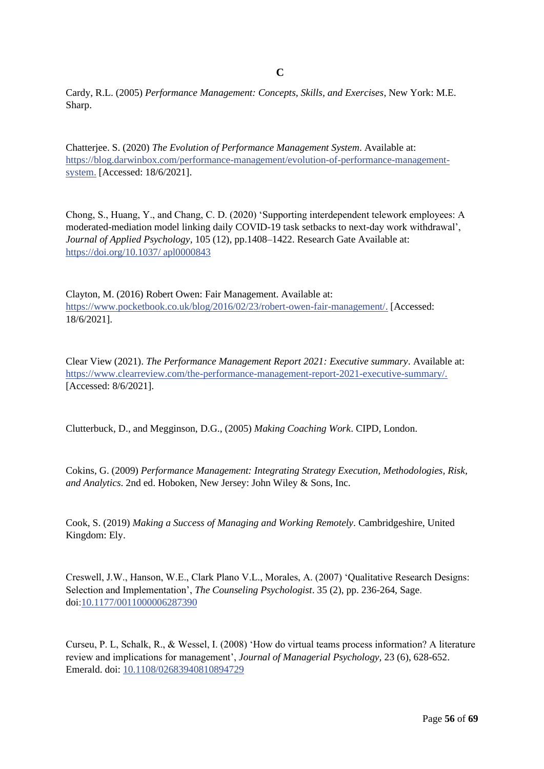Cardy, R.L. (2005) *Performance Management: Concepts, Skills, and Exercises*, New York: M.E. Sharp.

Chatterjee. S. (2020) *The Evolution of Performance Management System*. Available at: https://blog.darwinbox.com/performance-management/evolution-of-performance-managementsystem. [Accessed: 18/6/2021].

Chong, S., Huang, Y., and Chang, C. D. (2020) 'Supporting interdependent telework employees: A moderated-mediation model linking daily COVID-19 task setbacks to next-day work withdrawal', *Journal of Applied Psychology*, 105 (12), pp.1408–1422. Research Gate Available at: https://doi.org/10.1037/ apl0000843

Clayton, M. (2016) Robert Owen: Fair Management. Available at: https://www.pocketbook.co.uk/blog/2016/02/23/robert-owen-fair-management/. [Accessed: 18/6/2021].

Clear View (2021). *The Performance Management Report 2021: Executive summary*. Available at: https://www.clearreview.com/the-performance-management-report-2021-executive-summary/. [Accessed: 8/6/2021].

Clutterbuck, D., and Megginson, D.G., (2005) *Making Coaching Work*. CIPD, London.

Cokins, G. (2009) *Performance Management: Integrating Strategy Execution, Methodologies, Risk, and Analytics*. 2nd ed. Hoboken, New Jersey: John Wiley & Sons, Inc.

Cook, S. (2019) *Making a Success of Managing and Working Remotely*. Cambridgeshire, United Kingdom: Ely.

Creswell, J.W., Hanson, W.E., Clark Plano V.L., Morales, A. (2007) 'Qualitative Research Designs: Selection and Implementation', *The Counseling Psychologist*. 35 (2), pp. 236-264, Sage. doi:[10.1177/0011000006287390](https://doi.org/10.1177/0011000006287390)

Curseu, P. L, Schalk, R., & Wessel, I. (2008) 'How do virtual teams process information? A literature review and implications for management', *Journal of Managerial Psychology,* 23 (6), 628-652. Emerald. doi: [10.1108/02683940810894729](http://dx.doi.org/10.1108/02683940810894729)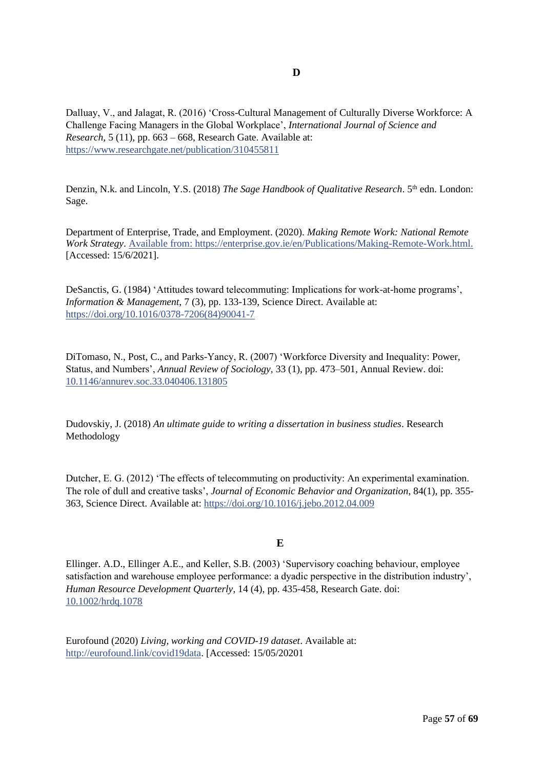Dalluay, V., and Jalagat, R. (2016) 'Cross-Cultural Management of Culturally Diverse Workforce: A Challenge Facing Managers in the Global Workplace', *International Journal of Science and Research*, 5 (11), pp. 663 – 668, Research Gate. Available at: <https://www.researchgate.net/publication/310455811>

Denzin, N.k. and Lincoln, Y.S. (2018) *The Sage Handbook of Qualitative Research*. 5<sup>th</sup> edn. London: Sage.

Department of Enterprise, Trade, and Employment. (2020). *Making Remote Work: National Remote Work Strategy*. Available from: https://enterprise.gov.ie/en/Publications/Making-Remote-Work.html. [Accessed: 15/6/2021].

DeSanctis, G. (1984) 'Attitudes toward telecommuting: Implications for work-at-home programs', *Information & Management*, 7 (3), pp. 133-139, Science Direct. Available at: [https://doi.org/10.1016/0378-7206\(84\)90041-7](https://doi.org/10.1016/0378-7206(84)90041-7)

DiTomaso, N., Post, C., and Parks-Yancy, R. (2007) 'Workforce Diversity and Inequality: Power, Status, and Numbers', *Annual Review of Sociology,* 33 (1), pp. 473–501, Annual Review. doi: [10.1146/annurev.soc.33.040406.131805](http://dx.doi.org/10.1146/annurev.soc.33.040406.131805)

Dudovskiy, J. (2018) *An ultimate guide to writing a dissertation in business studies*. Research Methodology

Dutcher, E. G. (2012) 'The effects of telecommuting on productivity: An experimental examination. The role of dull and creative tasks', *Journal of Economic Behavior and Organization*, 84(1), pp. 355- 363, Science Direct. Available at:<https://doi.org/10.1016/j.jebo.2012.04.009>

### **E**

Ellinger. A.D., Ellinger A.E., and Keller, S.B. (2003) 'Supervisory coaching behaviour, employee satisfaction and warehouse employee performance: a dyadic perspective in the distribution industry', *Human Resource Development Quarterly*, 14 (4), pp. 435-458, Research Gate. doi: [10.1002/hrdq.1078](http://dx.doi.org/10.1002/hrdq.1078)

Eurofound (2020) *Living, working and COVID-19 dataset*. Available at: [http://eurofound.link/covid19data.](http://eurofound.link/covid19data) [Accessed: 15/05/20201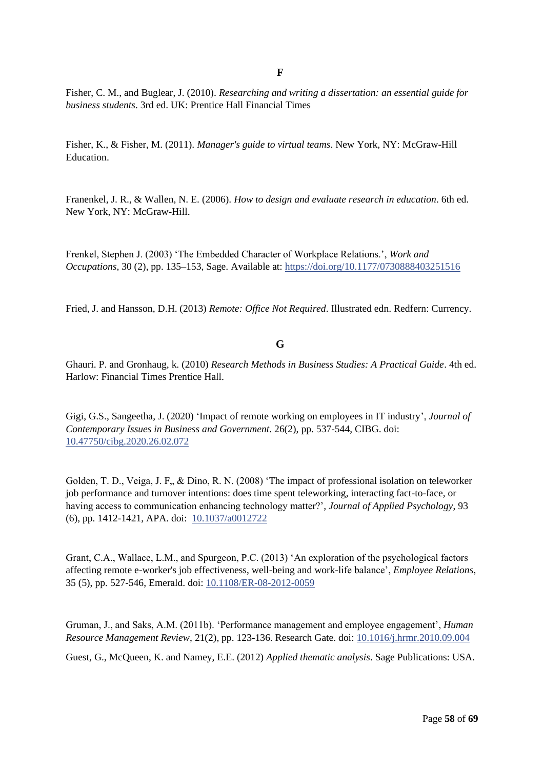**F**

Fisher, C. M., and Buglear, J. (2010). *Researching and writing a dissertation: an essential guide for business students*. 3rd ed. UK: Prentice Hall Financial Times

Fisher, K., & Fisher, M. (2011). *Manager's guide to virtual teams*. New York, NY: McGraw-Hill Education.

Franenkel, J. R., & Wallen, N. E. (2006). *How to design and evaluate research in education*. 6th ed. New York, NY: McGraw-Hill.

Frenkel, Stephen J. (2003) 'The Embedded Character of Workplace Relations.', *Work and Occupations*, 30 (2), pp. 135–153, Sage. Available at: [https://doi.org/10.1177/0730888403251516](https://doi.org/10.1177%2F0730888403251516)

Fried, J. and Hansson, D.H. (2013) *Remote: Office Not Required*. Illustrated edn. Redfern: Currency.

#### **G**

Ghauri. P. and Gronhaug, k. (2010) *Research Methods in Business Studies: A Practical Guide*. 4th ed. Harlow: Financial Times Prentice Hall.

Gigi, G.S., Sangeetha, J. (2020) 'Impact of remote working on employees in IT industry', *Journal of Contemporary Issues in Business and Government*. 26(2), pp. 537-544, CIBG. doi: 10.47750/cibg.2020.26.02.072

Golden, T. D., Veiga, J. F., & Dino, R. N. (2008) 'The impact of professional isolation on teleworker job performance and turnover intentions: does time spent teleworking, interacting fact-to-face, or having access to communication enhancing technology matter?'*, Journal of Applied Psychology*, 93 (6), pp. 1412-1421, APA. doi: [10.1037/a0012722](http://dx.doi.org/10.1037/a0012722)

Grant, C.A., Wallace, L.M., and Spurgeon, P.C. (2013) 'An exploration of the psychological factors affecting remote e-worker's job effectiveness, well-being and work-life balance', *Employee Relations*, 35 (5), pp. 527-546, Emerald. doi: [10.1108/ER-08-2012-0059](http://dx.doi.org/10.1108/ER-08-2012-0059)

Gruman, J., and Saks, A.M. (2011b). 'Performance management and employee engagement', *Human Resource Management Review*, 21(2), pp. 123-136. Research Gate. doi: [10.1016/j.hrmr.2010.09.004](http://dx.doi.org/10.1016/j.hrmr.2010.09.004)

Guest, G., McQueen, K. and Namey, E.E. (2012) *Applied thematic analysis*. Sage Publications: USA.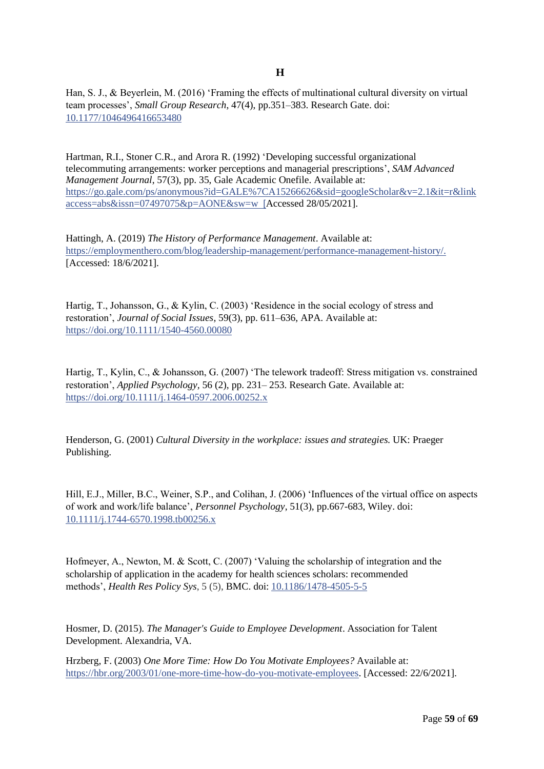Han, S. J., & Beyerlein, M. (2016) 'Framing the effects of multinational cultural diversity on virtual team processes', *Small Group Research*, 47(4), pp.351–383. Research Gate. doi: 10.1177/1046496416653480

Hartman, R.I., Stoner C.R., and Arora R. (1992) 'Developing successful organizational telecommuting arrangements: worker perceptions and managerial prescriptions', *SAM Advanced Management Journal*, 57(3), pp. 35, Gale Academic Onefile. Available at: [https://go.gale.com/ps/anonymous?id=GALE%7CA15266626&sid=googleScholar&v=2.1&it=r&link](https://go.gale.com/ps/anonymous?id=GALE%7CA15266626&sid=googleScholar&v=2.1&it=r&linkaccess=abs&issn=07497075&p=AONE&sw=w) [access=abs&issn=07497075&p=AONE&sw=w](https://go.gale.com/ps/anonymous?id=GALE%7CA15266626&sid=googleScholar&v=2.1&it=r&linkaccess=abs&issn=07497075&p=AONE&sw=w) [Accessed 28/05/2021].

Hattingh, A. (2019) *The History of Performance Management*. Available at: https://employmenthero.com/blog/leadership-management/performance-management-history/. [Accessed: 18/6/2021].

Hartig, T., Johansson, G., & Kylin, C. (2003) 'Residence in the social ecology of stress and restoration', *Journal of Social Issues*, 59(3), pp. 611–636, APA. Available at: <https://doi.org/10.1111/1540-4560.00080>

Hartig, T., Kylin, C., & Johansson, G. (2007) 'The telework tradeoff: Stress mitigation vs. constrained restoration', *Applied Psychology,* 56 (2), pp. 231– 253. Research Gate. Available at: <https://doi.org/10.1111/j.1464-0597.2006.00252.x>

Henderson, G. (2001) *Cultural Diversity in the workplace: issues and strategies.* UK: Praeger Publishing.

Hill, E.J., Miller, B.C., Weiner, S.P., and Colihan, J. (2006) 'Influences of the virtual office on aspects of work and work/life balance', *Personnel Psychology*, 51(3), pp.667-683, Wiley. doi: [10.1111/j.1744-6570.1998.tb00256.x](http://dx.doi.org/10.1111/j.1744-6570.1998.tb00256.x)

Hofmeyer, A., Newton, M. & Scott, C. (2007) 'Valuing the scholarship of integration and the scholarship of application in the academy for health sciences scholars: recommended methods', *Health Res Policy Sys*, 5 (5), BMC. doi: [10.1186/1478-4505-5-5](https://dx.doi.org/10.1186%2F1478-4505-5-5)

Hosmer, D. (2015). *The Manager's Guide to Employee Development*. Association for Talent Development. Alexandria, VA.

Hrzberg, F. (2003) *One More Time: How Do You Motivate Employees?* Available at: [https://hbr.org/2003/01/one-more-time-how-do-you-motivate-employees.](https://hbr.org/2003/01/one-more-time-how-do-you-motivate-employees) [Accessed: 22/6/2021].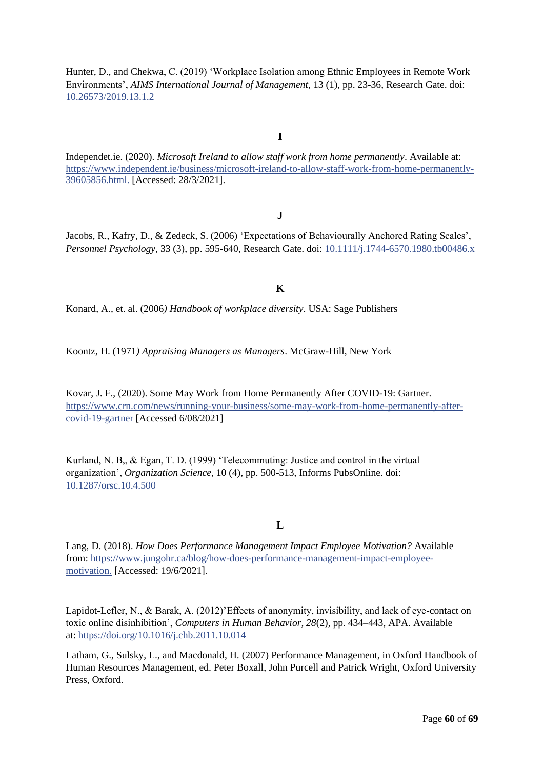[Hunter,](https://www.researchgate.net/scientific-contributions/Debra-Hunter-2177930934?_sg%5B0%5D=zbwLw85uW5-h3QaXo1z5laEikqwZYSheriUR7w9oDS5u9L3Mfk_Zwg2uI1etsve0WNd1KHw.duWKPq9cy5szznEIe6Bpt2LB7al0btHopzmWfSR_XjwOEuBLfXrwa0jfhNmRWSYV4WjsAtdwvChB9Vi2KhmK_A&_sg%5B1%5D=NjrZCKU21GwjgZQ8rlZJj5cUvnUeOKKRtZeh2e9NNQ4JJacxWdMlW5Nqswb4cSGi0sLs9rw.J4Ga178IpN0YD6mxZja0mDkgiYMizHuzoc9PLEeCLO2_nqBX6fVhCRER9mTFqiJYZeLsA_x0JWTyslm07UACOw) D., and [Chekwa,](https://www.researchgate.net/scientific-contributions/Charles-Chekwa-2177963757?_sg%5B0%5D=zbwLw85uW5-h3QaXo1z5laEikqwZYSheriUR7w9oDS5u9L3Mfk_Zwg2uI1etsve0WNd1KHw.duWKPq9cy5szznEIe6Bpt2LB7al0btHopzmWfSR_XjwOEuBLfXrwa0jfhNmRWSYV4WjsAtdwvChB9Vi2KhmK_A&_sg%5B1%5D=NjrZCKU21GwjgZQ8rlZJj5cUvnUeOKKRtZeh2e9NNQ4JJacxWdMlW5Nqswb4cSGi0sLs9rw.J4Ga178IpN0YD6mxZja0mDkgiYMizHuzoc9PLEeCLO2_nqBX6fVhCRER9mTFqiJYZeLsA_x0JWTyslm07UACOw) C. (2019) 'Workplace Isolation among Ethnic Employees in Remote Work Environments', *AIMS International Journal of Management*, 13 (1), pp. 23-36, Research Gate. doi: [10.26573/2019.13.1.2](http://dx.doi.org/10.26573/2019.13.1.2)

#### **I**

Independet.ie. (2020). *Microsoft Ireland to allow staff work from home permanently*. Available at: https://www.independent.ie/business/microsoft-ireland-to-allow-staff-work-from-home-permanently-39605856.html. [Accessed: 28/3/2021].

### **J**

Jacobs, R., Kafry, D., & Zedeck, S. (2006) 'Expectations of Behaviourally Anchored Rating Scales', *Personnel Psychology*, 33 (3), pp. 595-640, Research Gate. doi: [10.1111/j.1744-6570.1980.tb00486.x](http://dx.doi.org/10.1111/j.1744-6570.1980.tb00486.x)

### **K**

Konard, A., et. al. (2006*) Handbook of workplace diversity*. USA: Sage Publishers

Koontz, H. (1971*) Appraising Managers as Managers*. McGraw-Hill, New York

Kovar, J. F., (2020). Some May Work from Home Permanently After COVID-19: Gartner. [https://www.crn.com/news/running-your-business/some-may-work-from-home-permanently-after](https://www.crn.com/news/running-your-business/some-may-work-from-home-permanently-after-covid-19-gartner)[covid-19-gartner](https://www.crn.com/news/running-your-business/some-may-work-from-home-permanently-after-covid-19-gartner) [Accessed 6/08/2021]

Kurland, N. B., & Egan, T. D. (1999) 'Telecommuting: Justice and control in the virtual organization', *Organization Science*, 10 (4), pp. 500-513, Informs PubsOnline. doi: [10.1287/orsc.10.4.500](http://dx.doi.org/10.1287/orsc.10.4.500)

#### **L**

Lang, D. (2018). *How Does Performance Management Impact Employee Motivation?* Available from: https://www.jungohr.ca/blog/how-does-performance-management-impact-employeemotivation. [Accessed: 19/6/2021].

Lapidot-Lefler, N., & Barak, A. (2012)'Effects of anonymity, invisibility, and lack of eye-contact on toxic online disinhibition', *Computers in Human Behavior, 28*(2), pp. 434–443, APA. Available at: [https://doi.org/10.1016/j.chb.2011.10.014](https://psycnet.apa.org/doi/10.1016/j.chb.2011.10.014)

Latham, G., Sulsky, L., and Macdonald, H. (2007) Performance Management, in Oxford Handbook of Human Resources Management, ed. Peter Boxall, John Purcell and Patrick Wright, Oxford University Press, Oxford.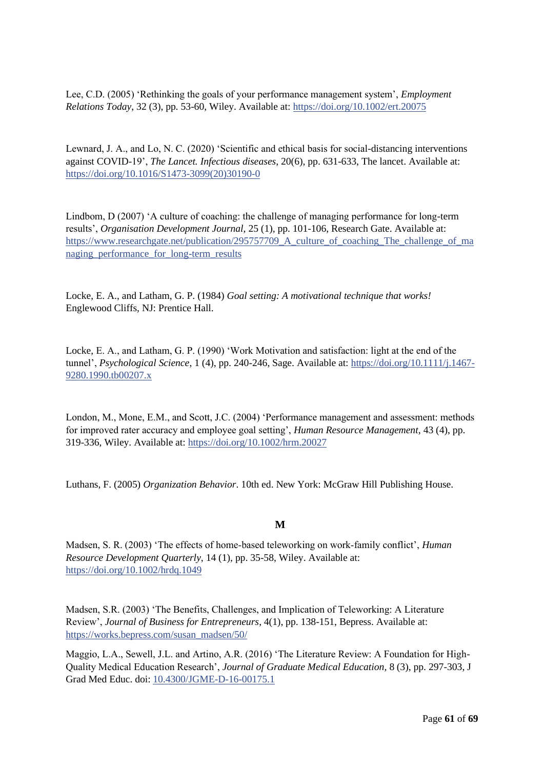Lee, C.D. (2005) 'Rethinking the goals of your performance management system', *Employment Relations Today*, 32 (3), pp. 53-60, Wiley. Available at:<https://doi.org/10.1002/ert.20075>

Lewnard, J. A., and Lo, N. C. (2020) 'Scientific and ethical basis for social-distancing interventions against COVID-19', *The Lancet. Infectious diseases*, 20(6), pp. 631-633, The lancet. Available at: [https://doi.org/10.1016/S1473-3099\(20\)30190-0](https://doi.org/10.1016/S1473-3099(20)30190-0)

Lindbom, D (2007) 'A culture of coaching: the challenge of managing performance for long-term results', *Organisation Development Journal*, 25 (1), pp. 101-106, Research Gate. Available at: https://www.researchgate.net/publication/295757709 A culture of coaching The challenge of ma [naging\\_performance\\_for\\_long-term\\_results](https://www.researchgate.net/publication/295757709_A_culture_of_coaching_The_challenge_of_managing_performance_for_long-term_results)

Locke, E. A., and Latham, G. P. (1984) *Goal setting: A motivational technique that works!* Englewood Cliffs, NJ: Prentice Hall.

Locke, E. A., and Latham, G. P. (1990) 'Work Motivation and satisfaction: light at the end of the tunnel', *Psychological Science*, 1 (4), pp. 240-246, Sage. Available at: [https://doi.org/10.1111/j.1467-](https://doi.org/10.1111%2Fj.1467-9280.1990.tb00207.x) [9280.1990.tb00207.x](https://doi.org/10.1111%2Fj.1467-9280.1990.tb00207.x)

London, M., Mone, E.M., and Scott, J.C. (2004) 'Performance management and assessment: methods for improved rater accuracy and employee goal setting', *Human Resource Management,* 43 (4), pp. 319-336, Wiley. Available at:<https://doi.org/10.1002/hrm.20027>

Luthans, F. (2005) *Organization Behavior*. 10th ed. New York: McGraw Hill Publishing House.

#### **M**

Madsen, S. R. (2003) 'The effects of home‐based teleworking on work‐family conflict', *Human Resource Development Quarterly*, 14 (1), pp. 35-58, Wiley. Available at: <https://doi.org/10.1002/hrdq.1049>

Madsen, S.R. (2003) 'The Benefits, Challenges, and Implication of Teleworking: A Literature Review', *Journal of Business for Entrepreneurs*, 4(1), pp. 138-151, Bepress. Available at: [https://works.bepress.com/susan\\_madsen/50/](https://works.bepress.com/susan_madsen/50/)

Maggio, L.A., Sewell, J.L. and Artino, A.R. (2016) 'The Literature Review: A Foundation for High-Quality Medical Education Research', *Journal of Graduate Medical Education,* 8 (3), pp. 297-303, J Grad Med Educ. doi: [10.4300/JGME-D-16-00175.1](https://dx.doi.org/10.4300%2FJGME-D-16-00175.1)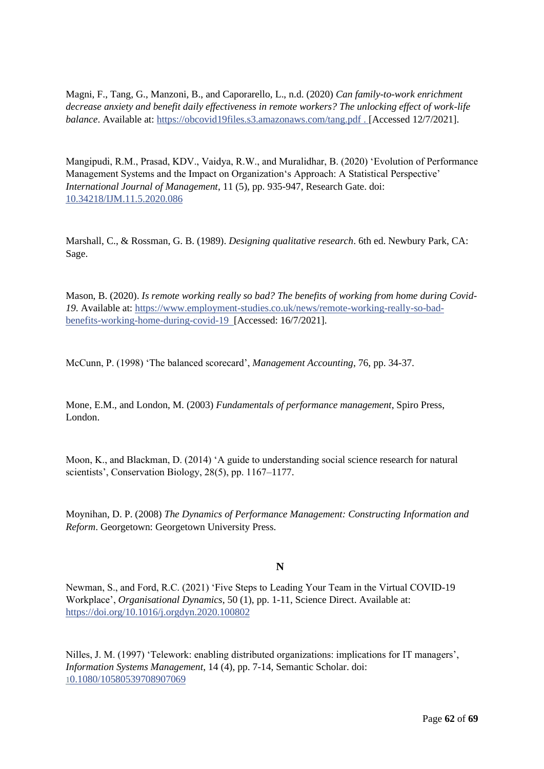Magni, F., Tang, G., Manzoni, B., and Caporarello, L., n.d. (2020) *Can family-to-work enrichment decrease anxiety and benefit daily effectiveness in remote workers? The unlocking effect of work-life balance*. Available at: https://obcovid19files.s3.amazonaws.com/tang.pdf . [Accessed 12/7/2021].

Mangipudi, R.M., Prasad, KDV., Vaidya, R.W., and Muralidhar, B. (2020) 'Evolution of Performance Management Systems and the Impact on Organization's Approach: A Statistical Perspective' *International Journal of Management*, 11 (5), pp. 935-947, Research Gate. doi: 10.34218/IJM.11.5.2020.086

[Marsh](http://158.132.155.107/posh97/private/Dissertation_resources/Use_of_literature.html#Marshall01)all, C., & Rossman, G. B. (1989). *Designing qualitative research*. 6th ed. Newbury Park, CA: Sage.

Mason, B. (2020). *Is remote working really so bad? The benefits of working from home during Covid-19*. Available at: https://www.employment-studies.co.uk/news/remote-working-really-so-badbenefits-working-home-during-covid-19 [Accessed: 16/7/2021].

McCunn, P. (1998) 'The balanced scorecard', *Management Accounting*, 76, pp. 34-37.

Mone, E.M., and London, M. (2003) *Fundamentals of performance management*, Spiro Press, London.

Moon, K., and Blackman, D. (2014) 'A guide to understanding social science research for natural scientists', Conservation Biology, 28(5), pp. 1167–1177.

Moynihan, D. P. (2008) *The Dynamics of Performance Management: Constructing Information and Reform*. Georgetown: Georgetown University Press.

### **N**

Newman, S., and Ford, R.C. (2021) 'Five Steps to Leading Your Team in the Virtual COVID-19 Workplace', *Organisational Dynamics*, 50 (1), pp. 1-11, Science Direct. Available at: <https://doi.org/10.1016/j.orgdyn.2020.100802>

Nilles, J. M. (1997) 'Telework: enabling distributed organizations: implications for IT managers', *Information Systems Management*, 14 (4), pp. 7-14, Semantic Scholar. doi: [1](https://doi.org/10.1080/10580539708907069)[0.1080/10580539708907069](https://doi.org/10.1080/10580539708907069)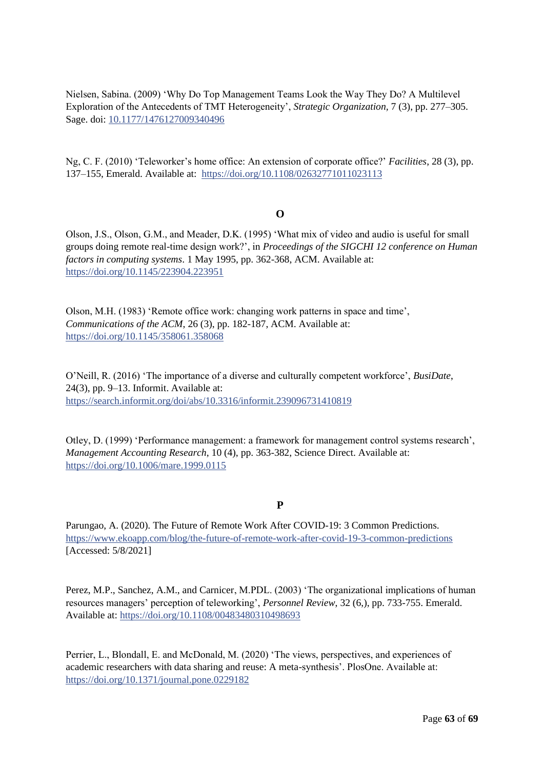Nielsen, Sabina. (2009) 'Why Do Top Management Teams Look the Way They Do? A Multilevel Exploration of the Antecedents of TMT Heterogeneity', *Strategic Organization,* 7 (3), pp. 277–305. Sage. doi[: 10.1177/1476127009340496](http://dx.doi.org/10.1177/1476127009340496)

Ng, C. F. (2010) 'Teleworker's home office: An extension of corporate office?' *Facilities*, 28 (3), pp. 137–155, Emerald. Available at: <https://doi.org/10.1108/02632771011023113>

#### **O**

Olson, J.S., Olson, G.M., and Meader, D.K. (1995) 'What mix of video and audio is useful for small groups doing remote real-time design work?', in *Proceedings of the SIGCHI 12 conference on Human factors in computing systems*. 1 May 1995, pp. 362-368, ACM. Available at: <https://doi.org/10.1145/223904.223951>

Olson, M.H. (1983) 'Remote office work: changing work patterns in space and time', *Communications of the ACM*, 26 (3), pp. 182-187, ACM. Available at: <https://doi.org/10.1145/358061.358068>

O'Neill, R. (2016) 'The importance of a diverse and culturally competent workforce', *BusiDate*, 24(3), pp. 9–13. Informit. Available at: https://search.informit.org/doi/abs/10.3316/informit.239096731410819

Otley, D. (1999) 'Performance management: a framework for management control systems research', *Management Accounting Research*, 10 (4), pp. 363-382, Science Direct. Available at: <https://doi.org/10.1006/mare.1999.0115>

#### **P**

Parungao, A. (2020). The Future of Remote Work After COVID-19: 3 Common Predictions. <https://www.ekoapp.com/blog/the-future-of-remote-work-after-covid-19-3-common-predictions> [Accessed: 5/8/2021]

Perez, M.P., Sanchez, A.M., and Carnicer, M.PDL. (2003) 'The organizational implications of human resources managers' perception of teleworking', *Personnel Review*, 32 (6,), pp. 733-755. Emerald. Available at:<https://doi.org/10.1108/00483480310498693>

Perrier, L., Blondall, E. and McDonald, M. (2020) 'The views, perspectives, and experiences of academic researchers with data sharing and reuse: A meta-synthesis'. PlosOne. Available at: <https://doi.org/10.1371/journal.pone.0229182>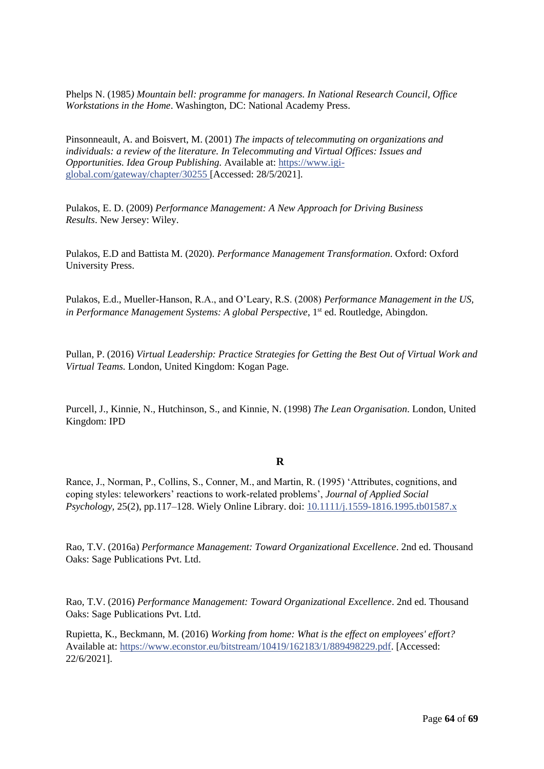Phelps N. (1985*) Mountain bell: programme for managers. In National Research Council, Office Workstations in the Home*. Washington, DC: National Academy Press.

Pinsonneault, A. and Boisvert, M. (2001) *The impacts of telecommuting on organizations and individuals: a review of the literature. In Telecommuting and Virtual Offices: Issues and Opportunities. Idea Group Publishing.* Available at: [https://www.igi](https://www.igi-global.com/gateway/chapter/30255)[global.com/gateway/chapter/30255](https://www.igi-global.com/gateway/chapter/30255) [Accessed: 28/5/2021].

Pulakos, E. D. (2009) *Performance Management: A New Approach for Driving Business Results*. New Jersey: Wiley.

Pulakos, E.D and Battista M. (2020). *Performance Management Transformation*. Oxford: Oxford University Press.

Pulakos, E.d., Mueller-Hanson, R.A., and O'Leary, R.S. (2008) *Performance Management in the US, in Performance Management Systems: A global Perspective*, 1<sup>st</sup> ed. Routledge, Abingdon.

Pullan, P. (2016) *Virtual Leadership: Practice Strategies for Getting the Best Out of Virtual Work and Virtual Teams.* London, United Kingdom: Kogan Page.

Purcell, J., Kinnie, N., Hutchinson, S., and Kinnie, N. (1998) *The Lean Organisation*. London, United Kingdom: IPD

#### **R**

Rance, J., Norman, P., Collins, S., Conner, M., and Martin, R. (1995) 'Attributes, cognitions, and coping styles: teleworkers' reactions to work-related problems', *Journal of Applied Social Psychology,* 25(2), pp.117–128. Wiely Online Library. doi: [10.1111/j.1559-1816.1995.tb01587.x](https://doi.org/10.1111/j.1559-1816.1995.tb01587.x)

Rao, T.V. (2016a) *Performance Management: Toward Organizational Excellence*. 2nd ed. Thousand Oaks: Sage Publications Pvt. Ltd.

Rao, T.V. (2016) *Performance Management: Toward Organizational Excellence*. 2nd ed. Thousand Oaks: Sage Publications Pvt. Ltd.

Rupietta, K., Beckmann, M. (2016) *Working from home: What is the effect on employees' effort?* Available at: https://www.econstor.eu/bitstream/10419/162183/1/889498229.pdf. [Accessed: 22/6/2021].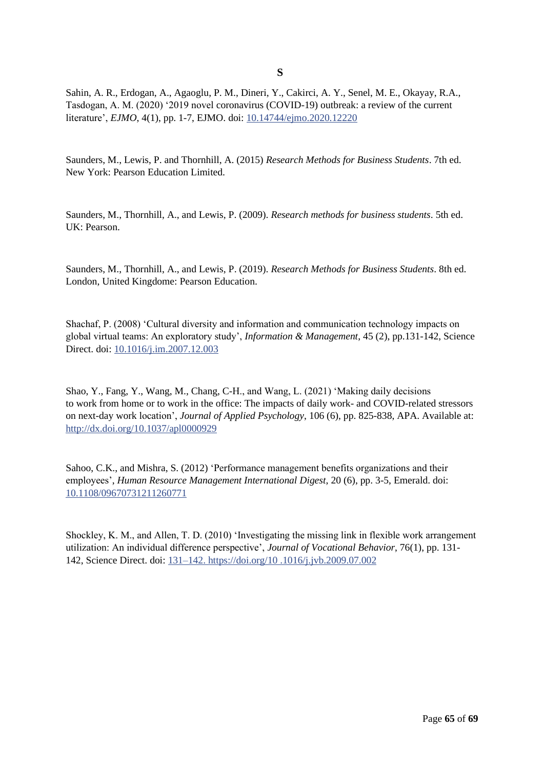**S**

Sahin, A. R., Erdogan, A., Agaoglu, P. M., Dineri, Y., Cakirci, A. Y., Senel, M. E., Okayay, R.A., Tasdogan, A. M. (2020) '2019 novel coronavirus (COVID-19) outbreak: a review of the current literature', *EJMO*, 4(1), pp. 1-7, EJMO. doi: 10.14744/ejmo.2020.12220

Saunders, M., Lewis, P. and Thornhill, A. (2015) *Research Methods for Business Students*. 7th ed. New York: Pearson Education Limited.

Saunders, M., Thornhill, A., and Lewis, P. (2009). *Research methods for business students*. 5th ed. UK: Pearson.

Saunders, M., Thornhill, A., and Lewis, P. (2019). *Research Methods for Business Students*. 8th ed. London, United Kingdome: Pearson Education.

Shachaf, P. (2008) 'Cultural diversity and information and communication technology impacts on global virtual teams: An exploratory study', *Information & Management*, 45 (2), pp.131-142, Science Direct. doi: 10.1016/j.im.2007.12.003

Shao, Y., Fang, Y., Wang, M., Chang, C-H., and Wang, L. (2021) 'Making daily decisions to work from home or to work in the office: The impacts of daily work- and COVID-related stressors on next-day work location', *[Journal of Applied Psychology](javascript:__doLinkPostBack()*, 106 (6), pp. 825-838, APA. Available at: <http://dx.doi.org/10.1037/apl0000929>

[Sahoo, C.K.,](https://www.emerald.com/insight/search?q=C.K.%20Sahoo) and Mishra, S. (2012) ['Performance management benefits organizations and their](https://www.emerald.com/insight/search?q=Sukanta%20Mishra)  employees', *[Human Resource Management International Digest](https://www.emerald.com/insight/search?q=Sukanta%20Mishra)*, 20 (6), pp. 3-5, Emerald. doi: [10.1108/09670731211260771](https://www.emerald.com/insight/search?q=Sukanta%20Mishra)

Shockley, K. M., and Allen, T. D. (2010) 'Investigating the missing link in flexible work arrangement utilization: An individual difference perspective', *Journal of Vocational Behavior*, 76(1), pp. 131- 142, Science Direct. doi: 131–142. https://doi.org/10 .1016/j.jvb.2009.07.002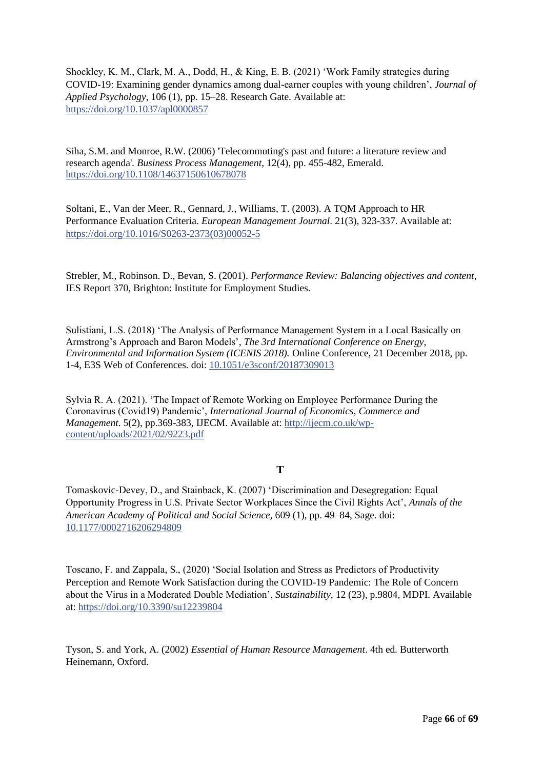Shockley, K. M., Clark, M. A., Dodd, H., & King, E. B. (2021) 'Work Family strategies during COVID-19: Examining gender dynamics among dual-earner couples with young children', *Journal of Applied Psychology*, 106 (1), pp. 15–28. Research Gate. Available at: <https://doi.org/10.1037/apl0000857>

Siha, S.M. and Monroe, R.W. (2006) 'Telecommuting's past and future: a literature review and research agenda'*. Business Process Management,* 12(4), pp. 455-482, Emerald. <https://doi.org/10.1108/14637150610678078>

Soltani, E., Van der Meer, R., Gennard, J., Williams, T. (2003). A TQM Approach to HR Performance Evaluation Criteria. *European Management Journal*. 21(3), 323-337. Available at: [https://doi.org/10.1016/S0263-2373\(03\)00052-5](https://doi.org/10.1016/S0263-2373(03)00052-5)

Strebler, M., Robinson. D., Bevan, S. (2001). *Performance Review: Balancing objectives and content*, IES Report 370, Brighton: Institute for Employment Studies.

Sulistiani, L.S. (2018) 'The Analysis of Performance Management System in a Local Basically on Armstrong's Approach and Baron Models'*, The 3rd International Conference on Energy, Environmental and Information System (ICENIS 2018).* Online Conference, 21 December 2018, pp. 1-4, E3S Web of Conferences. doi: [10.1051/e3sconf/20187309013](https://doi.org/10.1051/e3sconf/20187309013)

Sylvia R. A. (2021). 'The Impact of Remote Working on Employee Performance During the Coronavirus (Covid19) Pandemic', *International Journal of Economics, Commerce and Management*. 5(2), pp.369-383, IJECM. Available at: http://ijecm.co.uk/wpcontent/uploads/2021/02/9223.pdf

### **T**

Tomaskovic-Devey, D., and Stainback, K. (2007) 'Discrimination and Desegregation: Equal Opportunity Progress in U.S. Private Sector Workplaces Since the Civil Rights Act', *Annals of the American Academy of Political and Social Science,* 609 (1), pp. 49–84, Sage. doi: [10.1177/0002716206294809](http://dx.doi.org/10.1177/0002716206294809)

Toscano, F. and Zappala, S., (2020) 'Social Isolation and Stress as Predictors of Productivity Perception and Remote Work Satisfaction during the COVID-19 Pandemic: The Role of Concern about the Virus in a Moderated Double Mediation', *Sustainability*, 12 (23), p.9804, MDPI. Available at[: https://doi.org/10.3390/su12239804](https://doi.org/10.3390/su12239804)

Tyson, S. and York, A. (2002) *Essential of Human Resource Management*. 4th ed. Butterworth Heinemann, Oxford.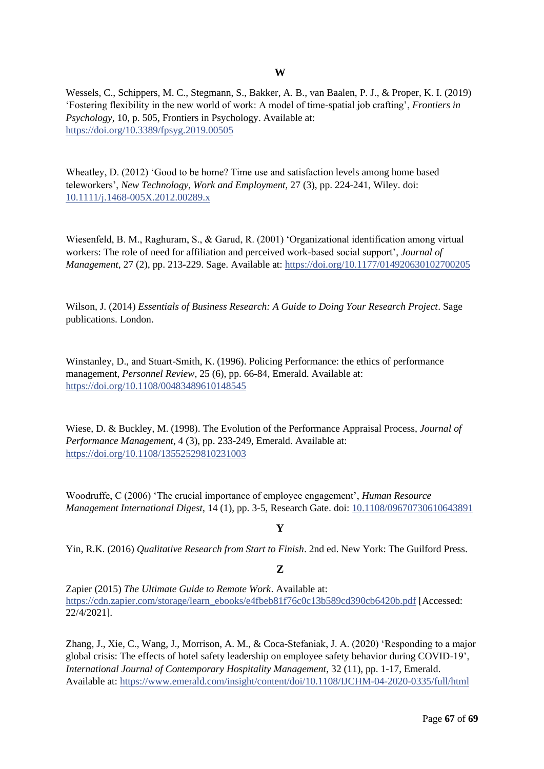Wessels, C., Schippers, M. C., Stegmann, S., Bakker, A. B., van Baalen, P. J., & Proper, K. I. (2019) 'Fostering flexibility in the new world of work: A model of time-spatial job crafting', *Frontiers in Psychology*, 10, p. 505, Frontiers in Psychology. Available at: <https://doi.org/10.3389/fpsyg.2019.00505>

Wheatley, D. (2012) 'Good to be home? Time use and satisfaction levels among home based teleworkers', *New Technology, Work and Employment,* 27 (3), pp. 224-241, Wiley. doi: [10.1111/j.1468-005X.2012.00289.x](http://dx.doi.org/10.1111/j.1468-005X.2012.00289.x)

Wiesenfeld, B. M., Raghuram, S., & Garud, R. (2001) 'Organizational identification among virtual workers: The role of need for affiliation and perceived work-based social support', *Journal of Management*, 27 (2), pp. 213-229. Sage. Available at: [https://doi.org/10.1177/014920630102700205](https://doi.org/10.1177%2F014920630102700205)

Wilson, J. (2014) *Essentials of Business Research: A Guide to Doing Your Research Project*. Sage publications. London.

Winstanley, D., and Stuart-Smith, K. (1996). Policing Performance: the ethics of performance management, *Personnel Review*, 25 (6), pp. 66-84, Emerald. Available at: <https://doi.org/10.1108/00483489610148545>

Wiese, D. & Buckley, M. (1998). The Evolution of the Performance Appraisal Process, *Journal of Performance Management*, 4 (3), pp. 233-249, Emerald. Available at: <https://doi.org/10.1108/13552529810231003>

Woodruffe, C (2006) 'The crucial importance of employee engagement', *Human Resource Management International Digest*, 14 (1), pp. 3-5, Research Gate. doi: [10.1108/09670730610643891](http://dx.doi.org/10.1108/09670730610643891)

#### **Y**

Yin, R.K. (2016) *Qualitative Research from Start to Finish*. 2nd ed. New York: The Guilford Press.

### **Z**

Zapier (2015) *The Ultimate Guide to Remote Work*. Available at: [https://cdn.zapier.com/storage/learn\\_ebooks/e4fbeb81f76c0c13b589cd390cb6420b.pdf](https://cdn.zapier.com/storage/learn_ebooks/e4fbeb81f76c0c13b589cd390cb6420b.pdf) [Accessed: 22/4/2021].

Zhang, J., Xie, C., Wang, J., Morrison, A. M., & Coca-Stefaniak, J. A. (2020) 'Responding to a major global crisis: The effects of hotel safety leadership on employee safety behavior during COVID-19', *International Journal of Contemporary Hospitality Management*, 32 (11), pp. 1-17, Emerald. Available at:<https://www.emerald.com/insight/content/doi/10.1108/IJCHM-04-2020-0335/full/html>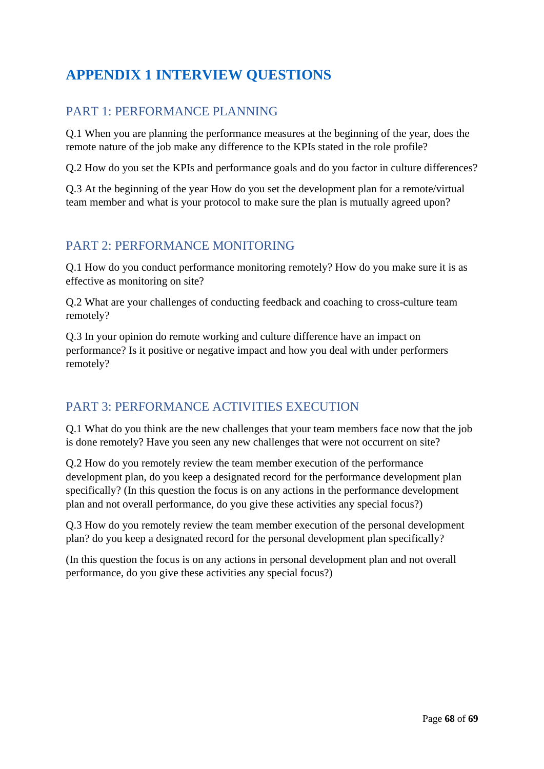# <span id="page-67-0"></span>**APPENDIX 1 INTERVIEW QUESTIONS**

# PART 1: PERFORMANCE PLANNING

Q.1 When you are planning the performance measures at the beginning of the year, does the remote nature of the job make any difference to the KPIs stated in the role profile?

Q.2 How do you set the KPIs and performance goals and do you factor in culture differences?

Q.3 At the beginning of the year How do you set the development plan for a remote/virtual team member and what is your protocol to make sure the plan is mutually agreed upon?

# PART 2: PERFORMANCE MONITORING

Q.1 How do you conduct performance monitoring remotely? How do you make sure it is as effective as monitoring on site?

Q.2 What are your challenges of conducting feedback and coaching to cross-culture team remotely?

Q.3 In your opinion do remote working and culture difference have an impact on performance? Is it positive or negative impact and how you deal with under performers remotely?

# PART 3: PERFORMANCE ACTIVITIES EXECUTION

Q.1 What do you think are the new challenges that your team members face now that the job is done remotely? Have you seen any new challenges that were not occurrent on site?

Q.2 How do you remotely review the team member execution of the performance development plan, do you keep a designated record for the performance development plan specifically? (In this question the focus is on any actions in the performance development plan and not overall performance, do you give these activities any special focus?)

Q.3 How do you remotely review the team member execution of the personal development plan? do you keep a designated record for the personal development plan specifically?

(In this question the focus is on any actions in personal development plan and not overall performance, do you give these activities any special focus?)